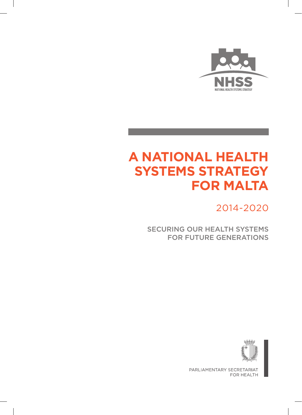

# **A National Health Systems Strategy for Malta**

2014-2020

SECURING OUR HEALTH SYSTEMS for future generations



PARLIAMENTARY SECRETARIAT FOR HEALTH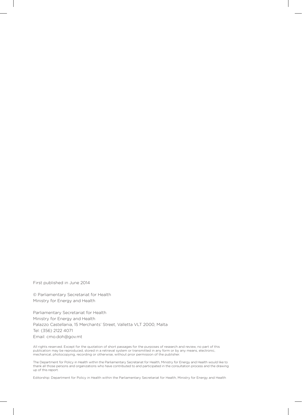First published in June 2014

© Parliamentary Secretariat for Health Ministry for Energy and Health

Parliamentary Secretariat for Health Ministry for Energy and Health Palazzo Castellania, 15 Merchants' Street, Valletta VLT 2000, Malta Tel: (356) 2122 4071 Email: cmo.doh@gov.mt

All rights reserved. Except for the quotation of short passages for the purposes of research and review, no part of this publication may be reproduced, stored in a retrieval system or transmitted in any form or by any means, electronic, mechanical, photocopying, recording or otherwise, without prior permission of the publisher.

The Department for Policy in Health within the Parliamentary Secretariat for Health, Ministry for Energy and Health would like to thank all those persons and organizations who have contributed to and participated in the consultation process and the drawing up of this report.

Editorship: Department for Policy in Health within the Parliamentary Secretariat for Health, Ministry for Energy and Health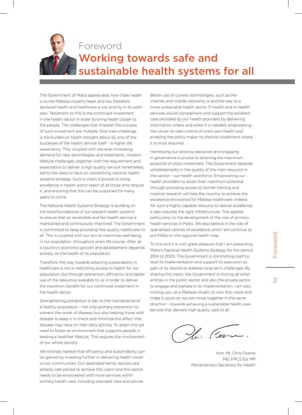

# Foreword Working towards safe and sustainable health systems for all

The Government of Malta appreciates how close health is to the Maltese citizen's heart and has therefore declared health and healthcare a top priority in its work plan. Testament to this is the continued investment in the health sector in order to bring health closer to the people. The challenges that threaten the success of such investment are multiple. One main challenge is the burden on health brought about by one of the successes of the health service itself – a higher life expectancy. This, coupled with the ever-increasing demand for new technologies and treatments, modern lifestyle challenges, together with the requirement and expectation to deliver a high quality service nonetheless, led to the need to have an overarching national health systems strategy. Such a vision is pivotal to bring excellence in health within reach of all those who require it, and ensuring that this can be sustained for many years to come.

The National Health Systems Strategy is building on the solid foundations of our present health systems to ensure that an accessible and fair health service is maintained and continuously improved. The Government is committed to keep providing free quality healthcare to all. This is coupled with our aim to maximize well-being in our population, throughout one's life course. After all, a country's economic growth and development depends entirely on the health of its population.

Therefore, the way towards attaining sustainability in healthcare is not in restricting access to health for our population, but through prevention, efficiency and better use of the resources available to us in order to deliver the maximum benefit for our continued investment in the health sector.

Strengthening prevention is key to the maintenance of a healthy population – not only primary prevention to prevent the onset of disease, but also helping those with disease to keep it in check and minimize the effect that disease may have on their daily activity. To attain this we need to foster an environment that supports people in leading a healthier lifestyle. This requires the involvement of our whole society.

We strongly believe that efficiency and sustainability can be gained by investing further in delivering health closer to our communities. Our dedicated family doctors are already well placed to achieve this vision and this sector needs to be empowered with more services within primary health care, including specialist care and advice.

Better use of current technologies, such as the Internet and mobile networks, is another key to a more sustainable health sector. E-health and m-health services would complement and support the excellent care provided by our health providers by delivering information where and when it is needed, empowering the citizen to take control of one's own health and enabling the policy maker to channel investment where it is most required.

Harnessing our existing resources and engaging in governance is pivotal to attaining the maximum potential of one's investment. The Government believes wholeheartedly in the quality of the main resource in this sector – our health workforce. Empowering our health providers to attain their maximum potential through providing access to further training and medical research will help the country to achieve the excellence envisioned for Maltese healthcare. Indeed, for such a highly capable resource to deliver excellence, it also requires the right infrastructure. This applies particularly to the development of the role of primary health services in Malta. We also believe in the role of specialised centres of excellence which will continue to put Malta on the regional health map.

To this end it is with great pleasure that I am presenting Malta's National Health Systems Strategy for the period 2014 to 2020. The Government is committing itself to lead its implementation and support its execution as part of its resolve to address long-term challenges. By sharing this vision, the Government is inviting all other entities in the public sector and also the private sector to engage and partake in its implementation. I am also inviting you, as a Maltese citizen, to own this vision and make it yours so we can move together in the same direction - towards achieving a sustainable health care service that delivers high quality care to all.

Ceen

Hon. Mr. Chris Fearne MD, FRCS Ed, MP Parliamentary Secretary for Health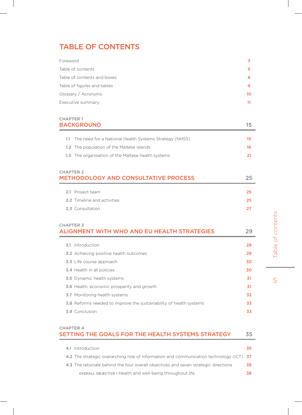# TABLE OF CONTENTS

| Foreword                    | 3  |
|-----------------------------|----|
| Table of contents           | 5  |
| Table of contents and boxes | 8  |
| Table of figures and tables | 9  |
| Glossary / Acronyms         | 10 |
| Executive summary           | 11 |

### CHAPTER 1 BACKGROUND 15

| 1.1 The need for a National Health Systems Strategy (NHSS) | 15 |
|------------------------------------------------------------|----|
| 1.2 The population of the Maltese islands                  | 16 |
| 1.3 The organisation of the Maltese health systems         | 21 |

### CHAPTER 2 METHODOLOGY AND CONSULTATIVE PROCESS 25

| 2.1 Project team                   | -25 - |
|------------------------------------|-------|
| <b>2.2</b> Timeline and activities | -25 - |
| 2.3 Consultation                   | -27.  |

### CHAPTER 3 ALIGNMENT WITH WHO AND EU HEALTH STRATEGIES 29

| 3.1 Introduction                                                          | 29 |
|---------------------------------------------------------------------------|----|
| <b>3.2</b> Achieving positive health outcomes                             | 29 |
| 3.3 Life course approach                                                  | 30 |
| <b>3.4</b> Health in all policies                                         | 30 |
| <b>3.5</b> Dynamic health systems                                         | 31 |
| 3.6 Health, economic prosperity and growth                                | 31 |
| <b>3.7</b> Monitoring health systems                                      | 32 |
| <b>3.8</b> Reforms needed to improve the sustainability of health systems | 33 |
| 3.9 Conclusion                                                            | 33 |
|                                                                           |    |

### CHAPTER 4 SETTING THE GOALS FOR THE HEALTH SYSTEMS STRATEGY 35

| 4.1 Introduction                                                                        | 35  |
|-----------------------------------------------------------------------------------------|-----|
| 4.2 The strategic overarching role of information and communication technology (ICT) 37 |     |
| 4.3 The rationale behind the four overall objectives and seven strategic directions     | -38 |
| OVERALL OBJECTIVE 1 Health and well-being throughout life                               |     |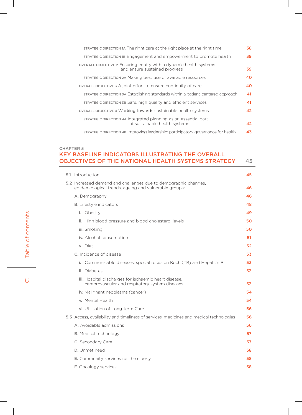| STRATEGIC DIRECTION 1A The right care at the right place at the right time                                | 38 |
|-----------------------------------------------------------------------------------------------------------|----|
| STRATEGIC DIRECTION 1B Engagement and empowerment to promote health                                       | 39 |
| <b>OVERALL OBJECTIVE 2 Ensuring equity within dynamic health systems</b><br>and ensure sustained progress | 39 |
| STRATEGIC DIRECTION 2A Making best use of available resources                                             | 40 |
| OVERALL OBJECTIVE 3 A joint effort to ensure continuity of care                                           | 40 |
| STRATEGIC DIRECTION 3A Establishing standards within a patient-centered approach                          | 41 |
| STRATEGIC DIRECTION 3B Safe, high quality and efficient services                                          | 41 |
| <b>OVERALL OBJECTIVE 4 Working towards sustainable health systems</b>                                     | 42 |
| STRATEGIC DIRECTION 4A Integrated planning as an essential part<br>of sustainable health systems          | 42 |
| STRATEGIC DIRECTION 4B Improving leadership: participatory governance for health                          | 43 |

### CHAPTER 5 key baseline indicators illustrating the overall OBJECTIVES OF THE NATIONAL HEALTH SYSTEMS STRATEGY 45

|  | 5.1 Introduction                                                                                                         | 45 |
|--|--------------------------------------------------------------------------------------------------------------------------|----|
|  | 5.2 Increased demand and challenges due to demographic changes,<br>epidemiological trends, ageing and vulnerable groups: | 46 |
|  | A. Demography                                                                                                            | 46 |
|  | <b>B.</b> Lifestyle indicators                                                                                           | 48 |
|  | i. Obesity                                                                                                               | 49 |
|  | ii. High blood pressure and blood cholesterol levels                                                                     | 50 |
|  | iii. Smoking                                                                                                             | 50 |
|  | iv. Alcohol consumption                                                                                                  | 51 |
|  | v. Diet                                                                                                                  | 52 |
|  | C. Incidence of disease                                                                                                  | 53 |
|  | i. Communicable diseases: special focus on Koch (TB) and Hepatitis B                                                     | 53 |
|  | ii. Diabetes                                                                                                             | 53 |
|  | iii. Hospital discharges for ischaemic heart disease,<br>cerebrovascular and respiratory system diseases                 | 53 |
|  | iv. Malignant neoplasms (cancer)                                                                                         | 54 |
|  | v. Mental Health                                                                                                         | 54 |
|  | vi. Utilisation of Long-term Care                                                                                        | 56 |
|  | 5.3 Access, availability and timeliness of services, medicines and medical technologies                                  | 56 |
|  | A. Avoidable admissions                                                                                                  | 56 |
|  | <b>B.</b> Medical technology                                                                                             | 57 |
|  | C. Secondary Care                                                                                                        | 57 |
|  | D. Unmet need                                                                                                            | 58 |
|  | E. Community services for the elderly                                                                                    | 58 |
|  | F. Oncology services                                                                                                     | 58 |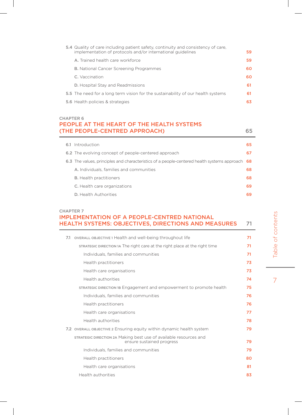| 5.4 Quality of care including patient safety, continuity and consistency of care,<br>implementation of protocols and/or international guidelines | 59 |
|--------------------------------------------------------------------------------------------------------------------------------------------------|----|
| A. Trained health care workforce                                                                                                                 | 59 |
| <b>B.</b> National Cancer Screening Programmes                                                                                                   | 60 |
| C. Vaccination                                                                                                                                   | 60 |
| <b>D.</b> Hospital Stay and Readmissions                                                                                                         | 61 |
| 5.5 The need for a long term vision for the sustainability of our health systems                                                                 | 61 |
| 5.6 Health policies & strategies                                                                                                                 | 63 |

### CHAPTER 6 PEOPLE AT THE HEART OF THE HEALTH SYSTEMS (THE PEOPLE-CENTRED APPROACH) 65

| 6.1 | Introduction                                                                                | 65  |
|-----|---------------------------------------------------------------------------------------------|-----|
|     | 6.2 The evolving concept of people-centered approach                                        | 67  |
|     | 6.3 The values, principles and characteristics of a people-centered health systems approach | -68 |
|     | A. Individuals, families and communities                                                    | 68  |
|     | <b>B.</b> Health practitioners                                                              | 68  |
|     | C. Health care organizations                                                                | 69  |
|     | <b>D.</b> Health Authorities                                                                | 69  |

### CHAPTER 7 IMPLEMENTATION OF A PEOPLE-CENTRED NATIONAL HEALTH SYSTEMS: OBJECTIVES, DIRECTIONS AND MEASURES 71

| OVERALL OBJECTIVE 1 Health and well-being throughout life<br>7.1                               | 71 |
|------------------------------------------------------------------------------------------------|----|
| STRATEGIC DIRECTION 1A The right care at the right place at the right time                     | 71 |
| Individuals, families and communities                                                          | 71 |
| Health practitioners                                                                           | 73 |
| Health care organisations                                                                      | 73 |
| Health authorities                                                                             | 74 |
| STRATEGIC DIRECTION 1B Engagement and empowerment to promote health                            | 75 |
| Individuals, families and communities                                                          | 76 |
| Health practitioners                                                                           | 76 |
| Health care organisations                                                                      | 77 |
| Health authorities                                                                             | 78 |
| 7.2 OVERALL OBJECTIVE 2 Ensuring equity within dynamic health system                           | 79 |
| STRATEGIC DIRECTION 2A Making best use of available resources and<br>ensure sustained progress | 79 |
| Individuals, families and communities                                                          | 79 |
| Health practitioners                                                                           | 80 |
| Health care organisations                                                                      | 81 |
| Health authorities                                                                             | 83 |

 $\overline{7}$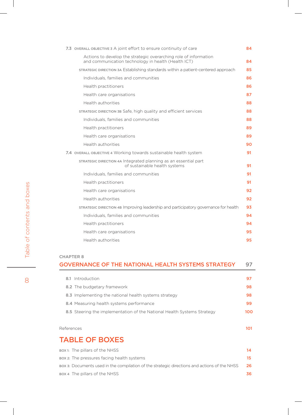| 7.3 OVERALL OBJECTIVE 3 A joint effort to ensure continuity of care                                                     | 84 |
|-------------------------------------------------------------------------------------------------------------------------|----|
| Actions to develop the strategic overarching role of information<br>and communication technology in health (Health ICT) | 84 |
| STRATEGIC DIRECTION 3A Establishing standards within a patient-centered approach                                        | 85 |
| Individuals, families and communities                                                                                   | 86 |
| Health practitioners                                                                                                    | 86 |
| Health care organisations                                                                                               | 87 |
| Health authorities                                                                                                      | 88 |
| STRATEGIC DIRECTION 3B Safe, high quality and efficient services                                                        | 88 |
| Individuals, families and communities                                                                                   | 88 |
| Health practitioners                                                                                                    | 89 |
| Health care organisations                                                                                               | 89 |
| Health authorities                                                                                                      | 90 |
| 7.4 OVERALL OBJECTIVE 4 Working towards sustainable health system                                                       | 91 |
| STRATEGIC DIRECTION 4A Integrated planning as an essential part<br>of sustainable health systems                        | 91 |
| Individuals, families and communities                                                                                   | 91 |
| Health practitioners                                                                                                    | 91 |
| Health care organisations                                                                                               | 92 |
| Health authorities                                                                                                      | 92 |
| STRATEGIC DIRECTION 4B Improving leadership and participatory governance for health                                     | 93 |
| Individuals, families and communities                                                                                   | 94 |
| Health practitioners                                                                                                    | 94 |
| Health care organisations                                                                                               | 95 |
| Health authorities                                                                                                      | 95 |

### CHAPTER 8

| <u>UITAR I LIVU</u>                                                     |     |  |
|-------------------------------------------------------------------------|-----|--|
| <b>GOVERNANCE OF THE NATIONAL HEALTH SYSTEMS STRATEGY</b>               | 97  |  |
|                                                                         |     |  |
| 8.1 Introduction                                                        | 97  |  |
| 8.2 The budgetary framework                                             | 98  |  |
| 8.3 Implementing the national health systems strategy                   | 98  |  |
| 8.4 Measuring health systems performance                                | 99  |  |
| 8.5 Steering the implementation of the National Health Systems Strategy | 100 |  |
|                                                                         |     |  |
| References                                                              | 101 |  |

# TABLE OF BOXES

| BOX 1: The pillars of the NHSS                                                               | 14   |
|----------------------------------------------------------------------------------------------|------|
| вох 2: The pressures facing health systems                                                   | 15.  |
| вох з: Documents used in the compilation of the strategic directions and actions of the NHSS | - 26 |
| вох 4 The pillars of the NHSS                                                                | 36   |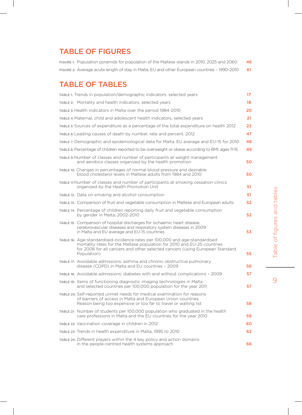# TABLE OF FIGURES

FIGURE 1: Population pyramids for population of the Maltese islands in 2010, 2025 and 2060 46 FIGURE 2: Average acute length of stay in Malta, EU and other European countries - 1990-2010 61

# TABLE OF TABLES

| TABLE 1: Trends in population/demographic indicators, selected years                                                                                                                                                                                  | 17 |
|-------------------------------------------------------------------------------------------------------------------------------------------------------------------------------------------------------------------------------------------------------|----|
| TABLE 2: Mortality and health indicators, selected years                                                                                                                                                                                              | 18 |
| TABLE 3: Health indicators in Malta over the period 1984-2010                                                                                                                                                                                         | 20 |
| TABLE 4: Maternal, child and adolescent health indicators, selected years                                                                                                                                                                             | 21 |
| TABLE 5: Sources of expenditure as a percentage of the total expenditure on health 2012                                                                                                                                                               | 22 |
| TABLE 6: Leading causes of death by number, rate and percent, 2012                                                                                                                                                                                    | 47 |
| TABLE 7: Demographic and epidemiological data for Malta, EU average and EU-15 for 2010                                                                                                                                                                | 48 |
| TABLE 8: Percentage of children reported to be overweight or obese according to BMI, ages 11-15                                                                                                                                                       | 49 |
| TABLE 9: Number of classes and number of participants at weight management<br>and aerobics classes organized by the health promotion                                                                                                                  | 50 |
| TABLE 10: Changes in percentages of normal blood pressure and desirable<br>blood cholesterol levels in Maltese adults from 1984 and 2010                                                                                                              | 50 |
| TABLE 11: Number of classes and number of participants at smoking cessation clinics<br>organized by the Health Promotion Unit                                                                                                                         | 51 |
| TABLE 12: Data on smoking and alcohol consumption                                                                                                                                                                                                     | 51 |
| TABLE 13: Comparison of fruit and vegetable consumption in Maltese and European adults                                                                                                                                                                | 52 |
| TABLE 14: Percentage of children reporting daily fruit and vegetable consumption<br>by gender in Malta, 2002-2010                                                                                                                                     | 52 |
| TABLE 15: Comparison of hospital discharges for ischaemic heart disease,<br>cerebrovascular diseases and respiratory system diseases in 2009<br>in Malta and EU average and EU-15 countries                                                           | 53 |
| TABLE 16: Age-standardised incidence rates per 100,000 and age-standardised<br>mortality rates for the Maltese population for 2010 and EU-25 countries<br>for 2006 for all cancers and other selected cancers (using European Standard<br>Population) | 55 |
| TABLE 17: Avoidable admissions: asthma and chronic obstructive pulmonary<br>disease (COPD) in Malta and EU countries - 2009                                                                                                                           | 56 |
| TABLE 18: Avoidable admissions: diabetes with and without complications - 2009                                                                                                                                                                        | 57 |
| TABLE 19: Items of functioning diagnostic imaging technologies in Malta<br>and selected countries per 100,000 population for the year 2011                                                                                                            | 57 |
| TABLE 20: Self-reported unmet needs for medical examination for reasons<br>of barriers of access in Malta and European Union countries:<br>Reason being too expensive or too far to travel or waiting list                                            | 58 |
| TABLE 21: Number of students per 100,000 population who graduated in the health<br>care professions in Malta and the EU countries for the year 2010                                                                                                   | 59 |
| TABLE 22: Vaccination coverage in children in 2012                                                                                                                                                                                                    | 60 |
| TABLE 23: Trends in health expenditure in Malta, 1995 to 2010                                                                                                                                                                                         | 62 |
| TABLE 24: Different players within the 4 key policy and action domains<br>in the people-centred health systems approach                                                                                                                               | 66 |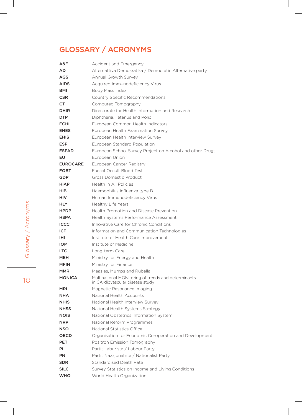# Glossary / Acronyms

| A&E             | <b>Accident and Emergency</b>                                                          |
|-----------------|----------------------------------------------------------------------------------------|
| AD.             | Alternattiva Demokratika / Democratic Alternative party                                |
| AGS             | Annual Growth Survey                                                                   |
| <b>AIDS</b>     | Acquired Immunodeficiency Virus                                                        |
| <b>BMI</b>      | <b>Body Mass Index</b>                                                                 |
| <b>CSR</b>      | Country Specific Recommendations                                                       |
| CT              | Computed Tomography                                                                    |
| <b>DHIR</b>     | Directorate for Health Information and Research                                        |
| <b>DTP</b>      | Diphtheria, Tetanus and Polio                                                          |
| <b>ECHI</b>     | European Common Health Indicators                                                      |
| <b>EHES</b>     | European Health Examination Survey                                                     |
| <b>EHIS</b>     | European Health Interview Survey                                                       |
| <b>ESP</b>      | European Standard Population                                                           |
| <b>ESPAD</b>    | European School Survey Project on Alcohol and other Drugs                              |
| EU              | European Union                                                                         |
| <b>EUROCARE</b> | European Cancer Registry                                                               |
| <b>FOBT</b>     | Faecal Occult Blood Test                                                               |
| <b>GDP</b>      | Gross Domestic Product                                                                 |
| HiAP            | Health in All Policies                                                                 |
| HiB             | Haemophilus Influenza type B                                                           |
| HIV.            | Human Immunodeficiency Virus                                                           |
| HLY.            | Healthy Life Years                                                                     |
| <b>HPDP</b>     | <b>Health Promotion and Disease Prevention</b>                                         |
| <b>HSPA</b>     | Health Systems Performance Assessment                                                  |
| <b>ICCC</b>     | Innovative Care for Chronic Conditions                                                 |
| <b>ICT</b>      | Information and Communication Technologies                                             |
| IHI             | Institute of Health Care Improvement                                                   |
| <b>IOM</b>      | Institute of Medicine                                                                  |
| <b>LTC</b>      | Long-term Care                                                                         |
| MEH             | Ministry for Energy and Health                                                         |
| <b>MFIN</b>     | Ministry for Finance                                                                   |
| <b>MMR</b>      | Measles, Mumps and Rubella                                                             |
| <b>MONICA</b>   | Multinational MONItoring of trends and determinants<br>in CArdiovascular disease study |
| <b>MRI</b>      | Magnetic Resonance Imaging                                                             |
| <b>NHA</b>      | National Health Accounts                                                               |
| <b>NHIS</b>     | National Health Interview Survey                                                       |
| <b>NHSS</b>     | National Health Systems Strategy                                                       |
| <b>NOIS</b>     | National Obstetrics Information System                                                 |
| <b>NRP</b>      | National Reform Programmes                                                             |
| NSO             | National Statistics Office                                                             |
| <b>OECD</b>     | Organisation for Economic Co-operation and Development                                 |
| <b>PET</b>      | Positron Emission Tomography                                                           |
| PL              | Partit Laburista / Labour Party                                                        |
| PN              | Partit Nazzjonalista / Nationalist Party                                               |
| SDR             | <b>Standardised Death Rate</b>                                                         |
| <b>SILC</b>     | Survey Statistics on Income and Living Conditions                                      |
| <b>WHO</b>      | World Health Organization                                                              |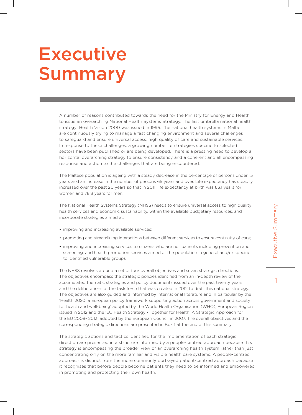# **Executive** Summary

A number of reasons contributed towards the need for the Ministry for Energy and Health to issue an overarching National Health Systems Strategy. The last umbrella national health strategy: Health Vision 2000 was issued in 1995. The national health systems in Malta are continuously trying to manage a fast changing environment and several challenges to safeguard and ensure universal access, high quality of care and sustainable services. In response to these challenges, a growing number of strategies specific to selected sectors have been published or are being developed. There is a pressing need to develop a horizontal overarching strategy to ensure consistency and a coherent and all encompassing response and action to the challenges that are being encountered.

The Maltese population is ageing with a steady decrease in the percentage of persons under 15 years and an increase in the number of persons 65 years and over. Life expectancy has steadily increased over the past 20 years so that in 2011, life expectancy at birth was 83.1 years for women and 78.8 years for men.

The National Health Systems Strategy (NHSS) needs to ensure universal access to high quality health services and economic sustainability, within the available budgetary resources, and incorporate strategies aimed at:

- improving and increasing available services;
- promoting and streamlining interactions between different services to ensure continuity of care;
- improving and increasing services to citizens who are not patients including prevention and screening, and health promotion services aimed at the population in general and/or specific to identified vulnerable groups.

The NHSS revolves around a set of four overall objectives and seven strategic directions. The objectives encompass the strategic policies identified from an in-depth review of the accumulated thematic strategies and policy documents issued over the past twenty years and the deliberations of the task force that was created in 2012 to draft this national strategy. The objectives are also guided and informed by international literature and in particular by the 'Health 2020: a European policy framework supporting action across government and society for health and well-being' adopted by the World Health Organisation (WHO), European Region issued in 2012 and the 'EU Health Strategy - Together for Health: A Strategic Approach for the EU 2008- 2013' adopted by the European Council in 2007. The overall objectives and the corresponding strategic directions are presented in Box 1 at the end of this summary.

The strategic actions and tactics identified for the implementation of each strategic direction are presented in a structure informed by a people-centred approach because this strategy is encompassing the broader view of an overarching health system rather than just concentrating only on the more familiar and visible health care systems. A people-centred approach is distinct from the more commonly portrayed patient-centred approach because it recognises that before people become patients they need to be informed and empowered in promoting and protecting their own health.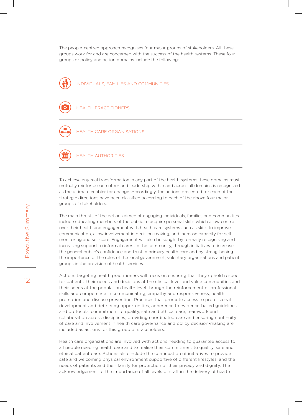The people-centred approach recognises four major groups of stakeholders. All these groups work for and are concerned with the success of the health systems. These four groups or policy and action domains include the following:



To achieve any real transformation in any part of the health systems these domains must mutually reinforce each other and leadership within and across all domains is recognized as the ultimate enabler for change. Accordingly, the actions presented for each of the strategic directions have been classified according to each of the above four major groups of stakeholders.

The main thrusts of the actions aimed at engaging individuals, families and communities include educating members of the public to acquire personal skills which allow control over their health and engagement with health care systems such as skills to improve communication, allow involvement in decision-making, and increase capacity for selfmonitoring and self-care. Engagement will also be sought by formally recognising and increasing support to informal carers in the community, through initiatives to increase the general public's confidence and trust in primary health care and by strengthening the importance of the roles of the local government, voluntary organisations and patient groups in the provision of health services.

Actions targeting health practitioners will focus on ensuring that they uphold respect for patients, their needs and decisions at the clinical level and value communities and their needs at the population health level through the reinforcement of professional skills and competence in communicating, empathy and responsiveness, health promotion and disease prevention. Practices that promote access to professional development and debriefing opportunities, adherence to evidence-based guidelines and protocols, commitment to quality, safe and ethical care, teamwork and collaboration across disciplines, providing coordinated care and ensuring continuity of care and involvement in health care governance and policy decision-making are included as actions for this group of stakeholders.

Health care organizations are involved with actions needing to guarantee access to all people needing health care and to realise their commitment to quality, safe and ethical patient care. Actions also include the continuation of initiatives to provide safe and welcoming physical environment supportive of different lifestyles, and the needs of patients and their family for protection of their privacy and dignity. The acknowledgement of the importance of all levels of staff in the delivery of health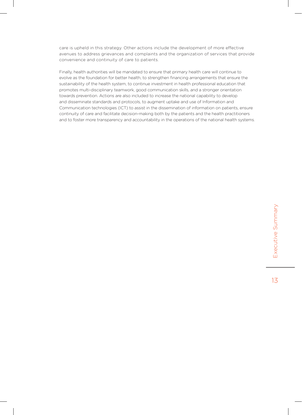care is upheld in this strategy. Other actions include the development of more effective avenues to address grievances and complaints and the organization of services that provide convenience and continuity of care to patients.

Finally, health authorities will be mandated to ensure that primary health care will continue to evolve as the foundation for better health, to strengthen financing arrangements that ensure the sustainability of the health system, to continue investment in health professional education that promotes multi-disciplinary teamwork, good communication skills, and a stronger orientation towards prevention. Actions are also included to increase the national capability to develop and disseminate standards and protocols, to augment uptake and use of Information and Communication technologies (ICT) to assist in the dissemination of information on patients, ensure continuity of care and facilitate decision-making both by the patients and the health practitioners and to foster more transparency and accountability in the operations of the national health systems.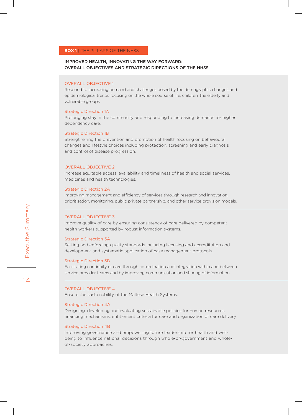### IMPROVED HEALTH, INNOVATING THE WAY FORWARD: OVERALL OBJECTIVES AND STRATEGIC DIRECTIONS OF THE NHSS

### Overall Objective 1

Respond to increasing demand and challenges posed by the demographic changes and epidemiological trends focusing on the whole course of life, children, the elderly and vulnerable groups.

### Strategic Direction 1A

Prolonging stay in the community and responding to increasing demands for higher dependency care.

### Strategic Direction 1B

Strengthening the prevention and promotion of health focusing on behavioural changes and lifestyle choices including protection, screening and early diagnosis and control of disease progression.

### Overall Objective 2

Increase equitable access, availability and timeliness of health and social services, medicines and health technologies.

### Strategic Direction 2A

Improving management and efficiency of services through research and innovation, prioritisation, monitoring, public private partnership, and other service provision models.

### Overall Objective 3

Improve quality of care by ensuring consistency of care delivered by competent health workers supported by robust information systems.

### Strategic Direction 3A

Setting and enforcing quality standards including licensing and accreditation and development and systematic application of case management protocols.

### Strategic Direction 3B

Facilitating continuity of care through co-ordination and integration within and between service provider teams and by improving communication and sharing of information.

### Overall Objective 4

Ensure the sustainability of the Maltese Health Systems.

### Strategic Direction 4A

Designing, developing and evaluating sustainable policies for human resources, financing mechanisms, entitlement criteria for care and organization of care delivery.

### Strategic Direction 4B

Improving governance and empowering future leadership for health and wellbeing to influence national decisions through whole-of-government and wholeof-society approaches.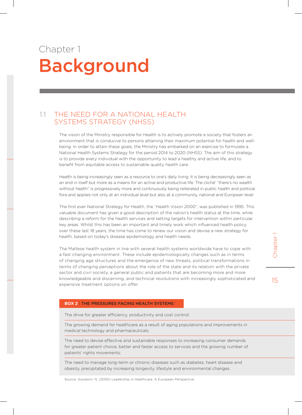# Chapter 1 Background

## 1.1 The need for a National Health Systems Strategy (NHSS)

The vision of the Ministry responsible for Health is to actively promote a society that fosters an environment that is conducive to persons attaining their maximum potential for health and wellbeing. In order to attain these goals, the Ministry has embarked on an exercise to formulate a National Health Systems Strategy for the period 2014 to 2020 (NHSS). The aim of this strategy is to provide every individual with the opportunity to lead a healthy and active life, and to benefit from equitable access to sustainable quality health care.

Health is being increasingly seen as a resource to one's daily living. It is being decreasingly seen as an end in itself but more as a means for an active and productive life. The cliché' "there's no wealth without health" is progressively more and continuously being reiterated in public health and political fora and applies not only at an individual level but also at a community, national and European level.

The first ever National Strategy for Health, the "Health Vision 2000", was published in 1995. This valuable document has given a good description of the nation's health status at the time, while describing a reform for the health services and setting targets for intervention within particular key areas. Whilst this has been an important and timely work which influenced health policy over these last 18 years, the time has come to renew our vision and devise a new strategy for health, based on today's disease epidemiology and health needs.

The Maltese health system in line with several health systems worldwide have to cope with a fast changing environment. These include epidemiologically changes such as in terms of changing age structures and the emergence of new threats, political transformations in terms of changing perceptions about the role of the state and its relation with the private sector and civil society, a general public and patients that are becoming more and more knowledgeable and discerning, and technical revolutions with increasingly sophisticated and expensive treatment options on offer.

# Inchapter 1 Chapter

15

### **BOX 2 | THE PRESSURES FACING HEALTH SYSTEMS**

The drive for greater efficiency, productivity and cost control;

The growing demand for healthcare as a result of aging populations and improvements in medical technology and pharmaceuticals;

The need to devise effective and sustainable responses to increasing consumer demands for greater patient choice, better and faster access to services and the growing number of patients' rights movements;

The need to manage long-term or chronic diseases such as diabetes, heart disease and obesity, precipitated by increasing longevity, lifestyle and environmental changes.

Source: Goodwin, N. (2005) Leadership in Healthcare: A European Perspective.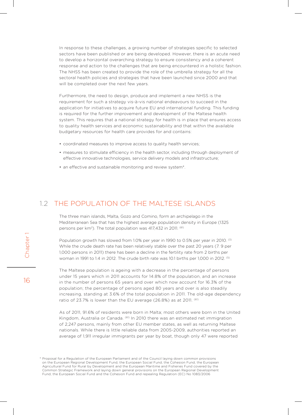In response to these challenges, a growing number of strategies specific to selected sectors have been published or are being developed. However, there is an acute need to develop a horizontal overarching strategy to ensure consistency and a coherent response and action to the challenges that are being encountered in a holistic fashion. The NHSS has been created to provide the role of the umbrella strategy for all the sectoral health policies and strategies that have been launched since 2000 and that will be completed over the next few years.

Furthermore, the need to design, produce and implement a new NHSS is the requirement for such a strategy vis-à-vis national endeavours to succeed in the application for initiatives to acquire future EU and international funding. This funding is required for the further improvement and development of the Maltese health system. This requires that a national strategy for health is in place that ensures access to quality health services and economic sustainability and that within the available budgetary resources for health care provides for and contains:

- coordinated measures to improve access to quality health services;
- measures to stimulate efficiency in the health sector, including through deployment of effective innovative technologies, service delivery models and infrastructure;
- an effective and sustainable monitoring and review system\*.

## 1.2 The population of the Maltese Islands

The three main islands, Malta, Gozo and Comino, form an archipelago in the Mediterranean Sea that has the highest average population density in Europe (1325 persons per km<sup>2</sup>). The total population was 417,432 in 2011. <sup>(61)</sup>

Population growth has slowed from 1.0% per year in 1990 to 0.5% per year in 2010. (3) While the crude death rate has been relatively stable over the past 20 years (7. 9 per 1,000 persons in 2011) there has been a decline in the fertility rate from 2 births per woman in 1991 to 1.4 in 2012. The crude birth rate was 10.1 births per 1,000 in 2012. <sup>(5)</sup>

The Maltese population is ageing with a decrease in the percentage of persons under 15 years which in 2011 accounts for 14.8% of the population, and an increase in the number of persons 65 years and over which now account for 16.3% of the population; the percentage of persons aged 80 years and over is also steadily increasing, standing at 3.6% of the total population in 2011. The old-age dependency ratio of 23.7% is lower than the EU average (26.8%) as at 2011. (61)

As of 2011, 91.6% of residents were born in Malta; most others were born in the United Kingdom, Australia or Canada. (61) In 2010 there was an estimated net immigration of 2,247 persons, mainly from other EU member states, as well as returning Maltese nationals. While there is little reliable data from 2005-2009, authorities reported an average of 1,911 irregular immigrants per year by boat, though only 47 were reported

<sup>\*</sup> Proposal for a Regulation of the European Parliament and of the Council laying down common provisions on the European Regional Development Fund, the European Social Fund, the Cohesion Fund, the European Agricultural Fund for Rural by Development and the European Maritime and Fisheries Fund covered by the Common Strategic Framework and laying down general provisions on the European Regional Development Fund, the European Social Fund and the Cohesion Fund and repealing Regulation (EC) No 1083/2006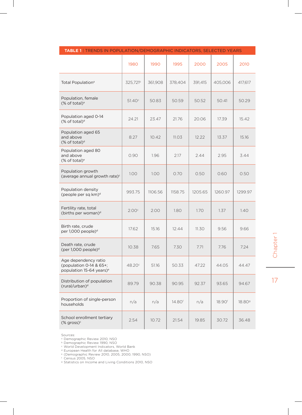|                                                                                         | 1980                 | 1990    | 1995               | 2000    | 2005               | 2010               |
|-----------------------------------------------------------------------------------------|----------------------|---------|--------------------|---------|--------------------|--------------------|
| Total Population <sup>a</sup>                                                           | 325,721 <sup>b</sup> | 361,908 | 378,404            | 391,415 | 405,006            | 417,617            |
| Population, female<br>(% of total) <sup>a</sup>                                         | 51.40 <sup>c</sup>   | 50.83   | 50.59              | 50.52   | 50.41              | 50.29              |
| Population aged 0-14<br>(% of total) <sup>d</sup>                                       | 24.21                | 23.47   | 21.76              | 20.06   | 17.39              | 15.42              |
| Population aged 65<br>and above<br>(% of total) <sup>d</sup>                            | 8.27                 | 10.42   | 11.03              | 12.22   | 13.37              | 15.16              |
| Population aged 80<br>and above<br>(% of total) <sup>e</sup>                            | 0.90                 | 1.96    | 2.17               | 2.44    | 2.95               | 3.44               |
| Population growth<br>(average annual growth rate) <sup>c</sup>                          | 1.00                 | 1.00    | 0.70               | 0.50    | 0.60               | 0.50               |
| Population density<br>(people per sq km) <sup>d</sup>                                   | 993.75               | 1106.56 | 1158.75            | 1205.65 | 1260.97            | 1299.97            |
| Fertility rate, total<br>(births per woman) <sup>d</sup>                                | 2.00c                | 2.00    | 1.80               | 1.70    | 1.37               | 1.40               |
| Birth rate, crude<br>per 1,000 people) <sup>d</sup>                                     | 17.62                | 15.16   | 12.44              | 11.30   | 9.56               | 9.66               |
| Death rate, crude<br>(per $1,000$ people) <sup>d</sup>                                  | 10.38                | 7.65    | 7.30               | 7.71    | 7.76               | 7.24               |
| Age dependency ratio<br>(population 0-14 & 65+;<br>population 15-64 years) <sup>e</sup> | 48.20 <sup>c</sup>   | 51.16   | 50.33              | 47.22   | 44.05              | 44.47              |
| Distribution of population<br>(rural/urban) <sup>d</sup>                                | 89.79                | 90.38   | 90.95              | 92.37   | 93.65              | 94.67              |
| Proportion of single-person<br>households                                               | n/a                  | n/a     | 14.80 <sup>f</sup> | n/a     | 18.90 <sup>f</sup> | 18.80 <sup>g</sup> |
| School enrollment tertiary<br>$(% \mathcal{L}_{0})$ (% gross) <sup>c</sup>              | 2.54                 | 10.72   | 21.54              | 19.85   | 30.72              | 36.48              |

### **table 1** | Trends in population/demographic indicators, selected years

Sources:

<sup>a</sup> Demographic Review 2010, NSO

**b Demographic Review 1990, NSO** 

<sup>c</sup> World Development Indicators, World Bank

<sup>d</sup> European Health for All database, WHO <sup>e</sup> (Demographic Review 2010, 2005, 2000, 1990, NSO)

<sup>f</sup> Census 2005, NSO

<sup>9</sup> Statistics on Income and Living Conditions 2010, NSO

Chapter 1 17Chapter 1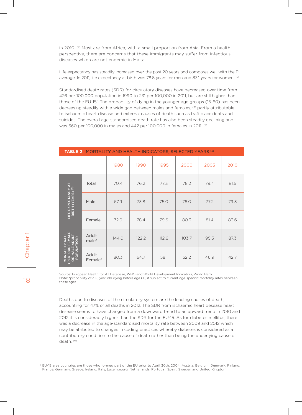in 2010. <sup>(2)</sup> Most are from Africa, with a small proportion from Asia. From a health perspective, there are concerns that these immigrants may suffer from infectious diseases which are not endemic in Malta.

Life expectancy has steadily increased over the past 20 years and compares well with the EU average. In 2011, life expectancy at birth was 78.8 years for men and 83.1 years for women. <sup>(5)</sup>

Standardised death rates (SDR) for circulatory diseases have decreased over time from 426 per 100,000 population in 1990 to 231 per 100,000 in 2011, but are still higher than those of the EU-15† . The probability of dying in the younger age groups (15-60) has been decreasing steadily with a wide gap between males and females, <sup>(3)</sup> partly attributable to ischaemic heart disease and external causes of death such as traffic accidents and suicides. The overall age-standardised death rate has also been steadily declining and was 660 per 100,000 in males and 442 per 100,000 in females in 2011. (5)

| <b>TABLE 2</b>   MORTALITY AND HEALTH INDICATORS, SELECTED YEARS <sup>(3)</sup>     |                  |       |       |       |       |      |      |  |
|-------------------------------------------------------------------------------------|------------------|-------|-------|-------|-------|------|------|--|
|                                                                                     |                  | 1980  | 1990  | 1995  | 2000  | 2005 | 2010 |  |
|                                                                                     | Total            | 70.4  | 76.2  | 77.3  | 78.2  | 79.4 | 81.5 |  |
| LIFE EXPECTANCY AT<br>BIRTH (YEARS) <sup>(5)</sup>                                  | Male             | 67.9  | 73.8  | 75.0  | 76.0  | 77.2 | 79.3 |  |
|                                                                                     | Female           | 72.9  | 78.4  | 79.6  | 80.3  | 81.4 | 83.6 |  |
| RATE<br><b>EMAL</b><br>ŝ                                                            | Adult<br>male*   | 144.0 | 122.2 | 112.6 | 103.7 | 95.5 | 87.3 |  |
| ш<br>1000<br><b>POPUL</b><br><b>MORTAL</b><br><b>PEK</b><br>$\frac{\alpha}{\alpha}$ | Adult<br>Female* | 80.3  | 64.7  | 58.1  | 52.2  | 46.9 | 42.7 |  |

Source: European Health for All Database, WHO and World Development Indicators, World Bank. Note: \*probability of a 15 year old dying before age 60, if subject to current age-specific mortality rates between these ages.

Deaths due to diseases of the circulatory system are the leading causes of death, accounting for 47% of all deaths in 2012. The SDR from ischaemic heart desease heart desease seems to have changed from a downward trend to an upward trend in 2010 and 2012 it is considerably higher than the SDR for the EU-15. As for diabetes mellitus, there was a decrease in the age-standardised mortality rate between 2009 and 2012 which may be atributed to changes in coding practices whereby diabetes is considered as a contributory condition to the cause of death rather than being the underlying cause of death. (6)

† EU-15 area countries are those who formed part of the EU prior to April 30th, 2004: Austria, Belgium, Denmark, Finland, France, Germany, Greece, Ireland, Italy, Luxembourg, Netherlands, Portugal, Spain, Sweden and United Kingdom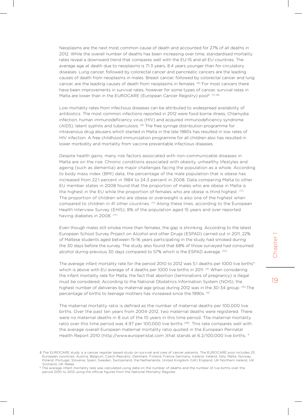Neoplasms are the next most common cause of death and accounted for 27% of all deaths in 2012. While the overall number of deaths has been increasing over time, standardised mortality rates reveal a downward trend that compares well with the EU-15 and all EU countries. The average age at death due to neoplasms is 71.3 years, 8.4 years younger than for circulatory diseases. Lung cancer, followed by colorectal cancer and pancreatic cancers are the leading causes of death from neoplasms in males. Breast cancer, followed by colorectal cancer and lung cancer, are the leading causes of death from neoplasms in females. <sup>(6)</sup> For most cancers there have been improvements in survival rates, however for some types of cancer, survival rates in Malta are lower than in the EUROCARE (European Cancer Registry) pool<sup>§</sup>. (7) (8)

Low mortality rates from infectious diseases can be attributed to widespread availability of antibiotics. The most common infections reported in 2012 were food borne illness, Chlamydia infection, human immunodeficiency virus (HIV) and acquired immunodeficiency syndrome (AIDS), latent syphilis and tuberculosis. (9) The free syringe distribution programme for intravenous drug abusers which started in Malta in the late 1980s has resulted in low rates of HIV infection. A free childhood immunization programme for all children also has resulted in lower morbidity and mortality from vaccine preventable infectious diseases.

Despite health gains, many risk factors associated with non-communicable diseases in Malta are on the rise. Chronic conditions associated with obesity, unhealthy lifestyles and ageing (such as dementia) are major challenges facing the population as a whole. According to body mass index (BMI) data, the percentage of the male population that is obese has increased from 22.1 percent in 1984 to 24.3 percent in 2008. Data comparing Malta to other EU member states in 2008 found that the proportion of males who are obese in Malta is the highest in the EU while the proportion of females who are obese is third highest. <sup>(17)</sup> The proportion of children who are obese or overweight is also one of the highest when compared to children in 41 other countries. (11) Along these lines, according to the European Health Interview Survey (EHIS), 8% of the population aged 15 years and over reported having diabetes in 2008. (17)

Even though males still smoke more than females, the gap is shrinking. According to the latest European School Survey Project on Alcohol and other Drugs (ESPAD) carried out in 2011, 22% of Maltese students aged between 15-16 years participating in the study had smoked during the 30 days before the survey. The study also found that 68% of those surveyed had consumed alcohol during previous 30 days compared to 57% which is the ESPAD average. (14)

The average infant mortality rate for the period 2010 to 2012 was 5.1 deaths per 1000 live births\* which is above with EU average of 4 deaths per 1000 live births in 2011. <sup>(5)</sup> When considering the infant mortality rate for Malta, the fact that abortion (terminations of pregnancy) is illegal must be considered. According to the National Obstetrics Information System (NOIS), the highest number of deliveries by maternal age group during 2012 was in the 30-34 group. <sup>(15)</sup> The percentage of births to teenage mothers has increased since the 1990s. (5)

The maternal mortality ratio is defined as the number of maternal deaths per 100,000 live births. Over the past ten years from 2004-2012, two maternal deaths were registered. There were no maternal deaths in 8 out of the 10 years in this time period. The maternal mortality ratio over this time period was 4.97 per 100,000 live births <sup>(49)</sup>. This rate compares well with the average overall European maternal mortality ratio quoted in the European Perinatal Health Report 2010 (http://www.europeristat.com )that stands at 6.2/100,000 live births. \*

<sup>§</sup> The EUROCARE study is a cancer register based study on survival and care of cancer patients. The EUROCARE pool includes 23 European countries: Austria, Belgium, Czech Republic, Denmark, Finland, France Germany, Iceland, Ireland, Italy, Malta, Norwa Poland, Portugal, Slovenia, Spain, Sweden, Switzerland, the Netherlands, United Kingdom (UK) England, UK Northern Ireland, UK Scotland, UK Wales

<sup>§</sup> The average infant mortality rate was calculated using data on the number of deaths and the number of live births over the period 2010 to 2012 using the official figures from the National Mortality Register.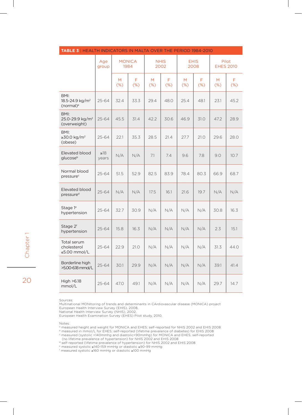| <b>IABLE 3</b>   HEALTH INDICATORS IN MALTA OVER THE PERIOD 1984-2010 |                    |                       |             |                     |             |                     |           |                           |             |
|-----------------------------------------------------------------------|--------------------|-----------------------|-------------|---------------------|-------------|---------------------|-----------|---------------------------|-------------|
|                                                                       | Age<br>group       | <b>MONICA</b><br>1984 |             | <b>NHIS</b><br>2002 |             | <b>EHIS</b><br>2008 |           | Pilot<br><b>EHES 2010</b> |             |
|                                                                       |                    | M<br>(%)              | F<br>$(\%)$ | M<br>$(\%)$         | F<br>$(\%)$ | M<br>$(\%)$         | F.<br>(%) | M<br>$(\%)$               | F<br>$(\%)$ |
| BMI:<br>18.5-24.9 kg/m <sup>2</sup><br>(normal) <sup>a</sup>          | $25 - 64$          | 32.4                  | 33.3        | 29.4                | 48.0        | 25.4                | 48.1      | 23.1                      | 45.2        |
| BMI:<br>25.0-29.9 kg/m <sup>2</sup><br>(overweight)                   | $25 - 64$          | 45.5                  | 31.4        | 42.2                | 30.6        | 46.9                | 31.0      | 47.2                      | 28.9        |
| BMI:<br>≥30.0 kg/m <sup>2</sup><br>(obese)                            | $25 - 64$          | 22.1                  | 35.3        | 28.5                | 21.4        | 27.7                | 21.0      | 29.6                      | 28.0        |
| Elevated blood<br>glucoseb                                            | $\geq 18$<br>years | N/A                   | N/A         | 7.1                 | 7.4         | 9.6                 | 7.8       | 9.0                       | 10.7        |
| Normal blood<br>pressure <sup>c</sup>                                 | 25-64              | 51.5                  | 52.9        | 82.5                | 83.9        | 78.4                | 80.3      | 66.9                      | 68.7        |
| Elevated blood<br>pressure <sup>d</sup>                               | $25 - 64$          | N/A                   | N/A         | 17.5                | 16.1        | 21.6                | 19.7      | N/A                       | N/A         |
| Stage 1 <sup>e</sup><br>hypertension                                  | 25-64              | 32.7                  | 30.9        | N/A                 | N/A         | N/A                 | N/A       | 30.8                      | 16.3        |
| Stage 2f<br>hypertension                                              | $25 - 64$          | 15.8                  | 16.3        | N/A                 | N/A         | N/A                 | N/A       | 2.3                       | 15.1        |
| Total serum<br>cholesterol<br>≤5.00 mmol/L                            | $25 - 64$          | 22.9                  | 21.0        | N/A                 | N/A         | N/A                 | N/A       | 31.3                      | 44.0        |
| Borderline high<br>>5.00-6.18 mmol/L                                  | $25 - 64$          | 30.1                  | 29.9        | N/A                 | N/A         | N/A                 | N/A       | 39.1                      | 41.4        |
| High >6.18<br>mmol/L                                                  | 25-64              | 47.0                  | 49.1        | N/A                 | N/A         | N/A                 | N/A       | 29.7                      | 14.7        |

### **table 3** | Health Indicators in Malta over the period 1984-2010

Sources:

20

20

Chapter 1

Multinational MONItoring of trends and determinants in CArdiovascular disease (MONICA) project

European Health Interview Survey (EHIS), 2008,

National Health Interview Survey (NHIS), 2002,

European Health Examination Survey (EHES) Pilot study, 2010,

Notes:

<sup>a</sup> measured height and weight for MONICA and EHES; self-reported for NHIS 2002 and EHIS 2008

 $^{\rm b}$  measured in mmol/L for EHES; self-reported (lifetime prevalence of diabetes) for EHIS 2008

<sup>c</sup> measured (systolic <140mmhg and diastolic<90mmhg) for MONICA and EHES; self-reported

(no lifetime prevalence of hypertension) for NHIS 2002 and EHIS 2008

d self-reported (lifetime prevalence of hypertension) for NHIS 2002 and EHIS 2008

e measured systolic ≥140-159 mmHg or diastolic ≥90-99 mmHg f measured systolic ≥160 mmHg or diastolic ≥100 mmHg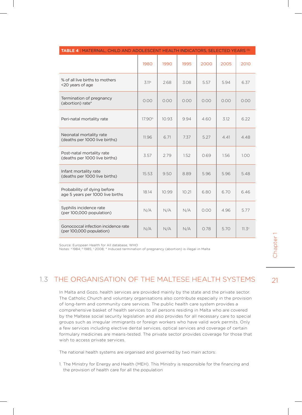| <b>TABLE 4</b>   MATERNAL, CHILD AND ADOLESCENT HEALTH INDICATORS, SELECTED YEARS <sup>(5)</sup> |                    |       |       |      |      |                   |
|--------------------------------------------------------------------------------------------------|--------------------|-------|-------|------|------|-------------------|
|                                                                                                  | 1980               | 1990  | 1995  | 2000 | 2005 | 2010              |
| % of all live births to mothers<br><20 years of age                                              | 3.11a              | 2.68  | 3.08  | 5.57 | 5.94 | 6.37              |
| Termination of pregnancy<br>(abortion) rate*                                                     | 0.00               | 0.00  | 0.00  | 0.00 | 0.00 | 0.00              |
| Peri-natal mortality rate                                                                        | 17.90 <sup>b</sup> | 10.93 | 9.94  | 4.60 | 3.12 | 6.22              |
| Neonatal mortality rate<br>(deaths per 1000 live births)                                         | 11.96              | 6.71  | 7.37  | 5.27 | 4.41 | 4.48              |
| Post-natal mortality rate<br>(deaths per 1000 live births)                                       | 3.57               | 2.79  | 1.52  | 0.69 | 1.56 | 1.00              |
| Infant mortality rate<br>(deaths per 1000 live births)                                           | 15.53              | 9.50  | 8.89  | 5.96 | 5.96 | 5.48              |
| Probability of dying before<br>age 5 years per 1000 live births                                  | 18.14              | 10.99 | 10.21 | 6.80 | 6.70 | 6.46              |
| Syphilis incidence rate<br>(per 100,000 population)                                              | N/A                | N/A   | N/A   | 0.00 | 4.96 | 5.77              |
| Gonococcal infection incidence rate<br>(per 100,000 population)                                  | N/A                | N/A   | N/A   | 0.78 | 5.70 | 11.3 <sup>c</sup> |

Source: European Health for All database, WHO

Notes: a 1984; <sup>b</sup>1985; <sup>c</sup>2008; \* Induced termination of pregnancy (abortion) is illegal in Malta

# 1.3 The organisation of the Maltese Health SystemS

In Malta and Gozo, health services are provided mainly by the state and the private sector. The Catholic Church and voluntary organisations also contribute especially in the provision of long-term and community care services. The public health care system provides a comprehensive basket of health services to all persons residing in Malta who are covered by the Maltese social security legislation and also provides for all necessary care to special groups such as irregular immigrants or foreign workers who have valid work permits. Only a few services including elective dental services, optical services and coverage of certain formulary medicines are means-tested. The private sector provides coverage for those that wish to access private services.

The national health systems are organised and governed by two main actors:

1. The Ministry for Energy and Health (MEH). This Ministry is responsible for the financing and the provision of health care for all the population

# 21<br>Chapter 1 Chapter<sup>1</sup>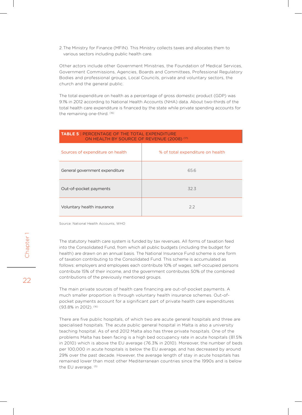2.The Ministry for Finance (MFIN). This Ministry collects taxes and allocates them to various sectors including public health care.

Other actors include other Government Ministries, the Foundation of Medical Services, Government Commissions, Agencies, Boards and Committees, Professional Regulatory Bodies and professional groups, Local Councils, private and voluntary sectors, the church and the general public.

The total expenditure on health as a percentage of gross domestic product (GDP) was 9.1% in 2012 according to National Health Accounts (NHA) data. About two-thirds of the total health care expenditure is financed by the state while private spending accounts for the remaining one-third. (16)

| <b>TABLE 5   PERCENTAGE OF THE TOTAL EXPENDITURE</b><br>ON HEALTH BY SOURCE OF REVENUE (2008) <sup>(17)</sup> |                                  |  |  |  |  |
|---------------------------------------------------------------------------------------------------------------|----------------------------------|--|--|--|--|
| Sources of expenditure on health                                                                              | % of total expenditure on health |  |  |  |  |
| General government expenditure                                                                                | 65.6                             |  |  |  |  |
| Out-of-pocket payments                                                                                        | 32.3                             |  |  |  |  |
| Voluntary health insurance                                                                                    | 2.2                              |  |  |  |  |

Source: National Health Accounts, WHO

The statutory health care system is funded by tax revenues. All forms of taxation feed into the Consolidated Fund, from which all public budgets (including the budget for health) are drawn on an annual basis. The National Insurance Fund scheme is one form of taxation contributing to the Consolidated Fund. This scheme is accumulated as follows: employers and employees each contribute 10% of wages, self-occupied persons contribute 15% of their income, and the government contributes 50% of the combined contributions of the previously mentioned groups.

The main private sources of health care financing are out-of-pocket payments. A much smaller proportion is through voluntary health insurance schemes. Out-ofpocket payments account for a significant part of private health care expenditures (93.8% in 2012). (16)

There are five public hospitals, of which two are acute general hospitals and three are specialised hospitals. The acute public general hospital in Malta is also a university teaching hospital. As of end 2012 Malta also has three private hospitals. One of the problems Malta has been facing is a high bed occupancy rate in acute hospitals (81.5% in 2010) which is above the EU average (76.3% in 2010). Moreover, the number of beds per 100,000 in acute hospitals is below the EU average, and has decreased by around 29% over the past decade. However, the average length of stay in acute hospitals has remained lower than most other Mediterranean countries since the 1990s and is below the EU average. (5)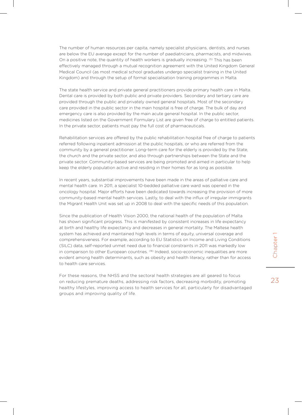The number of human resources per capita, namely specialist physicians, dentists, and nurses are below the EU average except for the number of paediatricians, pharmacists, and midwives. On a positive note, the quantity of health workers is gradually increasing. <sup>(5)</sup> This has been effectively managed through a mutual recognition agreement with the United Kingdom General Medical Council (as most medical school graduates undergo specialist training in the United Kingdom) and through the setup of formal specialisation training programmes in Malta.

The state health service and private general practitioners provide primary health care in Malta. Dental care is provided by both public and private providers. Secondary and tertiary care are provided through the public and privately owned general hospitals. Most of the secondary care provided in the public sector in the main hospital is free of charge. The bulk of day and emergency care is also provided by the main acute general hospital. In the public sector, medicines listed on the Government Formulary List are given free of charge to entitled patients. In the private sector, patients must pay the full cost of pharmaceuticals.

Rehabilitation services are offered by the public rehabilitation hospital free of charge to patients referred following inpatient admission at the public hospitals, or who are referred from the community by a general practitioner. Long-term care for the elderly is provided by the State, the church and the private sector, and also through partnerships between the State and the private sector. Community-based services are being promoted and aimed in particular to help keep the elderly population active and residing in their homes for as long as possible.

In recent years, substantial improvements have been made in the areas of palliative care and mental health care. In 2011, a specialist 10-bedded palliative care ward was opened in the oncology hospital. Major efforts have been dedicated towards increasing the provision of more community-based mental health services. Lastly, to deal with the influx of irregular immigrants the Migrant Health Unit was set up in 2008 to deal with the specific needs of this population.

Since the publication of Health Vision 2000, the national health of the population of Malta has shown significant progress. This is manifested by consistent increases in life expectancy at birth and healthy life expectancy and decreases in general mortality. The Maltese health system has achieved and maintained high levels in terms of equity, universal coverage and comprehensiveness. For example, according to EU Statistics on Income and Living Conditions (SILC) data, self-reported unmet need due to financial constraints in 2011 was markedly low in comparison to other European countries. <sup>(18)</sup> Indeed, socio-economic inequalities are more evident among health determinants, such as obesity and health literacy, rather than for access to health care services.

For these reasons, the NHSS and the sectoral health strategies are all geared to focus on reducing premature deaths, addressing risk factors, decreasing morbidity, promoting healthy lifestyles, improving access to health services for all, particularly for disadvantaged groups and improving quality of life.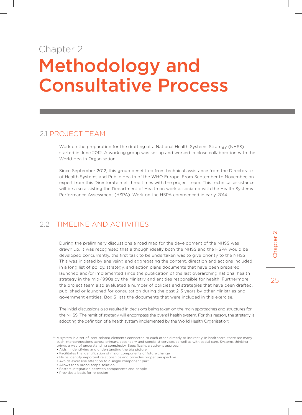# Chapter 2 Methodology and Consultative Process

Work on the preparation for the drafting of a National Health Systems Strategy (NHSS) started in June 2012. A working group was set up and worked in close collaboration with the World Health Organisation.

Since September 2012, this group benefitted from technical assistance from the Directorate of Health Systems and Public Health of the WHO Europe. From September to November, an expert from this Directorate met three times with the project team. This technical assistance will be also assisting the Department of Health on work associated with the Health Systems Performance Assessment (HSPA). Work on the HSPA commenced in early 2014.

# 2.2 Timeline and activities

2.1 PROJECT TEAM<br>
work on the preparation for the drafting of a National Health Systems Strategy (NHSS)<br>
stated in June 2012. A working group was set up and worked in close collaboration with the<br>
started in June 2012. Hi During the preliminary discussions a road map for the development of the NHSS was drawn up. It was recognised that although ideally both the NHSS and the HSPA would be developed concurrently, the first task to be undertaken was to give priority to the NHSS. This was initiated by analysing and aggregating the content, direction and actions included in a long list of policy, strategy, and action plans documents that have been prepared, launched and/or implemented since the publication of the last overarching national health strategy in the mid-1990s by the Ministry and entities responsible for health. Furthermore, the project team also evaluated a number of policies and strategies that have been drafted, published or launched for consultation during the past 2-3 years by other Ministries and government entities. Box 3 lists the documents that were included in this exercise.

The initial discussions also resulted in decisions being taken on the main approaches and structures for the NHSS. The remit of strategy will encompass the overall health system. For this reason, the strategy is adopting the definition of a health system implemented by the World Health Organisation:

• Helps identify important relationships and provides proper perspective

- Allows for a broad scope solution
- Fosters integration between components and people
- Provides a basis for re-design

<sup>\*</sup> A system is a set of inter-related elements connected to each other, directly or indirectly. In healthcare, there are many such interconnections across primary, secondary and specialist services as well as with social care. Systems thinking brings a way of understanding complexity. Specifically, a systems approach:

<sup>•</sup> Aids in identifying and understanding the big picture

<sup>•</sup> Facilitates the identification of major components of future change

<sup>•</sup> Avoids excessive attention to a single component part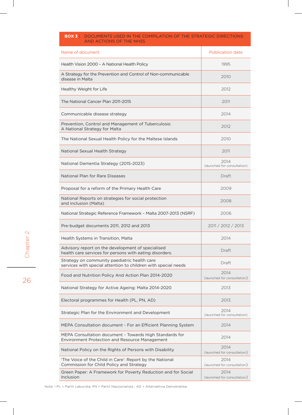### **Box 3** | Documents used in the compilation of the strategic directions and actions of the NHSS

| Name of document                                                                                                 | <b>Publication date</b>             |
|------------------------------------------------------------------------------------------------------------------|-------------------------------------|
| Health Vision 2000 - A National Health Policy                                                                    | 1995                                |
| A Strategy for the Prevention and Control of Non-communicable<br>disease in Malta                                | 2010                                |
| Healthy Weight for Life                                                                                          | 2012                                |
| The National Cancer Plan 2011-2015                                                                               | 2011                                |
| Communicable disease strategy                                                                                    | 2014                                |
| Prevention, Control and Management of Tuberculosis:<br>A National Strategy for Malta                             | 2012                                |
| The National Sexual Health Policy for the Maltese Islands                                                        | 2010                                |
| National Sexual Health Strategy                                                                                  | 2011                                |
| National Dementia Strategy (2015-2023)                                                                           | 2014<br>(launched for consultation) |
| National Plan for Rare Diseases                                                                                  | Draft                               |
| Proposal for a reform of the Primary Health Care                                                                 | 2009                                |
| National Reports on strategies for social protection<br>and inclusion (Malta)                                    | 2008                                |
| National Strategic Reference Framework - Malta 2007-2013 (NSRF)                                                  | 2006                                |
| Pre-budget documents 2011, 2012 and 2013                                                                         | 2011 / 2012 / 2013                  |
| Health Systems in Transition, Malta                                                                              | 2014                                |
| Advisory report on the development of specialised<br>health care services for persons with eating disorders.     | Draft                               |
| Strategy on community paediatric health care<br>services with special attention to children with special needs   | Draft                               |
| Food and Nutrition Policy And Action Plan 2014-2020                                                              | 2014<br>(launched for consultation) |
| National Strategy for Active Ageing: Malta 2014-2020                                                             | 2013                                |
| Electoral programmes for Health (PL, PN, AD)                                                                     | 2013                                |
| Strategic Plan for the Environment and Development                                                               | 2014<br>(launched for consultation) |
| MEPA Consultation document - For an Efficient Planning System                                                    | 2014                                |
| MEPA Consultation document - Towards High Standards for<br><b>Environment Protection and Resource Management</b> | 2014                                |
| National Policy on the Rights of Persons with Disability                                                         | 2014<br>(launched for consultation) |
| 'The Voice of the Child in Care': Report by the National<br>Commission for Child Policy and Strategy             | 2014<br>(launched for consultation) |
| Green Paper: A Framework for Poverty Reduction and for Social<br>Inclusion                                       | 2014<br>(launched for consultation) |

26

Note: a PL = Partit Laburista; PN = Partit Nazzjonalista ; AD = Alternattiva Demokratika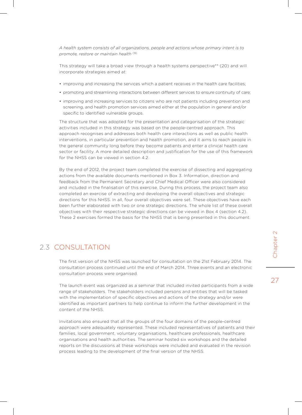*A health system consists of all organizations, people and actions whose primary intent is to promote, restore or maintain health* (19)

This strategy will take a broad view through a health systems perspective\*\* (20) and will incorporate strategies aimed at:

- improving and increasing the services which a patient receives in the health care facilities;
- • promoting and streamlining interactions between different services to ensure continuity of care;
- improving and increasing services to citizens who are not patients including prevention and screening, and health promotion services aimed either at the population in general and/or specific to identified vulnerable groups.

The structure that was adopted for the presentation and categorisation of the strategic activities included in this strategy was based on the people-centred approach. This approach recognises and addresses both health care interactions as well as public health interventions, in particular prevention and health promotion, and it aims to reach people in the general community long before they become patients and enter a clinical health care sector or facility. A more detailed description and justification for the use of this framework for the NHSS can be viewed in section 4.2.

By the end of 2012, the project team completed the exercise of dissecting and aggregating actions from the available documents mentioned in Box 3. Information, direction and feedback from the Permanent Secretary and Chief Medical Officer were also considered and included in the finalisation of this exercise. During this process, the project team also completed an exercise of extracting and developing the overall objectives and strategic directions for this NHSS. In all, four overall objectives were set. These objectives have each been further elaborated with two or one strategic directions. The whole list of these overall objectives with their respective strategic directions can be viewed in Box 4 (section 4.2). These 2 exercises formed the basis for the NHSS that is being presented in this document.

# 2.3 CONSULTATION

The first version of the NHSS was launched for consultation on the 21st February 2014. The consultation process continued until the end of March 2014. Three events and an electronic consultation process were organised.

The launch event was organized as a seminar that included invited participants from a wide range of stakeholders. The stakeholders included persons and entities that will be tasked with the implementation of specific objectives and actions of the strategy and/or were identified as important partners to help continue to inform the further development in the content of the NHSS.

Invitations also ensured that all the groups of the four domains of the people-centred approach were adequately represented. These included representatives of patients and their families, local government, voluntary organisations, healthcare professionals, healthcare organisations and health authorities. The seminar hosted six workshops and the detailed reports on the discussions at these workshops were included and evaluated in the revision process leading to the development of the final version of the NHSS.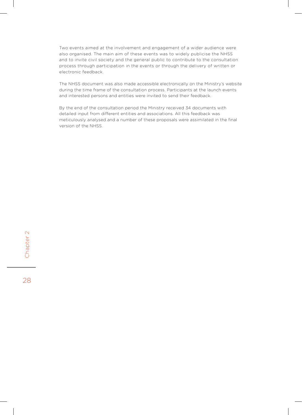Two events aimed at the involvement and engagement of a wider audience were also organised. The main aim of these events was to widely publicise the NHSS and to invite civil society and the general public to contribute to the consultation process through participation in the events or through the delivery of written or electronic feedback.

The NHSS document was also made accessible electronically on the Ministry's website during the time frame of the consultation process. Participants at the launch events and interested persons and entities were invited to send their feedback.

By the end of the consultation period the Ministry received 34 documents with detailed input from different entities and associations. All this feedback was meticulously analysed and a number of these proposals were assimilated in the final version of the NHSS.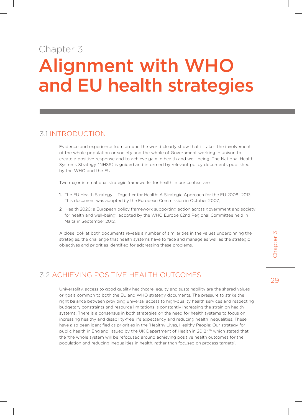# Chapter 3 Alignment with WHO and EU health strategies

## 3.1 Introduction

Evidence and experience from around the world clearly show that it takes the involvement of the whole population or society and the whole of Government working in unison to create a positive response and to achieve gain in health and well-being. The National Health Systems Strategy (NHSS) is guided and informed by relevant policy documents published by the WHO and the EU.

Two major international strategic frameworks for health in our context are:

- 1. The EU Health Strategy 'Together for Health: A Strategic Approach for the EU 2008- 2013'. This document was adopted by the European Commission in October 2007;
- 2. 'Health 2020: a European policy framework supporting action across government and society for health and well-being', adopted by the WHO Europe 62nd Regional Committee held in Malta in September 2012.

A close look at both documents reveals a number of similarities in the values underpinning the strategies, the challenge that health systems have to face and manage as well as the strategic objectives and priorities identified for addressing these problems.

# 3.2 Achieving positive health outcomes

Universality, access to good quality healthcare, equity and sustainability are the shared values or goals common to both the EU and WHO strategy documents. The pressure to strike the right balance between providing universal access to high-quality health services and respecting budgetary constraints and resource limitations is constantly increasing the strain on health systems. There is a consensus in both strategies on the need for health systems to focus on increasing healthy and disability-free life expectancy and reducing health inequalities. These have also been identified as priorities in the 'Healthy Lives, Healthy People: Our strategy for public health in England' issued by the UK Department of Health in 2012<sup>(21)</sup> which stated that the 'the whole system will be refocused around achieving positive health outcomes for the population and reducing inequalities in health, rather than focused on process targets'.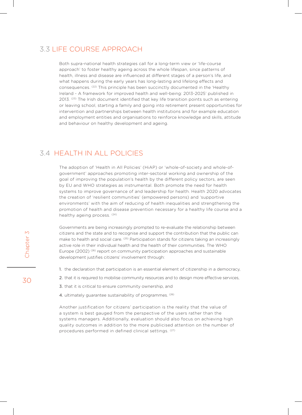# 3.3 Life course approach

Both supra-national health strategies call for a long-term view or 'life-course approach' to foster healthy ageing across the whole lifespan, since patterns of health, illness and disease are influenced at different stages of a person's life, and what happens during the early years has long-lasting and lifelong effects and consequences. (22) This principle has been succinctly documented in the 'Healthy Ireland - A framework for improved health and well-being: 2013-2025' published in 2013. <sup>(23)</sup> The Irish document identified that key life transition points such as entering or leaving school, starting a family and going into retirement present opportunities for intervention and partnerships between health institutions and for example education and employment entities and organisations to reinforce knowledge and skills, attitude and behaviour on healthy development and ageing.

## 3.4 Health in All Policies

The adoption of 'Health in All Policies' (HiAP) or 'whole-of-society and whole-ofgovernment' approaches promoting inter-sectoral working and ownership of the goal of improving the population's health by the different policy sectors, are seen by EU and WHO strategies as instrumental. Both promote the need for health systems to improve governance of and leadership for health. Health 2020 advocates the creation of 'resilient communities' (empowered persons) and 'supportive environments' with the aim of reducing of health inequalities and strengthening the promotion of health and disease prevention necessary for a healthy life course and a healthy ageing process. (24)

Governments are being increasingly prompted to re-evaluate the relationship between citizens and the state and to recognise and support the contribution that the public can make to health and social care. <sup>(25)</sup> Participation stands for citizens taking an increasingly active role in their individual health and the health of their communities. The WHO Europe (2002)  $(26)$  report on community participation approaches and sustainable development justifies citizens' involvement through:

- 1. the declaration that participation is an essential element of citizenship in a democracy,
- 2. that it is required to mobilise community resources and to design more effective services,
- 3. that it is critical to ensure community ownership, and
- 4. ultimately guarantee sustainability of programmes. (26)

Another justification for citizens' participation is the reality that the value of a system is best gauged from the perspective of the users rather than the systems managers. Additionally, evaluation should also focus on achieving high quality outcomes in addition to the more publicised attention on the number of procedures performed in defined clinical settings. (27)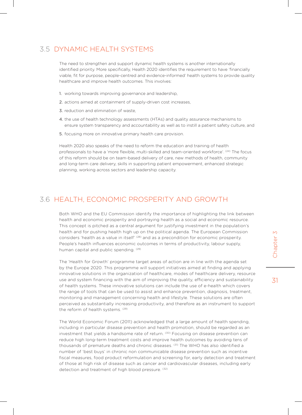# 3.5 dynamic health systemS

The need to strengthen and support dynamic health systems is another internationally identified priority. More specifically, Health 2020 identifies the requirement to have 'financially viable, fit for purpose, people-centred and evidence-informed' health systems to provide quality healthcare and improve health outcomes. This involves:

- 1. working towards improving governance and leadership,
- 2. actions aimed at containment of supply-driven cost increases,
- 3. reduction and elimination of waste,
- 4. the use of health technology assessments (HTAs) and quality assurance mechanisms to ensure system transparency and accountability as well as to instill a patient safety culture, and
- 5. focusing more on innovative primary health care provision.

Health 2020 also speaks of the need to reform the education and training of health professionals to have a 'more flexible, multi-skilled and team-oriented workforce'. (24) The focus of this reform should be on team-based delivery of care, new methods of health, community and long-term care delivery, skills in supporting patient empowerment, enhanced strategic planning, working across sectors and leadership capacity.

## 3.6 Health, economic prosperity and growth

Both WHO and the EU Commission identify the importance of highlighting the link between health and economic prosperity and portraying health as a social and economic resource. This concept is pitched as a central argument for justifying investment in the population's health and for pushing health high up on the political agenda. The European Commission considers 'health as a value in itself' (28) and as a precondition for economic prosperity. People's health influences economic outcomes in terms of productivity, labour supply, human capital and public spending. (29)

The 'Health for Growth' programme target areas of action are in line with the agenda set by the Europe 2020. This programme will support initiatives aimed at finding and applying innovative solutions in the organization of healthcare, modes of healthcare delivery, resource use and system financing with the aim of improving the quality, efficiency and sustainability of health systems. These innovative solutions can include the use of e-health which covers the range of tools that can be used to assist and enhance prevention, diagnosis, treatment, monitoring and management concerning health and lifestyle. These solutions are often perceived as substantially increasing productivity, and therefore as an instrument to support the reform of health systems. (29)

The World Economic Forum (2011) acknowledged that a large amount of health spending, including in particular disease prevention and health promotion, should be regarded as an investment that yields a handsome rate of return. <sup>(30)</sup> Focusing on disease prevention can reduce high long-term treatment costs and improve health outcomes by avoiding tens of thousands of premature deaths and chronic diseases. (31) The WHO has also identified a number of 'best buys' in chronic non communicable disease prevention such as incentive fiscal measures, food product reformulation and screening for, early detection and treatment of those at high risk of disease such as cancer and cardiovascular diseases, including early detection and treatment of high blood pressure. (32)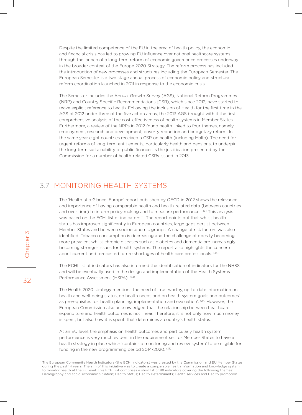Despite the limited competence of the EU in the area of health policy, the economic and financial crisis has led to growing EU influence over national healthcare systems through the launch of a long-term reform of economic governance processes underway in the broader context of the Europe 2020 Strategy. The reform process has included the introduction of new processes and structures including the European Semester. The European Semester is a two stage annual process of economic policy and structural reform coordination launched in 2011 in response to the economic crisis.

The Semester includes the Annual Growth Survey (AGS), National Reform Programmes (NRP) and Country Specific Recommendations (CSR), which since 2012, have started to make explicit reference to health. Following the inclusion of Health for the first time in the AGS of 2012 under three of the five action areas, the 2013 AGS brought with it the first comprehensive analysis of the cost-effectiveness of health systems in Member States. Furthermore, a review of the NRPs in 2012 found health linked to four themes, namely employment, research and development, poverty reduction and budgetary reform. In the same year eight countries received a CSR on health (including Malta). The need for urgent reforms of long-term entitlements, particularly health and pensions, to underpin the long-term sustainability of public finances is the justification presented by the Commission for a number of health-related CSRs issued in 2013.

# 3.7 Monitoring Health SystemS

The 'Health at a Glance: Europe' report published by OECD in 2012 shows the relevance and importance of having comparable health and health-related data (between countries and over time) to inform policy making and to measure performance. <sup>(33)</sup> This analysis was based on the ECHI list of indicators<sup>++</sup>. The report points out that whilst health status has improved significantly in European countries, large gaps persist between Member States and between socioeconomic groups. A change of risk factors was also identified. Tobacco consumption is decreasing and the challenge of obesity becoming more prevalent whilst chronic diseases such as diabetes and dementia are increasingly becoming stronger issues for health systems. The report also highlights the concern about current and forecasted future shortages of health care professionals. (34)

The ECHI list of indicators has also informed the identification of indicators for the NHSS and will be eventually used in the design and implementation of the Health Systems Performance Assessment (HSPA). (34)

The Health 2020 strategy mentions the need of 'trustworthy, up-to-date information on health and well-being status, on health needs and on health system goals and outcomes' as prerequisites for 'health planning, implementation and evaluation'.  $(24)$  However, the European Commission also acknowledged that the relationship between healthcare expenditure and health outcomes is not linear. Therefore, it is not only how much money is spent, but also how it is spent, that determines a country's health status.

At an EU level, the emphasis on health outcomes and particularly health system performance is very much evident in the requirement set for Member States to have a health strategy in place which 'contains a monitoring and review system' to be eligible for funding in the new programming period 2014-2020. (35)

<sup>††</sup> The European Community Health Indicators (the ECHI indicators) was created by the Commission and EU Member States during the past 14 years. The aim of this initiative was to create a comparable health information and knowledge system to monitor health at the EU level. This ECHI list comprises a shortlist of 88 indicators covering the following themes: Demography and socio-economic situation; Health Status; Health Determinants; Health services and Health promotion.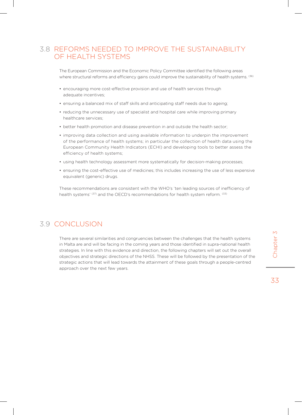# 3.8 Reforms needed to improve the sustainability of health systems

The European Commission and the Economic Policy Committee identified the following areas where structural reforms and efficiency gains could improve the sustainability of health systems. <sup>(36)</sup>

- encouraging more cost-effective provision and use of health services through adequate incentives;
- ensuring a balanced mix of staff skills and anticipating staff needs due to ageing;
- reducing the unnecessary use of specialist and hospital care while improving primary healthcare services;
- better health promotion and disease prevention in and outside the health sector;
- improving data collection and using available information to underpin the improvement of the performance of health systems; in particular the collection of health data using the European Community Health Indicators (ECHI) and developing tools to better assess the efficiency of health systems;
- using health technology assessment more systematically for decision-making processes;
- • ensuring the cost-effective use of medicines; this includes increasing the use of less expensive equivalent (generic) drugs.

These recommendations are consistent with the WHO's 'ten leading sources of inefficiency of health systems' (37) and the OECD's recommendations for health system reform. (33)

# 3.9 Conclusion

There are several similarities and congruencies between the challenges that the health systems in Malta are and will be facing in the coming years and those identified in supra-national health strategies. In line with this evidence and direction, the following chapters will set out the overall objectives and strategic directions of the NHSS. These will be followed by the presentation of the strategic actions that will lead towards the attainment of these goals through a people-centred approach over the next few years.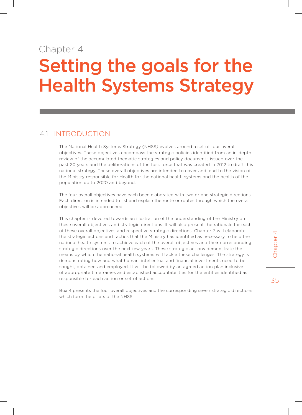# Chapter 4

# Setting the goals for the Health Systems Strategy

## 4.1 Introduction

The National Health Systems Strategy (NHSS) evolves around a set of four overall objectives. These objectives encompass the strategic policies identified from an in-depth review of the accumulated thematic strategies and policy documents issued over the past 20 years and the deliberations of the task force that was created in 2012 to draft this national strategy. These overall objectives are intended to cover and lead to the vision of the Ministry responsible for Health for the national health systems and the health of the population up to 2020 and beyond.

The four overall objectives have each been elaborated with two or one strategic directions. Each direction is intended to list and explain the route or routes through which the overall objectives will be approached.

This chapter is devoted towards an illustration of the understanding of the Ministry on these overall objectives and strategic directions. It will also present the rationale for each of these overall objectives and respective strategic directions. Chapter 7 will elaborate the strategic actions and tactics that the Ministry has identified as necessary to help the national health systems to achieve each of the overall objectives and their corresponding strategic directions over the next few years. These strategic actions demonstrate the means by which the national health systems will tackle these challenges. The strategy is demonstrating how and what human, intellectual and financial investments need to be sought, obtained and employed. It will be followed by an agreed action plan inclusive of appropriate timeframes and established accountabilities for the entities identified as responsible for each action or set of actions.

Box 4 presents the four overall objectives and the corresponding seven strategic directions which form the pillars of the NHSS.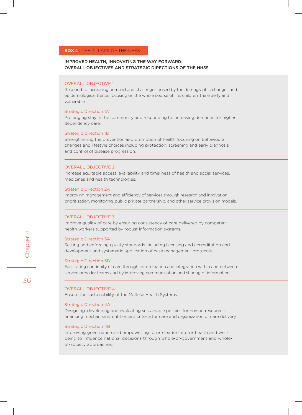### IMPROVED HEALTH, INNOVATING THE WAY FORWARD: OVERALL OBJECTIVES AND STRATEGIC DIRECTIONS OF THE NHSS

### Overall Objective 1

Respond to increasing demand and challenges posed by the demographic changes and epidemiological trends focusing on the whole course of life, children, the elderly and vulnerable.

### Strategic Direction 1A

Prolonging stay in the community and responding to increasing demands for higher dependency care.

### Strategic Direction 1B

Strengthening the prevention and promotion of health focusing on behavioural changes and lifestyle choices including protection, screening and early diagnosis and control of disease progression.

### Overall Objective 2

Increase equitable access, availability and timeliness of health and social services, medicines and health technologies.

### Strategic Direction 2A

Improving management and efficiency of services through research and innovation, prioritisation, monitoring, public private partnership, and other service provision models.

### Overall Objective 3

Improve quality of care by ensuring consistency of care delivered by competent health workers supported by robust information systems.

### Strategic Direction 3A

Setting and enforcing quality standards including licensing and accreditation and development and systematic application of case management protocols.

### Strategic Direction 3B

Facilitating continuity of care through co-ordination and integration within and between service provider teams and by improving communication and sharing of information.

### Overall Objective 4

Ensure the sustainability of the Maltese Health Systems.

### Strategic Direction 4A

Designing, developing and evaluating sustainable policies for human resources, financing mechanisms, entitlement criteria for care and organization of care delivery.

### Strategic Direction 4B

Improving governance and empowering future leadership for health and wellbeing to influence national decisions through whole-of-government and wholeof-society approaches.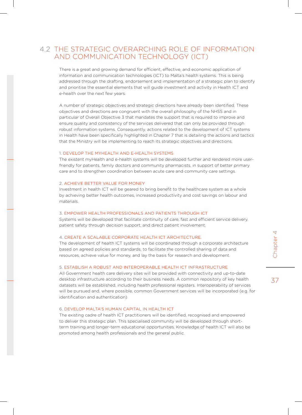## 4.2 THE STRATEGIC OVERARCHING ROLE OF INFORMATION AND COMMUNICATION TECHNOLOGY (ICT)

There is a great and growing demand for efficient, effective, and economic application of information and communication technologies (ICT) to Malta's health systems. This is being addressed through the drafting, endorsement and implementation of a strategic plan to identify and prioritise the essential elements that will guide investment and activity in Health ICT and e-health over the next few years.

A number of strategic objectives and strategic directions have already been identified. These objectives and directions are congruent with the overall philosophy of the NHSS and in particular of Overall Objective 3 that mandates the support that is required to improve and ensure quality and consistency of the services delivered that can only be provided through robust information systems. Consequently, actions related to the development of ICT systems in Health have been specifically highlighted in Chapter 7 that is detailing the actions and tactics that the Ministry will be implementing to reach its strategic objectives and directions.

#### 1. DEVELOP THE MYHEALTH AND E-HEALTH SYSTEMS

The existent myHealth and e-health systems will be developed further and rendered more userfriendly for patients, family doctors and community pharmacists, in support of better primary care and to strengthen coordination between acute care and community care settings.

#### 2. Achieve better value for money

Investment in health ICT will be geared to bring benefit to the healthcare system as a whole by achieving better health outcomes, increased productivity and cost savings on labour and materials.

#### 3. Empower health professionals and patients through ICT

Systems will be developed that facilitate continuity of care, fast and efficient service delivery, patient safety through decision support, and direct patient involvement.

#### 4. Create a scalable corporate health ICT architecture.

The development of health ICT systems will be coordinated through a corporate architecture based on agreed policies and standards, to facilitate the controlled sharing of data and resources, achieve value for money, and lay the basis for research and development.

#### 5. Establish a robust and interoperable health ICT infrastructure

All Government health care delivery sites will be provided with connectivity and up-to-date desktop infrastructure according to their business needs. A common repository of key health datasets will be established, including health professional registers. Interoperability of services will be pursued and, where possible, common Government services will be incorporated (e.g. for identification and authentication)

#### 6. Develop Malta's human capital in health ICT

The existing cadre of health ICT practitioners will be identified, recognised and empowered to deliver this strategic plan. This specialised community will be developed through shortterm training and longer-term educational opportunities. Knowledge of health ICT will also be promoted among health professionals and the general public.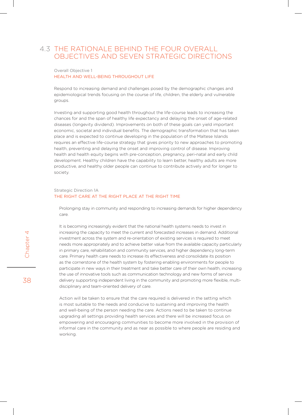## 4.3 The rationale behind the four overall objectives and seven strategic directions

#### Overall Objective 1 HEALTH AND Well-being THROUGHOUT LIFE

Respond to increasing demand and challenges posed by the demographic changes and epidemiological trends focusing on the course of life, children, the elderly and vulnerable groups.

Investing and supporting good health throughout the life-course leads to increasing the chances for and the span of healthy life expectancy and delaying the onset of age-related diseases (longevity dividend). Improvements on both of these goals can yield important economic, societal and individual benefits. The demographic transformation that has taken place and is expected to continue developing in the population of the Maltese Islands requires an effective life-course strategy that gives priority to new approaches to promoting health, preventing and delaying the onset and improving control of disease. Improving health and health equity begins with pre-conception, pregnancy, peri-natal and early child development. Healthy children have the capability to learn better, healthy adults are more productive, and healthy older people can continue to contribute actively and for longer to society.

#### Strategic Direction 1A THE RIGHT CARE AT THE RIGHT PLACE AT THE RIGHT TIME

Prolonging stay in community and responding to increasing demands for higher dependency care.

It is becoming increasingly evident that the national health systems needs to invest in increasing the capacity to meet the current and forecasted increases in demand. Additional investment across the system and re-orientation of existing services is required to meet needs more appropriately and to achieve better value from the available capacity particularly in primary care, rehabilitation and community services, and higher dependency long-term care. Primary health care needs to increase its effectiveness and consolidate its position as the cornerstone of the health system by fostering enabling environments for people to participate in new ways in their treatment and take better care of their own health, increasing the use of innovative tools such as communication technology and new forms of service delivery supporting independent living in the community and promoting more flexible, multidisciplinary and team-oriented delivery of care.

Action will be taken to ensure that the care required is delivered in the setting which is most suitable to the needs and conducive to sustaining and improving the health and well-being of the person needing the care. Actions need to be taken to continue upgrading all settings providing health services and there will be increased focus on empowering and encouraging communities to become more involved in the provision of informal care in the community and as near as possible to where people are residing and working.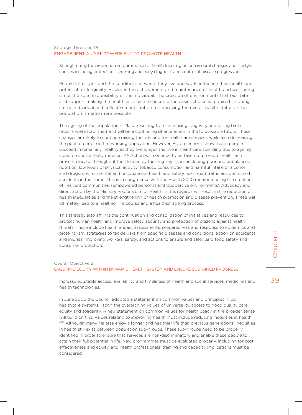#### Strategic Direction 1B ENGAGEMENT AND EMPOWERMENT TO PROMOTE HEALTH

Strengthening the prevention and promotion of health focusing on behavioural changes and lifestyle choices including protection, screening and early diagnosis and control of disease progression.

People's lifestyles and the conditions in which they live and work, influence their health and potential for longevity. However, the achievement and maintenance of health and well-being is not the sole responsibility of the individual. The creation of environments that facilitate and support making the healthier choice to become the easier choice is required. In doing so the individual and collective contribution to improving the overall health status of the population is made more possible.

The ageing of the population in Malta resulting from increasing longevity and falling birth rates is well established and will be a continuing phenomenon in the foreseeable future. These changes are likely to continue raising the demand for healthcare services while also decreasing the pool of people in the working population. However, EU projections show that if people succeed in remaining healthy as they live longer, the rise in healthcare spending due to ageing could be substantially reduced. <sup>(38)</sup> Action will continue to be taken to promote health and prevent disease throughout the lifespan by tackling key issues including poor and unbalanced nutrition, low levels of physical activity, tobacco consumption and harmful intake of alcohol and drugs, environmental and occupational health and safety risks, road traffic accidents, and accidents in the home. This is in congruence with the Health 2020 recommending the creation of 'resilient communities' (empowered persons) and 'supportive environments'. Advocacy and direct action by the Ministry responsible for Health in this regards will result in the reduction of health inequalities and the strengthening of health promotion and disease prevention. These will ultimately lead to a healthier life course and a healthier ageing process.

This strategy also affirms the continuation and consolidation of initiatives and resources to protect human health and improve safety, security and protection of citizens against health threats. These include health impact assessments, preparedness and response to epidemics and bioterrorism, strategies to tackle risks from specific diseases and conditions, action on accidents and injuries, improving workers' safety, and actions to ensure and safeguard food safety and consumer protection.

#### Overall Objective 2

#### ENSURING EQUITY WITHIN DYNAMIC HEALTH SYSTEM AND ENSURE SUSTAINED PROGRESS

Increase equitable access, availability and timeliness of health and social services, medicines and health technologies.

In June 2006 the Council adopted a statement on common values and principles in EU healthcare systems, listing the overarching values of universality, access to good quality care, equity and solidarity. A new statement on common values for health policy in the broader sense will build on this. Values relating to improving health must include reducing inequities in health. (39) Although many Maltese enjoy a longer and healthier life than previous generations, inequities in health still exist between population sub-groups. These sub-groups need to be properly identified in order to ensure that services are non-discriminatory and enable these people to attain their full potential in life. New programmes must be evaluated properly, including for costeffectiveness and equity, and health professionals' training and capacity implications must be considered.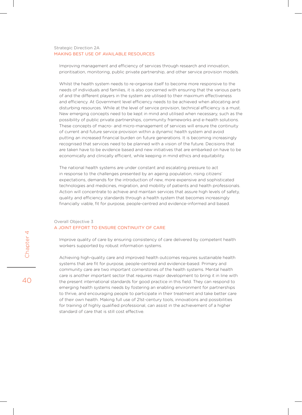#### Strategic Direction 2A MAKING BEST USE OF AVAILABLE RESOURCES

Improving management and efficiency of services through research and innovation, prioritisation, monitoring, public private partnership, and other service provision models.

Whilst the health system needs to re-organise itself to become more responsive to the needs of individuals and families, it is also concerned with ensuring that the various parts of and the different players in the system are utilised to their maximum effectiveness and efficiency. At Government level efficiency needs to be achieved when allocating and disturbing resources. While at the level of service provision, technical efficiency is a must. New emerging concepts need to be kept in mind and utilised when necessary, such as the possibility of public private partnerships, community frameworks and e-health solutions. These concepts of macro- and micro-management of services will ensure the continuity of current and future service provision within a dynamic health system and avoid putting an increased financial burden on future generations. It is becoming increasingly recognised that services need to be planned with a vision of the future. Decisions that are taken have to be evidence based and new initiatives that are embarked on have to be economically and clinically efficient, while keeping in mind ethics and equitability.

The national health systems are under constant and escalating pressure to act in response to the challenges presented by an ageing population, rising citizens' expectations, demands for the introduction of new, more expensive and sophisticated technologies and medicines, migration, and mobility of patients and health professionals. Action will concentrate to achieve and maintain services that assure high levels of safety, quality and efficiency standards through a health system that becomes increasingly financially viable, fit for purpose, people-centred and evidence-informed and based.

#### Overall Objective 3 A JOINT EFFORT TO ENSURE CONTINUITY OF CARE

Improve quality of care by ensuring consistency of care delivered by competent health workers supported by robust information systems.

Achieving high-quality care and improved health outcomes requires sustainable health systems that are fit for purpose, people-centred and evidence-based. Primary and community care are two important cornerstones of the health systems. Mental health care is another important sector that requires major development to bring it in line with the present international standards for good practice in this field. They can respond to emerging health systems needs by fostering an enabling environment for partnerships to thrive, and encouraging people to participate in their treatment and take better care of their own health. Making full use of 21st-century tools, innovations and possibilities for training of highly qualified professional, can assist in the achievement of a higher standard of care that is still cost effective.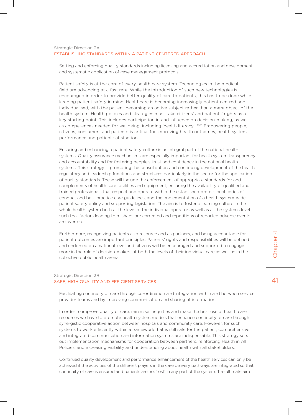#### Strategic Direction 3A ESTABLISHING STANDARDS WITHIN A PATIENT-CENTERED APPROACH

Setting and enforcing quality standards including licensing and accreditation and development and systematic application of case management protocols.

Patient safety is at the core of every health care system. Technologies in the medical field are advancing at a fast rate. While the introduction of such new technologies is encouraged in order to provide better quality of care to patients, this has to be done while keeping patient safety in mind. Healthcare is becoming increasingly patient centred and individualised, with the patient becoming an active subject rather than a mere object of the health system. Health policies and strategies must take citizens' and patients' rights as a key starting point. This includes participation in and influence on decision-making, as well as competences needed for wellbeing, including 'health literacy'. <sup>(39)</sup> Empowering people, citizens, consumers and patients is critical for improving health outcomes, health system performance and patient satisfaction.

Ensuring and enhancing a patient safety culture is an integral part of the national health systems. Quality assurance mechanisms are especially important for health system transparency and accountability and for fostering people's trust and confidence in the national health systems. This strategy is promoting the consolidation and continuing development of the health regulatory and leadership functions and structures particularly in the sector for the application of quality standards. These will include the enforcement of appropriate standards for and complements of health care facilities and equipment, ensuring the availability of qualified and trained professionals that respect and operate within the established professional codes of conduct and best practice care guidelines, and the implementation of a health system-wide patient safety policy and supporting legislation. The aim is to foster a learning culture in the whole health system both at the level of the individual operator as well as at the systems level such that factors leading to mishaps are corrected and repetitions of reported adverse events are averted.

Furthermore, recognizing patients as a resource and as partners, and being accountable for patient outcomes are important principles. Patients' rights and responsibilities will be defined and endorsed on a national level and citizens will be encouraged and supported to engage more in the role of decision-makers at both the levels of their individual care as well as in the collective public health arena.

#### Strategic Direction 3B SAFE, HIGH QUALITY AND EFFICIENT SERVICES

Facilitating continuity of care through co-ordination and integration within and between service provider teams and by improving communication and sharing of information.

In order to improve quality of care, minimise inequities and make the best use of health care resources we have to promote health system models that enhance continuity of care through synergistic cooperative action between hospitals and community care. However, for such systems to work efficiently within a framework that is still safe for the patient, comprehensive and integrated communication and information systems are indispensable. This strategy sets out implementation mechanisms for cooperation between partners, reinforcing Health in All Policies, and increasing visibility and understanding about health with all stakeholders.

Continued quality development and performance enhancement of the health services can only be achieved if the activities of the different players in the care delivery pathways are integrated so that continuity of care is ensured and patients are not 'lost' in any part of the system. The ultimate aim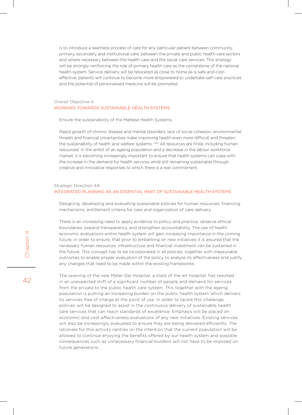is to introduce a seamless process of care for any particular patient between community, primary, secondary and institutional care, between the private and public health care sectors and where necessary between the health care and the social care services. This strategy will be strongly reinforcing the role of primary health care as the cornerstone of the national health system. Service delivery will be relocated as close to home as is safe and costeffective, patients will continue to become more empowered to undertake self-care practices and the potential of personalised medicine will be promoted.

#### Overall Objective 4 WORKING TOWARDS SUSTAINABLE HEALTH SYSTEMS

Ensure the sustainability of the Maltese Health Systems.

Rapid growth of chronic disease and mental disorders, lack of social cohesion, environmental threats and financial uncertainties make improving health even more difficult and threaten the sustainability of health and welfare systems. <sup>(24)</sup> All resources are finite, including human resourced. In the ambit of an ageing population and a decrease in the labour workforce market, it is becoming increasingly important to ensure that health systems can cope with the increase in the demand for health services while still remaining sustainable through creative and innovative responses to which there is a real commitment.

#### Strategic Direction 4A INTEGRATED PLANNING AS AN ESSENTIAL PART OF SUSTAINABLE HEALTH SYSTEMS

Designing, developing and evaluating sustainable policies for human resources, financing mechanisms, entitlement criteria for care and organization of care delivery.

There is an increasing need to apply evidence to policy and practice, observe ethical boundaries, expand transparency, and strengthen accountability. The use of health economic evaluations within health system will gain increasing importance in the coming future, in order to ensure, that prior to embarking on new initiatives it is assured that the necessary human resources, infrastructure and financial investment can be sustained in the future. This concept has to be incorporated in all policies, together with measurable outcomes to enable proper evaluation of the policy to analyse its effectiveness and justify any changes that need to be made within the existing frameworks.

The opening of the new Mater Dei Hospital, a state of the art hospital, has resulted in an unexpected shift of a significant number of people and demand for services from the private to the public health care system. This together with the ageing population is putting an increasing burden on the public health system which delivers its services free of charge at the point of use. In order to tackle this challenge, policies will be designed to assist in the continuous delivery of sustainable health care services that can reach standards of excellence. Emphasis will be placed on economic and cost-effectiveness evaluations of any new initiatives. Existing services will also be increasingly evaluated to ensure they are being delivered efficiently. The rationale for this activity centres on the intention that the current population will be allowed to continue enjoying the benefits offered by our health system and possible consequences such as unnecessary financial burdens will not have to be imposed on future generations.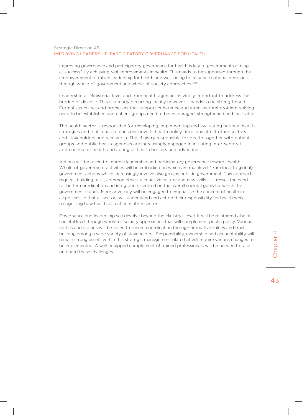#### Strategic Direction 4B IMPROVING LEADERSHIP: PARTICIPATORY GOVERNANCE FOR HEALTH

Improving governance and participatory governance for health is key to governments aiming at successfully achieving real improvements in health. This needs to be supported through the empowerement of future leadership for health and well-being to influence national decisions through whole-of-government and whole-of-society approaches. <sup>(24)</sup>

Leadership at Ministerial level and from health agencies is vitally important to address the burden of disease. This is already occurring locally however it needs to be strengthened. Formal structures and processes that support coherence and inter-sectoral problem-solving need to be established and patient groups need to be encouraged, strengthened and facilitated.

The health sector is responsible for developing, implementing and evaluating national health strategies and it also has to consider how its health policy decisions affect other sectors and stakeholders and vice versa. The Ministry responsible for Health together with patient groups and public health agencies are increasingly engaged in initiating inter-sectoral approaches for health and acting as health brokers and advocates.

Actions will be taken to improve leadership and participatory governance towards health. Whole-of-government activities will be embarked on which are multilevel (from local to global) government actions which increasingly involve also groups outside government. This approach requires building trust, common ethics, a cohesive culture and new skills. It stresses the need for better coordination and integration, centred on the overall societal goals for which the government stands. More advocacy will be engaged to emphasise the concept of health in all policies so that all sectors will understand and act on their responsibility for health while recognising how health also affects other sectors.

Governance and leadership will devolve beyond the Ministry's level. It will be reinforced also at societal level through whole-of-society approaches that will complement public policy. Various tactics and actions will be taken to secure coordination through normative values and trustbuilding among a wide variety of stakeholders. Responsibility, ownership and accountability will remain strong assets within this strategic management plan that will require various changes to be implemented. A well equipped complement of trained professionals will be needed to take on board these challenges.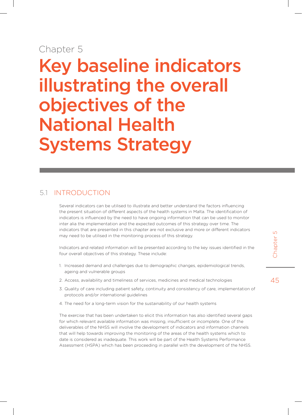## Chapter 5

Key baseline indicators illustrating the overall objectives of the National Health Systems Strategy

## 5.1 Introduction

Several indicators can be utilised to illustrate and better understand the factors influencing the present situation of different aspects of the health systems in Malta. The identification of indicators is influenced by the need to have ongoing information that can be used to monitor inter alia the implementation and the expected outcomes of this strategy over time. The indicators that are presented in this chapter are not exclusive and more or different indicators may need to be utilised in the monitoring process of this strategy.

Indicators and related information will be presented according to the key issues identified in the four overall objectives of this strategy. These include:

- 1. Increased demand and challenges due to demographic changes, epidemiological trends, ageing and vulnerable groups
- 2. Access, availability and timeliness of services, medicines and medical technologies
- 3. Quality of care including patient safety, continuity and consistency of care, implementation of protocols and/or international guidelines
- 4. The need for a long-term vision for the sustainability of our health systems

The exercise that has been undertaken to elicit this information has also identified several gaps for which relevant available information was missing, insufficient or incomplete. One of the deliverables of the NHSS will involve the development of indicators and information channels that will help towards improving the monitoring of the areas of the health systems which to date is considered as inadequate. This work will be part of the Health Systems Performance Assessment (HSPA) which has been proceeding in parallel with the development of the NHSS.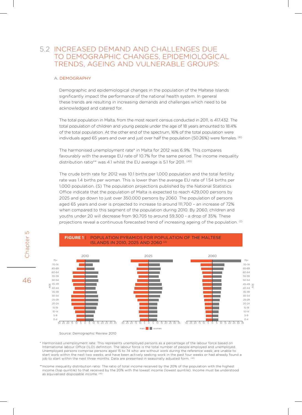## 5.2 Increased demand and challenges due to demographic changes, epidemiological trends, ageing and vulnerable groups:

#### A. Demography

Chapter 5

Chapter

 $\cup$ 

46

Demographic and epidemiological changes in the population of the Maltese Islands significantly impact the performance of the national health system. In general these trends are resulting in increasing demands and challenges which need to be acknowledged and catered for.

The total population in Malta, from the most recent census conducted in 2011, is 417,432. The total population of children and young people under the age of 18 years amounted to 18.4% of the total population. At the other end of the spectrum, 16% of the total population were individuals aged 65 years and over and just over half the population (50.26%) were females. <sup>(61)</sup>

The harmonised unemployment rate\* in Malta for 2012 was 6.9%. This compares favourably with the average EU rate of 10.7% for the same period. The income inequality distribution ratio\*\* was 4.1 whilst the EU average is 5.1 for 2011. (40)

The crude birth rate for 2012 was 10.1 births per 1,000 population and the total fertility rate was 1.4 births per woman. This is lower than the average EU rate of 1.54 births per 1,000 population. (5) The population projections published by the National Statistics Office indicate that the population of Malta is expected to reach 429,000 persons by 2025 and go down to just over 350,000 persons by 2060. The population of persons aged 65 years and over is projected to increase to around 111,700 – an increase of 72% when compared to this segment of the population during 2010. By 2060, children and youths under 20 will decrease from 90,705 to around 59,300 - a drop of 35%. These projections reveal a continuous forecasted trend of increasing ageing of the population. <sup>(2)</sup>



Source: Demographic Review 2010

\* Harmonised unemployment rate: This represents unemployed persons as a percentage of the labour force based on International labour Office (ILO) definition. The labour force is the total number of people employed and unemployed. Unemployed persons comprise persons aged 15 to 74 who: are without work during the reference week; are unable to start work within the next two weeks; and have been actively seeking work in the past four weeks or had already found a job to start within the next three months. Data are presented in seasonally adjusted form. <sup>(40)</sup>

\*\*Income inequality distribution ratio: The ratio of total income received by the 20% of the population with the highest income (top quintile) to that received by the 20% with the lowest income (lowest quintile). Income must be understood as equivalised disposable income.<sup>(40)</sup>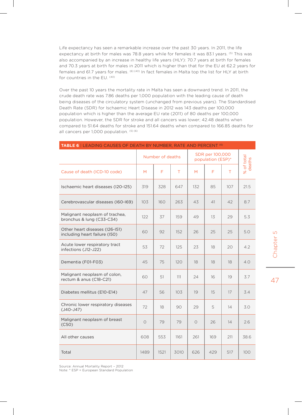Life expectancy has seen a remarkable increase over the past 30 years. In 2011, the life expectancy at birth for males was 78.8 years while for females it was 83.1 years. <sup>(5)</sup> This was also accompanied by an increase in healthy life years (HLY): 70.7 years at birth for females and 70.3 years at birth for males in 2011 which is higher than that for the EU at 62.2 years for females and 61.7 years for males. (6) (40) In fact females in Malta top the list for HLY at birth for countries in the EU. (40)

Over the past 10 years the mortality rate in Malta has seen a downward trend. In 2011, the crude death rate was 7.86 deaths per 1,000 population with the leading cause of death being diseases of the circulatory system (unchanged from previous years). The Standardised Death Rate (SDR) for Ischaemic Heart Disease in 2012 was 143 deaths per 100,000 population which is higher than the average EU rate (2011) of 80 deaths per 100,000 population. However, the SDR for stroke and all cancers was lower; 42.48 deaths when compared to 51.64 deaths for stroke and 151.64 deaths when compared to 166.85 deaths for all cancers per 1,000 population. (5) (6)

| TABLE 6   LEADING CAUSES OF DEATH BY NUMBER, RATE AND PERCENT (6) |            |                  |      |                                      |     |     |                      |  |
|-------------------------------------------------------------------|------------|------------------|------|--------------------------------------|-----|-----|----------------------|--|
|                                                                   |            | Number of deaths |      | SDR per 100,000<br>population (ESP)* |     |     | % of total<br>deaths |  |
| Cause of death (ICD-10 code)                                      | M          | F                | T.   | M                                    | F   | T   |                      |  |
| Ischaemic heart diseases (I2O-I25)                                | 319        | 328              | 647  | 132                                  | 85  | 107 | 21.5                 |  |
| Cerebrovascular diseases (I60-I69)                                | 103        | 160              | 263  | 43                                   | 41  | 42  | 8.7                  |  |
| Malignant neoplasm of trachea,<br>bronchus & lung (C33-C34)       | 122        | 37               | 159  | 49                                   | 13  | 29  | 5.3                  |  |
| Other heart diseases (I26-I51)<br>including heart failure (I50)   | 60         | 92               | 152  | 26                                   | 25  | 25  | 5.0                  |  |
| Acute lower respiratory tract<br>infections (J12-J22)             | 53         | 72               | 125  | 23                                   | 18  | 20  | 4.2                  |  |
| Dementia (F01-F03)                                                | 45         | 75               | 120  | 18                                   | 18  | 18  | 4.0                  |  |
| Malignant neoplasm of colon,<br>rectum & anus (C18-C21)           | 60         | 51               | 111  | 24                                   | 16  | 19  | 3.7                  |  |
| Diabetes mellitus (E10-E14)                                       | 47         | 56               | 103  | 19                                   | 15  | 17  | 3.4                  |  |
| Chronic lower respiratory diseases<br>$(J40-J47)$                 | 72         | 18               | 90   | 29                                   | 5   | 14  | 3.0                  |  |
| Malignant neoplasm of breast<br>(C50)                             | $\bigcirc$ | 79               | 79   | $\Omega$                             | 26  | 14  | 2.6                  |  |
| All other causes                                                  | 608        | 553              | 1161 | 261                                  | 169 | 211 | 38.6                 |  |
| Total                                                             | 1489       | 1521             | 3010 | 626                                  | 429 | 517 | 100                  |  |

Source: Annual Mortality Report – 2012

Note: \* ESP = European Standard Population

 $\Box$ Chapter 5 Chapter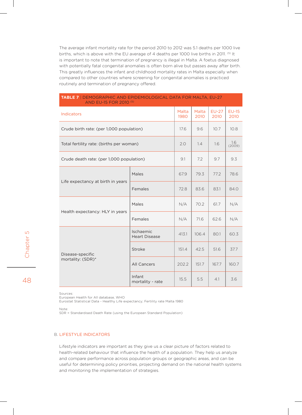The average infant mortality rate for the period 2010 to 2012 was 5.1 deaths per 1000 live births, which is above with the EU average of 4 deaths per 1000 live births in 2011. <sup>(5)</sup> It is important to note that termination of pregnancy is illegal in Malta. A foetus diagnosed with potentially fatal congenital anomalies is often born alive but passes away after birth. This greatly influences the infant and childhood mortality rates in Malta especially when compared to other countries where screening for congenital anomalies is practiced routinely and termination of pregnancy offered.

| AND EU-15 FOR 2010 (5)                   |                                   |       |               |                 |                 |
|------------------------------------------|-----------------------------------|-------|---------------|-----------------|-----------------|
| Indicators                               |                                   |       | Malta<br>2010 | $EU-27$<br>2010 | $EU-15$<br>2010 |
| Crude birth rate: (per 1,000 population) |                                   |       | 9.6           | 10.7            | 10.8            |
| Total fertility rate: (births per woman) |                                   |       | 1.4           | 1.6             | 1.6<br>(2009)   |
| Crude death rate: (per 1,000 population) |                                   |       | 7.2           | 9.7             | 9.3             |
| Life expectancy at birth in years        | Males                             | 67.9  | 79.3          | 77.2            | 78.6            |
|                                          | Females                           | 72.8  | 83.6          | 83.1            | 84.0            |
| Health expectancy: HLY in years          | Males                             | N/A   | 70.2          | 61.7            | N/A             |
|                                          | Females                           | N/A   | 71.6          | 62.6            | N/A             |
|                                          | Ischaemic<br><b>Heart Disease</b> | 413.1 | 106.4         | 80.1            | 60.3            |
| Disease-specific                         | Stroke                            | 151.4 | 42.5          | 51.6            | 37.7            |
| mortality: (SDR)*                        | All Cancers                       | 202.2 | 151.7         | 167.7           | 160.7           |
|                                          | Infant<br>mortality - rate        | 15.5  | 5.5           | 4.1             | 3.6             |

**table 7** | Demographic and epidemiological data for Malta, EU-27

Sources:

European Health for All database, WHO

Eurostat Statistical Data - Healthy Life expectancy; Fertility rate Malta 1980

Note:

SDR = Standardised Death Rate (using the European Standard Population)

#### B. Lifestyle indicators

Lifestyle indicators are important as they give us a clear picture of factors related to health-related behaviour that influence the health of a population. They help us analyze and compare performance across population groups or geographic areas, and can be useful for determining policy priorities, projecting demand on the national health systems and monitoring the implementation of strategies.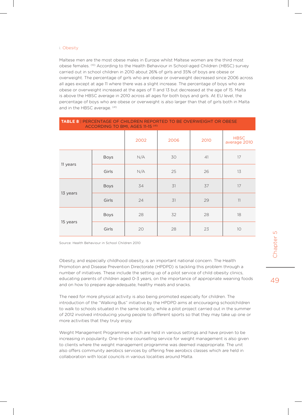#### i. Obesity

Maltese men are the most obese males in Europe whilst Maltese women are the third most obese females. <sup>(10)</sup> According to the Health Behaviour in School-aged Children (HBSC) survey carried out in school children in 2010 about 26% of girls and 35% of boys are obese or overweight. The percentage of girls who are obese or overweight decreased since 2006 across all ages except at age 11 where there was a slight increase. The percentage of boys who are obese or overweight increased at the ages of 11 and 13 but decreased at the age of 15. Malta is above the HBSC average in 2010 across all ages for both boys and girls. At EU level, the percentage of boys who are obese or overweight is also larger than that of girls both in Malta and in the HBSC average. (41)

| <b>TABLE 8</b>   PERCENTAGE OF CHILDREN REPORTED TO BE OVERWEIGHT OR OBESE<br>ACCORDING TO BMI, AGES 11-15 (41) |             |      |      |      |                             |  |  |
|-----------------------------------------------------------------------------------------------------------------|-------------|------|------|------|-----------------------------|--|--|
|                                                                                                                 |             | 2002 | 2006 | 2010 | <b>HBSC</b><br>average 2010 |  |  |
| 11 years                                                                                                        | <b>Boys</b> | N/A  | 30   | 41   | 17                          |  |  |
|                                                                                                                 | Girls       | N/A  | 25   | 26   | 13                          |  |  |
| 13 years                                                                                                        | <b>Boys</b> | 34   | 31   | 37   | 17                          |  |  |
|                                                                                                                 | Girls       | 24   | 31   | 29   | 11                          |  |  |
|                                                                                                                 | <b>Boys</b> | 28   | 32   | 28   | 18                          |  |  |
| 15 years                                                                                                        | Girls       | 20   | 28   | 23   | 10                          |  |  |

Source: Health Behaviour in School Children 2010

Obesity, and especially childhood obesity, is an important national concern. The Health Promotion and Disease Prevention Directorate (HPDPD) is tackling this problem through a number of initiatives. These include the setting up of a pilot service of child obesity clinics, educating parents of children aged 0-3 years, on the importance of appropriate weaning foods and on how to prepare age-adequate, healthy meals and snacks.

The need for more physical activity is also being promoted especially for children. The introduction of the "Walking Bus" initiative by the HPDPD aims at encouraging schoolchildren to walk to schools situated in the same locality, while a pilot project carried out in the summer of 2012 involved introducing young people to different sports so that they may take up one or more activities that they truly enjoy.

Weight Management Programmes which are held in various settings and have proven to be increasing in popularity. One-to-one counselling service for weight management is also given to clients where the weight management programme was deemed inappropriate. The unit also offers community aerobics services by offering free aerobics classes which are held in collaboration with local councils in various localities around Malta.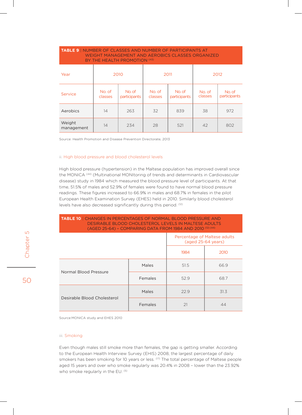| <b>TABLE 9   NUMBER OF CLASSES AND NUMBER OF PARTICIPANTS AT</b><br><b>WEIGHT MANAGEMENT AND AEROBICS CLASSES ORGANIZED</b><br>BY THE HEALTH PROMOTION (43) |                   |                        |                   |                        |                   |                        |  |  |
|-------------------------------------------------------------------------------------------------------------------------------------------------------------|-------------------|------------------------|-------------------|------------------------|-------------------|------------------------|--|--|
| Year                                                                                                                                                        | 2010              |                        | 2011              |                        | 2012              |                        |  |  |
| Service                                                                                                                                                     | No. of<br>classes | No. of<br>participants | No. of<br>classes | No. of<br>participants | No. of<br>classes | No. of<br>participants |  |  |
| Aerobics                                                                                                                                                    | 14                | 263                    | 32                | 839                    | 38                | 972                    |  |  |
| Weight<br>management                                                                                                                                        | 14                | 234                    | 28                | 521                    | 42                | 802                    |  |  |

Source: Health Promotion and Disease Prevention Directorate, 2013

#### ii. High blood pressure and blood cholesterol levels

High blood pressure (hypertension) in the Maltese population has improved overall since the MONICA<sup>(44)</sup> (Multinational MONItoring of trends and determinants in Cardiovascular disease) study in 1984 which measured the blood pressure level of participants. At that time, 51.5% of males and 52.9% of females were found to have normal blood pressure readings. These figures increased to 66.9% in males and 68.7% in females in the pilot European Health Examination Survey (EHES) held in 2010. Similarly blood cholesterol levels have also decreased significantly during this period. (12)

**table 10** | Changes in percentages of normal blood pressure and desirable blood cholesterol levels in Maltese adults (aged 25-64) – comparing data from 1984 and 2010 (12) (44)

|                             |         |      | Percentage of Maltese adults<br>(aged 25-64 years) |  |  |
|-----------------------------|---------|------|----------------------------------------------------|--|--|
|                             |         | 1984 | 2010                                               |  |  |
| Normal Blood Pressure       | Males   | 51.5 | 66.9                                               |  |  |
|                             | Females | 52.9 | 68.7                                               |  |  |
|                             | Males   | 22.9 | 31.3                                               |  |  |
| Desirable Blood Cholesterol | Females | 21   | 44                                                 |  |  |

Source:MONICA study and EHES 2010

#### iii. Smoking

Even though males still smoke more than females, the gap is getting smaller. According to the European Health Interview Survey (EHIS) 2008, the largest percentage of daily smokers has been smoking for 10 years or less. (17) The total percentage of Maltese people aged 15 years and over who smoke regularly was 20.4% in 2008 – lower than the 23.92% who smoke regularly in the EU. (5)

 $\cup$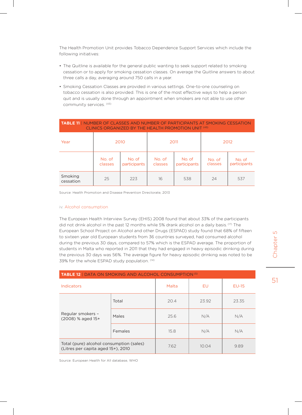The Health Promotion Unit provides Tobacco Dependence Support Services which include the following initiatives:

- The Quitline is available for the general public wanting to seek support related to smoking cessation or to apply for smoking cessation classes. On average the Quitline answers to about three calls a day, averaging around 750 calls in a year.
- • Smoking Cessation Classes are provided in various settings. One-to-one counseling on tobacco cessation is also provided. This is one of the most effective ways to help a person quit and is usually done through an appointment when smokers are not able to use other community services. (43)

| <b>TABLE 11   NUMBER OF CLASSES AND NUMBER OF PARTICIPANTS AT SMOKING CESSATION</b><br>CLINICS ORGANIZED BY THE HEALTH PROMOTION UNIT (43) |                   |                        |                   |                        |                   |                        |  |  |
|--------------------------------------------------------------------------------------------------------------------------------------------|-------------------|------------------------|-------------------|------------------------|-------------------|------------------------|--|--|
| Year                                                                                                                                       | 2010              |                        | 2011              |                        | 2012              |                        |  |  |
|                                                                                                                                            | No. of<br>classes | No. of<br>participants | No. of<br>classes | No. of<br>participants | No. of<br>classes | No. of<br>participants |  |  |
| Smoking<br>cessation                                                                                                                       | 25                | 223                    | 16                | 538                    | 24                | 537                    |  |  |

Source: Health Promotion and Disease Prevention Directorate, 2013

#### iv. Alcohol consumption

The European Health Interview Survey (EHIS) 2008 found that about 33% of the participants did not drink alcohol in the past 12 months while 5% drank alcohol on a daily basis.<sup>(17)</sup> The European School Project on Alcohol and other Drugs (ESPAD) study found that 68% of fifteen to sixteen year old European students from 36 countries surveyed, had consumed alcohol during the previous 30 days, compared to 57% which is the ESPAD average. The proportion of students in Malta who reported in 2011 that they had engaged in heavy episodic drinking during the previous 30 days was 56%. The average figure for heavy episodic drinking was noted to be 39% for the whole ESPAD study population. (14)

| <b>TABLE 12   DATA ON SMOKING AND ALCOHOL CONSUMPTION (5)</b>                  |         |       |       |         |  |  |
|--------------------------------------------------------------------------------|---------|-------|-------|---------|--|--|
| <b>Indicators</b>                                                              |         | Malta | EU    | $EU-15$ |  |  |
| Regular smokers -<br>$(2008)$ % aged 15+                                       | Total   | 20.4  | 23.92 |         |  |  |
|                                                                                | Males   | 25.6  | N/A   | N/A     |  |  |
|                                                                                | Females | 15.8  | N/A   | N/A     |  |  |
| Total (pure) alcohol consumption (sales)<br>(Litres per capita aged 15+), 2010 |         | 7.62  | 10.04 | 9.89    |  |  |

Source: European Health for All database, WHO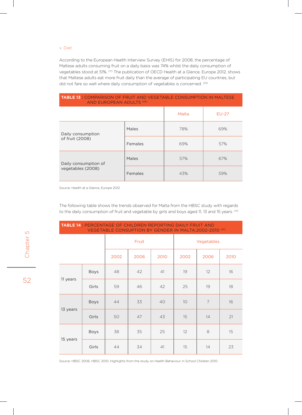#### v. Diet

According to the European Health Interview Survey (EHIS) for 2008, the percentage of Maltese adults consuming fruit on a daily basis was 74% whilst the daily consumption of vegetables stood at 51%. (17) The publication of OECD Health at a Glance, Europe 2012, shows that Maltese adults eat more fruit daily than the average of participating EU countries, but did not fare so well where daily consumption of vegetables is concerned. (33)

**table 13** | Comparison of fruit and vegetable consumption in Maltese

| <b>IABLE 18  </b> COMPARISON OF FROIT AND VEGETABLE CONSOMPTION IN MALTESE<br>AND EUROPEAN ADULTS (33) |         |       |         |  |  |
|--------------------------------------------------------------------------------------------------------|---------|-------|---------|--|--|
|                                                                                                        |         | Malta | $EU-27$ |  |  |
| Daily consumption<br>of fruit (2008)                                                                   | Males   | 78%   | 69%     |  |  |
|                                                                                                        | Females | 69%   | 57%     |  |  |
| Daily consumption of                                                                                   | Males   | 57%   | 67%     |  |  |
| vegetables (2008)                                                                                      | Females | 43%   | 59%     |  |  |

Source: Health at a Glance, Europe 2012

The following table shows the trends observed for Malta from the HBSC study with regards to the daily consumption of fruit and vegetable by girls and boys aged 11, 13 and 15 years. (41)

| <b>TABLE 14   PERCENTAGE OF CHILDREN REPORTING DAILY FRUIT AND</b><br>VEGETABLE CONSUPTION BY GENDER IN MALTA, 2002-2010 (41) |             |       |      |      |                 |      |      |
|-------------------------------------------------------------------------------------------------------------------------------|-------------|-------|------|------|-----------------|------|------|
|                                                                                                                               |             | Fruit |      |      | Vegetables      |      |      |
|                                                                                                                               |             | 2002  | 2006 | 2010 | 2002            | 2006 | 2010 |
|                                                                                                                               | Boys        | 48    | 42   | 41   | 19              | 12   | 16   |
| 11 years                                                                                                                      | Girls       | 59    | 46   | 42   | 25              | 19   | 18   |
|                                                                                                                               | <b>Boys</b> | 44    | 33   | 40   | 10 <sup>°</sup> | 7    | 16   |
| 13 years                                                                                                                      | Girls       | 50    | 47   | 43   | 15              | 14   | 21   |
|                                                                                                                               | <b>Boys</b> | 38    | 35   | 25   | 12              | 8    | 15   |
| 15 years                                                                                                                      | Girls       | 44    | 34   | 41   | 15              | 14   | 23   |

Source: HBSC 2006, HBSC 2010, Highlights from the study on Health Behaviour in School Children 2010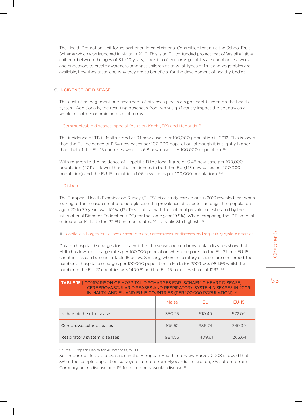The Health Promotion Unit forms part of an Inter-Ministerial Committee that runs the School Fruit Scheme which was launched in Malta in 2010. This is an EU co-funded project that offers all eligible children, between the ages of 3 to 10 years, a portion of fruit or vegetables at school once a week and endeavors to create awareness amongst children as to what types of fruit and vegetables are available, how they taste, and why they are so beneficial for the development of healthy bodies.

#### C. Incidence of disease

The cost of management and treatment of diseases places a significant burden on the health system. Additionally, the resulting absences from work significantly impact the country as a whole in both economic and social terms.

#### i. Communicable diseases: special focus on Koch (TB) and Hepatitis B

The incidence of TB in Malta stood at 9.1 new cases per 100,000 population in 2012. This is lower than the EU incidence of 11.54 new cases per 100,000 population, although it is slightly higher than that of the EU-15 countries which is 6.8 new cases per 100,000 population. (5)

With regards to the incidence of Hepatitis B the local figure of 0.48 new case per 100,000 population (2011) is lower than the incidences in both the EU (1.13 new cases per 100,000 population) and the EU-15 countries (1.06 new cases per 100,000 population). <sup>(5)</sup>

#### ii. Diabetes

The European Health Examination Survey (EHES) pilot study carried out in 2010 revealed that when looking at the measurement of blood glucose, the prevalence of diabetes amongst the population aged 20 to 79 years was 10.1%. (12) This is at par with the national prevalence estimated by the International Diabetes Federation (IDF) for the same year (9.8%). When comparing the IDF national estimate for Malta to the 27 EU member states, Malta ranks 8th highest. (46)

#### iii. Hospital discharges for ischaemic heart disease, cerebrovascular diseases and respiratory system diseases

Data on hospital discharges for ischaemic heart disease and cerebrovascular diseases show that Malta has lower discharge rates per 100,000 population when compared to the EU-27 and EU-15 countries, as can be seen in Table 15 below. Similarly, where respiratory diseases are concerned, the number of hospital discharges per 100,000 population in Malta for 2009 was 984.56 whilst the number in the EU-27 countries was 1409.61 and the EU-15 countries stood at 1263. (5)

| <b>TABLE 15   COMPARISON OF HOSPITAL DISCHARGES FOR ISCHAEMIC HEART DISEASE,</b><br>CEREBROVASCULAR DISEASES AND RESPIRATORY SYSTEM DISEASES IN 2009<br>IN MALTA AND EU AND EU-15 COUNTRIES (PER 100,000 POPULATION) (5) |        |         |         |  |  |
|--------------------------------------------------------------------------------------------------------------------------------------------------------------------------------------------------------------------------|--------|---------|---------|--|--|
| Malta<br>$EU-15$<br>EU                                                                                                                                                                                                   |        |         |         |  |  |
| Ischaemic heart disease                                                                                                                                                                                                  | 350.25 | 610.49  | 572.09  |  |  |
| Cerebrovascular diseases                                                                                                                                                                                                 | 106.52 | 386.74  | 349.39  |  |  |
| Respiratory system diseases                                                                                                                                                                                              | 984.56 | 1409.61 | 1263.64 |  |  |

#### Source: European Health for All database, WHO

Self-reported lifestyle prevalence in the European Health Interview Survey 2008 showed that 3% of the sample population surveyed suffered from Myocardial Infarction, 3% suffered from Coronary heart disease and 1% from cerebrovascular disease. (17)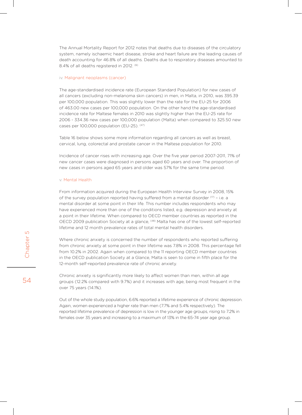The Annual Mortality Report for 2012 notes that deaths due to diseases of the circulatory system, namely ischaemic heart disease, stroke and heart failure are the leading causes of death accounting for 46.8% of all deaths. Deaths due to respiratory diseases amounted to 8.4% of all deaths registered in 2012. <sup>(6)</sup>

#### iv. Malignant neoplasms (cancer)

The age-standardised incidence rate (European Standard Population) for new cases of all cancers (excluding non-melanoma skin cancers) in men, in Malta, in 2010, was 395.39 per 100,000 population. This was slightly lower than the rate for the EU-25 for 2006 of 463.00 new cases per 100,000 population. On the other hand the age-standardised incidence rate for Maltese females in 2010 was slightly higher than the EU-25 rate for 2006 - 334.36 new cases per 100,000 population (Malta) when compared to 325.50 new cases per 100,000 population (EU-25). <sup>(47)</sup>

Table 16 below shows some more information regarding all cancers as well as breast, cervical, lung, colorectal and prostate cancer in the Maltese population for 2010.

Incidence of cancer rises with increasing age. Over the five year period 2007-2011, 71% of new cancer cases were diagnosed in persons aged 60 years and over. The proportion of new cases in persons aged 65 years and older was 57% for the same time period.

#### v. Mental Health

From information acquired during the European Health Interview Survey in 2008, 15% of the survey population reported having suffered from a mental disorder  $(17)$  – i.e. a mental disorder at some point in their life. This number includes respondents who may have experienced more than one of the conditions listed, e.g. depression and anxiety at a point in their lifetime. When compared to OECD member countries as reported in the OECD 2009 publication Society at a glance, (48) Malta has one of the lowest self-reported lifetime and 12 month prevalence rates of total mental health disorders.

Where chronic anxiety is concerned the number of respondents who reported suffering from chronic anxiety at some point in their lifetime was 7.8% in 2008. This percentage fell from 10.2% in 2002. Again when compared to the 11 reporting OECD member countries in the OECD publication Society at a Glance, Malta is seen to come in fifth place for the 12-month self-reported prevalence rate of chronic anxiety.

Chronic anxiety is significantly more likely to affect women than men, within all age groups (12.2% compared with 9.7%) and it increases with age, being most frequent in the over 75 years (14.1%).

Out of the whole study population, 6.6% reported a lifetime experience of chronic depression. Again, women experienced a higher rate than men (7.7% and 5.4% respectively). The reported lifetime prevalence of depression is low in the younger age groups, rising to 7.2% in females over 35 years and increasing to a maximum of 13% in the 65-74 year age group.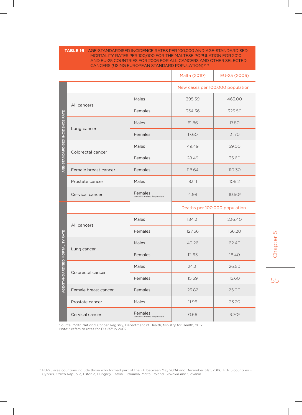| TABLE 16   AGE-STANDARDISED INCIDENCE RATES PER 100,000 AND AGE-STANDARDISED |
|------------------------------------------------------------------------------|
| MORTALITY RATES PER 100,000 FOR THE MALTESE POPULATION FOR 2010              |
| AND FU-25 COUNTRIES FOR 2006 FOR ALL CANCERS AND OTHER SELECTED.             |
| CANCERS (USING EUROPEAN STANDARD POPULATION) <sup>(47)</sup>                 |
|                                                                              |

|                                 |                      |                                      | Malta (2010)                     | EU-25 (2006) |
|---------------------------------|----------------------|--------------------------------------|----------------------------------|--------------|
|                                 |                      |                                      | New cases per 100,000 population |              |
|                                 |                      | Males                                | 395.39                           | 463.00       |
|                                 | All cancers          | Females                              | 334.36                           | 325.50       |
|                                 |                      | Males                                | 61.86                            | 17.80        |
| AGE-STANDARDISED INCIDENCE RATE | Lung cancer          | Females                              | 17.60                            | 21.70        |
| Colorectal cancer               |                      | Males                                | 49.49                            | 59.00        |
|                                 |                      | Females                              | 28.49                            | 35.60        |
|                                 | Female breast cancer | Females                              | 118.64                           | 110.30       |
|                                 | Prostate cancer      | Males                                | 83.11                            | 106.2        |
|                                 | Cervical cancer      | Females<br>World Standard Population | 4.98                             | 10.50a       |
|                                 |                      |                                      | Deaths per 100,000 population    |              |
|                                 | All cancers          | Males                                | 184.21                           | 236.40       |
|                                 |                      | Females                              | 127.66                           | 136.20       |
|                                 |                      | Males                                | 49.26                            | 62.40        |
|                                 | Lung cancer          | Females                              | 12.63                            | 18.40        |
|                                 |                      |                                      |                                  |              |
|                                 |                      | Males                                | 24.31                            | 26.50        |
| ANDARDISED MORTALITY RATE       | Colorectal cancer    | Females                              | 15.59                            | 15.60        |
| AGE-ST                          | Female breast cancer | Females                              | 25.82                            | 25.00        |
|                                 | Prostate cancer      | Males                                | 11.96                            | 23.20        |

Source: Malta National Cancer Registry, Department of Health, Ministry for Health, 2012 Note: <sup>a</sup> refers to rates for EU-25<sup>‡‡</sup> in 2002

Chapter 5 Chapter 5

<sup>#</sup> EU-25 area countries include those who formed part of the EU between May 2004 and December 31st, 2006: EU-15 countries + Cyprus, Czech Republic, Estonia, Hungary, Latvia, Lithuania, Malta, Poland, Slovakia and Slovenia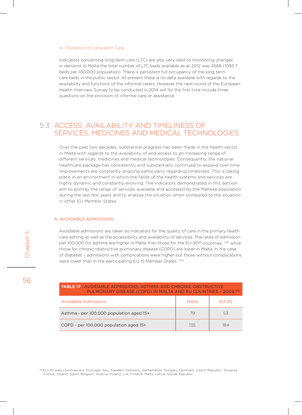#### vi. Utilisation of Long-term Care

Indicators concerning long-term care (LTC) are also very valid to monitoring changes in demand. In Malta the total number of LTC beds available as at 2012 was 4588 (1093.7 beds per 100,000 population). There is persistent full occupancy of the long term care beds in the public sector. At present there is no data available with regards to the availability and functions of the informal carers. However the next round of the European Health Interview Survey to be conducted in 2014 will for the first time include three questions on the provision of informal care or assistance.

## 5.3 Access, availability and timeliness of services, medicines and medical technologies

Over the past two decades, substantial progress has been made in the health sector in Malta with regards to the availability of and access to an increasing range of different services, medicines and medical technologies. Consequently, the national healthcare package has consistently and substantially continued to expand over time. Improvements are constantly ongoing particularly regarding timeliness. This is taking place in an environment in which the fields of the health systems and services are highly dynamic and constantly evolving. The indicators demonstrated in this section aim to portray the range of services available and accessed by the Maltese population during the last few years and to analyse the situation when compared to the situation in other EU Member States.

#### A. Avoidable admissions

Avoidable admissions are taken as indicators for the quality of care in the primary health care setting as well as the accessibility and availability of services. The rates of admission per 100,000 for asthma are higher in Malta than those for the EU-20<sup>§§</sup> countries, <sup>(33)</sup> while those for chronic obstructive pulmonary disease (COPD) are lower in Malta. In the case of diabetes – admissions with complications were higher but those without complications were lower than in the participating EU-15 Member States. (33)

| <b>TABLE 17   AVOIDABLE ADMISSIONS: ASTHMA AND CHRONIC OBSTRUCTIVE</b><br>PULMONARY DISEASE (COPD) IN MALTA AND EU COUNTRIES - 2009 (33) |       |         |
|------------------------------------------------------------------------------------------------------------------------------------------|-------|---------|
| Avoidable Admissions                                                                                                                     | Malta | $EU-2O$ |
| Asthma - per 100,000 population aged 15+                                                                                                 | 79    | 53      |
| COPD - per 100,000 population aged 15+                                                                                                   | 135   | 184     |

<sup>&</sup>lt;sup>§§</sup> EU-20 area countries are: Portugal, Italy, Sweden, Germany, Netherlands, Hungary, Denmark, Czech Republic, Slovenia, France, Ireland, Spain, Belgium, Austria, Poland, U.K, Finland, Malta, Latvia, Slovak Republic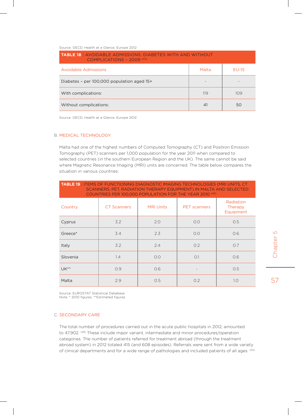Source: OECD, Health at a Glance, Europe 2012

| <b>TABLE 18   AVOIDABLE ADMISSIONS: DIABETES WITH AND WITHOUT</b><br>COMPLICATIONS - $2009$ <sup>(33)</sup> |       |              |
|-------------------------------------------------------------------------------------------------------------|-------|--------------|
| <b>Avoidable Admissions</b>                                                                                 | Malta | <b>FU-15</b> |
| Diabetes - per 100,000 population aged 15+                                                                  |       |              |
| With complications:                                                                                         | 119   | 109          |
| Without complications:                                                                                      | 41    | 50           |

Source: OECD, Health at a Glance, Europe 2012

#### B. Medical technology

Malta had one of the highest numbers of Computed Tomography (CT) and Positron Emission Tomography (PET) scanners per 1,000 population for the year 2011 when compared to selected countries (in the southern European Region and the UK). The same cannot be said where Magnetic Resonance Imaging (MRI) units are concerned. The table below compares the situation in various countries:

| <b>TABLE 19   ITEMS OF FUNCTIONING DIAGNOSTIC IMAGING TECHNOLOGIES (MRI UNITS, CT</b><br>SCANNERS, PET, RADIATION THERAPY EQUIPMENT) IN MALTA AND SELECTED<br>COUNTRIES PER 100,000 POPULATION FOR THE YEAR 2010 (40) |                    |                  |                     |                                   |
|-----------------------------------------------------------------------------------------------------------------------------------------------------------------------------------------------------------------------|--------------------|------------------|---------------------|-----------------------------------|
| Country                                                                                                                                                                                                               | <b>CT Scanners</b> | <b>MRI Units</b> | <b>PET</b> scanners | Radiation<br>Therapy<br>Equipment |
| Cyprus                                                                                                                                                                                                                | 3.2                | 2.0              | O.O                 | 0.5                               |
| Greece*                                                                                                                                                                                                               | 3.4                | 2.3              | O.O                 | 0.6                               |
| Italy                                                                                                                                                                                                                 | 3.2                | 2.4              | O.2                 | O.7                               |
| Slovenia                                                                                                                                                                                                              | 1.4                | O.O              | O.1                 | 0.6                               |
| $UK**$                                                                                                                                                                                                                | 0.9                | O.6              |                     | 0.5                               |
| Malta                                                                                                                                                                                                                 | 2.9                | O.5              | O.2                 | 1.0                               |

Source: EUROSTAT Statistical Database Note: \* 2010 figures; \*\*Estimated figures

#### C. Secondary Care

The total number of procedures carried out in the acute public hospitals in 2012, amounted to 47,902. <sup>(49)</sup> These include major variant, intermediate and minor procedures/operation categories. The number of patients referred for treatment abroad (through the treatment abroad system) in 2012 totaled 415 (and 608 episodes). Referrals were sent from a wide variety of clinical departments and for a wide range of pathologies and included patients of all ages. <sup>(50)</sup>  $\Box$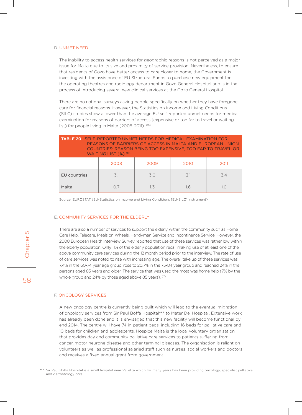#### D. Unmet need

The inability to access health services for geographic reasons is not perceived as a major issue for Malta due to its size and proximity of service provision. Nevertheless, to ensure that residents of Gozo have better access to care closer to home, the Government is investing with the assistance of EU Structural Funds to purchase new equipment for the operating theatres and radiology department in Gozo General Hospital and is in the process of introducing several new clinical services at the Gozo General Hospital.

There are no national surveys asking people specifically on whether they have foregone care for financial reasons. However, the Statistics on Income and Living Conditions (SILC) studies show a lower than the average EU self-reported unmet needs for medical examination for reasons of barriers of access (expensive or too far to travel or waiting list) for people living in Malta (2008-2011). (18)

| <b>TABLE 20   SELF-REPORTED UNMET NEEDS FOR MEDICAL EXAMINATION FOR</b><br>REASONS OF BARRIERS OF ACCESS IN MALTA AND EUROPEAN UNION<br>COUNTRIES: REASON BEING TOO EXPENSIVE, TOO FAR TO TRAVEL OR<br>WAITING LIST (%) (18) |      |      |      |      |
|------------------------------------------------------------------------------------------------------------------------------------------------------------------------------------------------------------------------------|------|------|------|------|
|                                                                                                                                                                                                                              | 2008 | 2009 | 2010 | 2011 |
| EU countries                                                                                                                                                                                                                 | 31   | 30   | 3.1  | 3.4  |
| Malta                                                                                                                                                                                                                        | O.7  | 13   | 16   | 1 N  |

Source: EUROSTAT (EU-Statistics on Income and Living Conditions [EU-SILC] instrument)

#### E. Community services for the elderly

There are also a number of services to support the elderly within the community such as Home Care Help, Telecare, Meals on Wheels, Handyman Service and Incontinence Service. However, the 2008 European Health Interview Survey reported that use of these services was rather low within the elderly population. Only 11% of the elderly population recall making use of at least one of the above community care services during the 12 month period prior to the interview. The rate of use of care services was noted to rise with increasing age. The overall take up of these services was 7.4% in the 60-74 year age group, rose to 20.7% in the 75-84 year group and reached 24% in the persons aged 85 years and older. The service that was used the most was home help (7% by the whole group and 24% by those aged above 85 years). (17)

#### F. Oncology services

A new oncology centre is currently being built which will lead to the eventual migration of oncology services from Sir Paul Boffa Hospital\*\*\* to Mater Dei Hospital. Extensive work has already been done and it is envisaged that this new facility will become functional by end 2014. The centre will have 74 in-patient beds, including 16 beds for palliative care and 10 beds for children and adolescents. Hospice Malta is the local voluntary organisation that provides day and community palliative care services to patients suffering from cancer, motor neurone disease and other terminal diseases. The organisation is reliant on volunteers as well as professional salaried staff such as nurses, social workers and doctors and receives a fixed annual grant from government.

\*\*\* Sir Paul Boffa Hospital is a small hospital near Valletta which for many years has been providing oncology, specialist palliative and dermatology care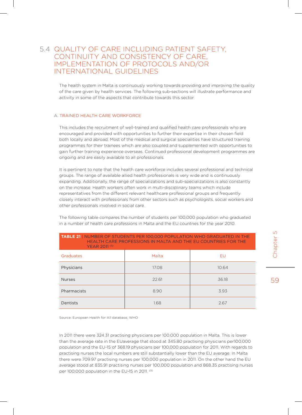## 5.4 Quality of care including patient safety, continuity and consistency of care, implementation of protocols and/or international guidelines

The health system in Malta is continuously working towards providing and improving the quality of the care given by health services. The following sub-sections will illustrate performance and activity in some of the aspects that contribute towards this sector.

#### A. Trained health care workforce

This includes the recruitment of well-trained and qualified health care professionals who are encouraged and provided with opportunities to further their expertise in their chosen field both locally and abroad. Most of the medical and surgical specialities have structured training programmes for their trainees which are also coupled and supplemented with opportunities to gain further training experience overseas. Continued professional development programmes are ongoing and are easily available to all professionals.

It is pertinent to note that the health care workforce includes several professional and technical groups. The range of available allied health professionals is very wide and is continuously expanding. Additionally, the range of specializations and sub-specializations is also constantly on the increase. Health workers often work in multi-disciplinary teams which include representatives from the different relevant healthcare professional groups and frequently closely interact with professionals from other sectors such as psychologists, social workers and other professionals involved in social care.

The following table compares the number of students per 100,000 population who graduated in a number of health care professions in Malta and the EU countries for the year 2010.

| YEAR 2011 (5) | THE ALTER OF THE FINDER BOOKS THE THREET AT THE RED COORTENED FOR THE |       |
|---------------|-----------------------------------------------------------------------|-------|
| Graduates     | Malta                                                                 | EU    |
| Physicians    | 17.08                                                                 | 10.64 |
| <b>Nurses</b> | 22.61                                                                 | 36.18 |
| Pharmacists   | 8.90                                                                  | 3.93  |
| Dentists      | 1.68                                                                  | 2.67  |

### **table 21** | Number of students per 100,000 population who graduated in the health care professions in Malta and the EU countries for the

Source: European Health for All database, WHO

In 2011 there were 324.31 practising physicians per 100,000 population in Malta. This is lower than the average rate in the EUaverage that stood at 345.80 practising physicians per100,000 population and the EU-15 of 368.19 physicians per 100,000 population for 2011. With regards to practising nurses the local numbers are still substantially lower than the EU average. In Malta there were 709.97 practising nurses per 100,000 population in 2011. On the other hand the EU average stood at 835.91 practising nurses per 100,000 population and 868.35 practising nurses per 100,000 population in the EU-15 in 2011. (5)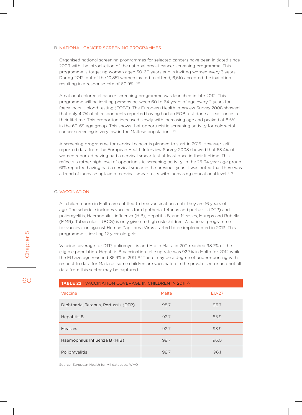#### B. National Cancer Screening Programmes

Organised national screening programmes for selected cancers have been initiated since 2009 with the introduction of the national breast cancer screening programme. This programme is targeting women aged 50-60 years and is inviting women every 3 years. During 2012, out of the 10,851 women invited to attend, 6,610 accepted the invitation resulting in a response rate of 60.9%. (51)

A national colorectal cancer screening programme was launched in late 2012. This programme will be inviting persons between 60 to 64 years of age every 2 years for faecal occult blood testing (FOBT). The European Health Interview Survey 2008 showed that only 4.7% of all respondents reported having had an FOB test done at least once in their lifetime. This proportion increased slowly with increasing age and peaked at 8.5% in the 60-69 age group. This shows that opportunistic screening activity for colorectal cancer screening is very low in the Maltese population. (17)

A screening programme for cervical cancer is planned to start in 2015. However selfreported data from the European Health Interview Survey 2008 showed that 63.4% of women reported having had a cervical smear test at least once in their lifetime. This reflects a rather high level of opportunistic screening activity. In the 25-34 year age group 61% reported having had a cervical smear in the previous year. It was noted that there was a trend of increase uptake of cervical smear tests with increasing educational level. <sup>(17)</sup>

#### C. Vaccination

All children born in Malta are entitled to free vaccinations until they are 16 years of age. The schedule includes vaccines for diphtheria, tetanus and pertussis (DTP) and poliomyelitis, Haemophilus influenza (HiB), Hepatitis B, and Measles, Mumps and Rubella (MMR). Tuberculosis (BCG) is only given to high risk children. A national programme for vaccination against Human Papilloma Virus started to be implemented in 2013. This programme is inviting 12 year old girls.

Vaccine coverage for DTP, poliomyelitis and Hib in Malta in 2011 reached 98.7% of the eligible population. Hepatitis B vaccination take up rate was 92.7% in Malta for 2012 while the EU average reached 85.9% in 2011. <sup>(5)</sup> There may be a degree of underreporting with respect to data for Malta as some children are vaccinated in the private sector and not all data from this sector may be captured.

| <b>TABLE 22   VACCINATION COVERAGE IN CHILDREN IN 2011 (5)</b> |       |         |  |
|----------------------------------------------------------------|-------|---------|--|
| Vaccine                                                        | Malta | $EU-27$ |  |
| Diphtheria, Tetanus, Pertussis (DTP)                           | 98.7  | 96.7    |  |
| <b>Hepatitis B</b>                                             | 92.7  | 85.9    |  |
| Measles                                                        | 92.7  | 93.9    |  |
| Haemophilus Influenza B (HiB)                                  | 98.7  | 96.0    |  |
| Poliomyelitis                                                  | 98.7  | 96.1    |  |

Source: European Health for All database, WHO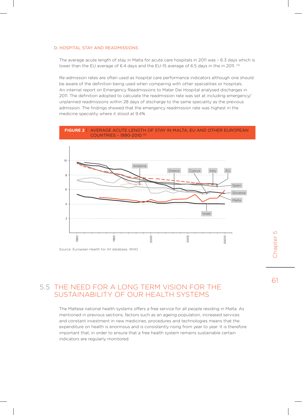#### D. Hospital Stay and Readmissions

The average acute length of stay in Malta for acute care hospitals in 2011 was – 6.3 days which is lower than the EU average of 6.4 days and the EU-15 average of 6.5 days in the in 2011. (5)

Re-admission rates are often used as hospital care performance indicators although one should be aware of the definition being used when comparing with other specialities or hospitals. An internal report on Emergency Readmissions to Mater Dei Hospital analysed discharges in 2011. The definition adopted to calculate the readmission rate was set at including emergency/ unplanned readmissions within 28 days of discharge to the same speciality as the previous admission. The findings showed that the emergency readmission rate was highest in the medicine speciality where it stood at 9.4%

#### **Figure 2** | Average acute length of stay in Malta, EU and other European countries – 1990-2010 (5)



## 5.5 The need for a long term vision for the sustainability of our health systemS

The Maltese national health systems offers a free service for all people residing in Malta. As mentioned in previous sections, factors such as an ageing population, increased services and constant investment in new medicines, procedures and technologies means that the expenditure on health is enormous and is consistently rising from year to year. It is therefore important that, in order to ensure that a free health system remains sustainable certain indicators are regularly monitored.

 $\overline{L}$ Chapter 5 Chapter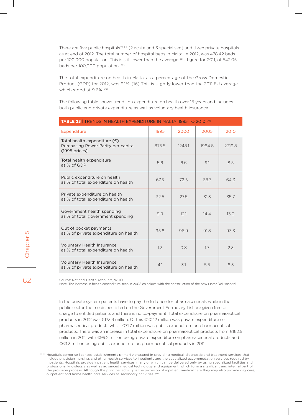There are five public hospitals\*\*\*\* (2 acute and 3 specialised) and three private hospitals as at end of 2012. The total number of hospital beds in Malta, in 2012, was 478.42 beds per 100,000 population. This is still lower than the average EU figure for 2011, of 542.05 beds per 100,000 population. (5)

The total expenditure on health in Malta, as a percentage of the Gross Domestic Product (GDP) for 2012, was 9.1%. (16) This is slightly lower than the 2011 EU average which stood at 9.6%.<sup>(5)</sup>

The following table shows trends on expenditure on health over 15 years and includes both public and private expenditure as well as voluntary health insurance.

| <b>TABLE 23   TRENDS IN HEALTH EXPENDITURE IN MALTA, 1995 TO 2010 (16)</b>                   |       |        |        |        |
|----------------------------------------------------------------------------------------------|-------|--------|--------|--------|
| Expenditure                                                                                  | 1995  | 2000   | 2005   | 2010   |
| Total health expenditure $(\epsilon)$<br>Purchasing Power Parity per capita<br>(1995 prices) | 875.5 | 1248.1 | 1964.8 | 2319.8 |
| Total health expenditure<br>as % of GDP                                                      | 5.6   | 6.6    | 9.1    | 8.5    |
| Public expenditure on health<br>as % of total expenditure on health                          | 67.5  | 72.5   | 68.7   | 64.3   |
| Private expenditure on health<br>as % of total expenditure on health                         | 32.5  | 27.5   | 31.3   | 35.7   |
| Government health spending<br>as % of total government spending                              | 9.9   | 121    | 14.4   | 13.0   |
| Out of pocket payments<br>as % of private expenditure on health                              | 95.8  | 96.9   | 91.8   | 93.3   |
| Voluntary Health Insurance<br>as % of total expenditure on health                            | 1.3   | 0.8    | 1.7    | 2.3    |
| <b>Voluntary Health Insurance</b><br>as % of private expenditure on health                   | 4.1   | 3.1    | 5.5    | 6.3    |

Source: National Health Accounts, WHO

Note: The increase in health expenditure seen in 2005 coincides with the construction of the new Mater Dei Hospital

In the private system patients have to pay the full price for pharmaceuticals while in the public sector the medicines listed on the Government Formulary List are given free of charge to entitled patients and there is no co-payment. Total expenditure on pharmaceutical products in 2012 was €173.9 million. Of this €102.2 million was private expenditure on pharmaceutical products whilst €71.7 million was public expenditure on pharmaceutical products. There was an increase in total expenditure on pharmaceutical products from €162.5 million in 2011, with €99.2 million being private expenditure on pharmaceutical products and €63.3 million being public expenditure on pharmaceutical products in 2011.

Hospitals comprise licensed establishments primarily engaged in providing medical, diagnostic and treatment services that include physician, nursing, and other health services to inpatients and the specialized accommodation services required by inpatients. Hospitals provide inpatient health services, many of which can be delivered only by using specialized facilities and professional knowledge as well as advanced medical technology and equipment, which form a significant and integral part of the provision process. Although the principal activity is the provision of inpatient medical care they may also provide day care, outpatient and home health care services as secondary activities. <sup>(60</sup>)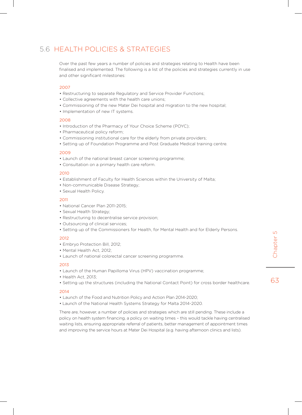## 5.6 Health Policies & Strategies

Over the past few years a number of policies and strategies relating to Health have been finalised and implemented. The following is a list of the policies and strategies currently in use and other significant milestones:

#### 2007

- Restructuring to separate Regulatory and Service Provider Functions;
- Collective agreements with the health care unions;
- Commissioning of the new Mater Dei hospital and migration to the new hospital;
- Implementation of new IT systems.

#### 2008

- Introduction of the Pharmacy of Your Choice Scheme (POYC);
- Pharmaceutical policy reform;
- Commissioning institutional care for the elderly from private providers;
- Setting up of Foundation Programme and Post Graduate Medical training centre.

#### 2009

- Launch of the national breast cancer screening programme;
- Consultation on a primary health care reform.

#### 2010

- Establishment of Faculty for Health Sciences within the University of Malta;
- Non-communicable Disease Strategy;
- Sexual Health Policy.

#### 2011

- National Cancer Plan 2011-2015;
- Sexual Health Strategy;
- Restructuring to decentralise service provision;
- Outsourcing of clinical services;
- Setting up of the Commissioners for Health, for Mental Health and for Elderly Persons.

#### 2012

- Embryo Protection Bill, 2012;
- Mental Health Act, 2012;
- Launch of national colorectal cancer screening programme.

#### 2013

- Launch of the Human Papilloma Virus (HPV) vaccination programme;
- Health Act, 2013;
- Setting up the structures (including the National Contact Point) for cross border healthcare.

#### 2014

- Launch of the Food and Nutrition Policy and Action Plan 2014-2020;
- Launch of the National Health Systems Strategy for Malta 2014-2020.

There are, however, a number of policies and strategies which are still pending. These include a policy on health system financing, a policy on waiting times – this would tackle having centralised waiting lists, ensuring appropriate referral of patients, better management of appointment times and improving the service hours at Mater Dei Hospital (e.g. having afternoon clinics and lists).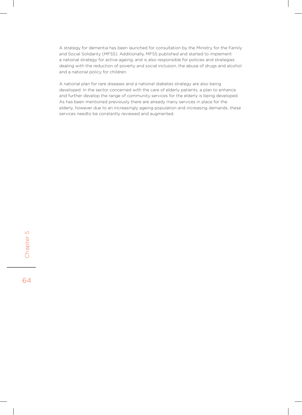A strategy for dementia has been launched for consultation by the Ministry for the Family and Social Solidarity (MFSS). Additionally, MFSS published and started to implement a national strategy for active ageing, and is also responsible for policies and strategies dealing with the reduction of poverty and social inclusion, the abuse of drugs and alcohol and a national policy for children.

A national plan for rare diseases and a national diabetes strategy are also being developed. In the sector concerned with the care of elderly patients, a plan to enhance and further develop the range of community services for the elderly is being developed. As has been mentioned previously there are already many services in place for the elderly, however due to an increasingly ageing population and increasing demands, these services needto be constantly reviewed and augmented.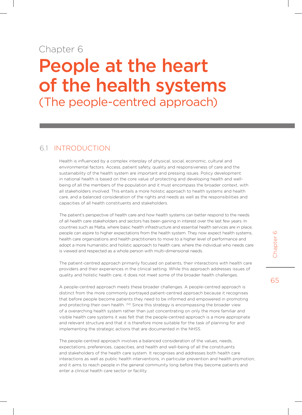## Chapter 6 People at the heart of the health systems (The people-centred approach)

## 6.1 Introduction

Health is influenced by a complex interplay of physical, social, economic, cultural and environmental factors. Access, patient safety, quality and responsiveness of care and the sustainability of the health system are important and pressing issues. Policy development in national health is based on the core value of protecting and developing health and wellbeing of all the members of the population and it must encompass the broader context, with all stakeholders involved. This entails a more holistic approach to health systems and health care, and a balanced consideration of the rights and needs as well as the responsibilities and capacities of all health constituents and stakeholders.

The patient's perspective of health care and how health systems can better respond to the needs of all health care stakeholders and sectors has been gaining in interest over the last few years. In countries such as Malta, where basic health infrastructure and essential health services are in place, people can aspire to higher expectations from the health system. They now expect health systems, health care organizations and health practitioners to move to a higher level of performance and adopt a more humanistic and holistic approach to health care, where the individual who needs care is viewed and respected as a whole person with multi-dimensional needs.

The patient-centred approach primarily focused on patients, their interactions with health care providers and their experiences in the clinical setting. While this approach addresses issues of quality and holistic health care, it does not meet some of the broader health challenges.

A people-centred approach meets these broader challenges. A people-centred approach is distinct from the more commonly portrayed patient-centred approach because it recognises that before people become patients they need to be informed and empowered in promoting and protecting their own health. <sup>(52)</sup> Since this strategy is encompassing the broader view of a overarching health system rather than just concentrating on only the more familiar and visible health care systems it was felt that the people-centred approach is a more appropriate and relevant structure and that it is therefore more suitable for the task of planning for and implementing the strategic actions that are documented in the NHSS.

The people-centred approach involves a balanced consideration of the values, needs, expectations, preferences, capacities, and health and well-being of all the constituents and stakeholders of the health care system. It recognises and addresses both health care interactions as well as public health interventions, in particular prevention and health promotion, and it aims to reach people in the general community long before they become patients and enter a clinical health care sector or facility.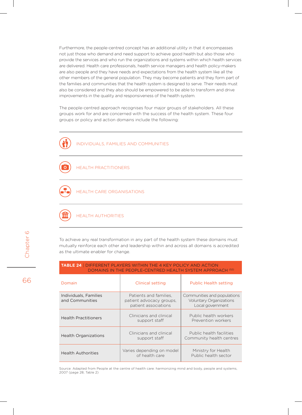Furthermore, the people-centred concept has an additional utility in that it encompasses not just those who demand and need support to achieve good health but also those who provide the services and who run the organizations and systems within which health services are delivered. Health care professionals, health service managers and health policy-makers are also people and they have needs and expectations from the health system like all the other members of the general population. They may become patients and they form part of the families and communities that the health system is designed to serve. Their needs must also be considered and they also should be empowered to be able to transform and drive improvements in the quality and responsiveness of the health system.

The people-centred approach recognises four major groups of stakeholders. All these groups work for and are concerned with the success of the health system. These four groups or policy and action domains include the following:





health care organisations



health authorities

To achieve any real transformation in any part of the health system these domains must mutually reinforce each other and leadership within and across all domains is accredited as the ultimate enabler for change.

**table 24** | Different players within the 4 key policy and action

| DOMAINS IN THE PEOPLE-CENTRED HEALTH SYSTEM APPROACH (52) |                                                                            |                                                                                   |  |
|-----------------------------------------------------------|----------------------------------------------------------------------------|-----------------------------------------------------------------------------------|--|
| Domain                                                    | <b>Clinical setting</b>                                                    | <b>Public Health setting</b>                                                      |  |
| Individuals, Families<br>and Communities                  | Patients and families.<br>patient advocacy groups.<br>patient associations | Communities and populations<br><b>Voluntary Organizations</b><br>Local government |  |
| <b>Health Practitioners</b>                               | Clinicians and clinical<br>support staff                                   | Public health workers<br>Prevention workers                                       |  |
| <b>Health Organizations</b>                               | Clinicians and clinical<br>support staff                                   | Public health facilities<br>Community health centres                              |  |
| <b>Health Authorities</b>                                 | Varies depending on model<br>of health care                                | Ministry for Health<br>Public health sector                                       |  |

Source: Adapted from People at the centre of health care: harmonizing mind and body, people and systems, 2007 (page 28; Table 2)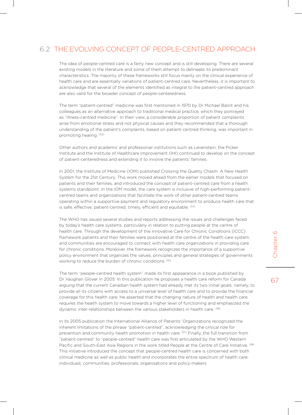## 6.2 The evolving concept of people-centred approach

The idea of people-centred care is a fairly new concept and is still developing. There are several existing models in the literature and some of them attempt to delineate its predominant characteristics. The majority of these frameworks still focus mainly on the clinical experience of health care and are essentially variations of patient-centred care. Nevertheless, it is important to acknowledge that several of the elements identified as integral to the patient-centred approach are also valid for the broader concept of people-centeredness.

The term "patient-centred" medicine was first mentioned in 1970 by Dr Michael Balint and his colleagues as an alternative approach to traditional medical practice, which they portrayed as "illness-centred medicine". In their view, a considerable proportion of patient complaints arise from emotional stress and not physical causes and they recommended that a thorough understanding of the patient's complaints, based on patient-centred thinking, was important in promoting healing. (53)

Other authors and academic and professional institutions such as Levenstein, the Picker Institute and the Institute of Healthcare Improvement (IHI) continued to develop on the concept of patient-centeredness and extending it to involve the patients' families.

In 2001, the Institute of Medicine (IOM) published Crossing the Quality Chasm: A New Health System for the 21st Century. This work moved ahead from the earlier models that focused on patients and their families, and introduced the concept of patient-centred care from a health systems standpoint. In the IOM model, the care system is inclusive of high-performing patientcentred teams and organizations that facilitate the work of other patient-centred teams operating within a supportive payment and regulatory environment to produce health care that is safe, effective, patient-centred, timely, efficient and equitable. (54)

The WHO has issued several studies and reports addressing the issues and challenges faced by today's health care systems, particularly in relation to putting people at the centre of health care. Through the development of the Innovative Care for Chronic Conditions (ICCC) framework patients and their families were positioned at the centre of the health care system, and communities are encouraged to connect with health care organizations in providing care for chronic conditions. Moreover, the framework recognizes the importance of a supportive policy environment that organizes the values, principles and general strategies of governments working to reduce the burden of chronic conditions. (55)

The term "people-centred health system" made its first appearance in a book published by Dr Vaughan Glover in 2005. In this publication he proposes a health care reform for Canada arguing that the current Canadian health system had already met its two initial goals, namely, to provide all its citizens with access to a universal level of health care and to provide the financial coverage for this health care. He asserted that the changing nature of health and health care requires the health system to move towards a higher level of functioning and emphasized the dynamic inter-relationships between the various stakeholders in health care. <sup>(56)</sup>

In its 2005 publication the International Alliance of Patients' Organizations recognized the inherent limitations of the phrase "patient-centred", acknowledging the critical role for prevention and community health promotion in health care. <sup>(57)</sup> Finally, the full transition from "patient-centred" to "people-centred" health care was first articulated by the WHO Western Pacific and South-East Asia Regions in the work titled People at the Centre of Care Initiative. <sup>(58)</sup> This initiative introduced the concept that people-centred health care is concerned with both clinical medicine as well as public health and incorporates the entire spectrum of health care: individuals, communities, professionals, organisations and policy-makers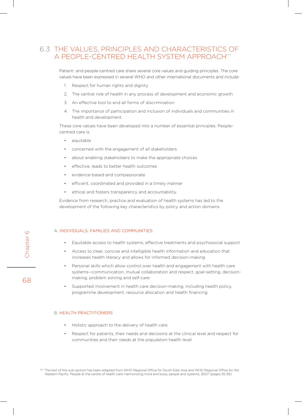## 6.3 The values, principles and characteristics of a people-centred health system approach†††

Patient- and people-centred care share several core values and guiding principles. The core values have been expressed in several WHO and other international documents and include:

- 1. Respect for human rights and dignity
- 2. The central role of health in any process of development and economic growth
- 3. An effective tool to end all forms of discrimination
- 4. The importance of participation and inclusion of individuals and communities in health and development.

These core values have been developed into a number of essential principles. Peoplecentred care is:

- equitable
- concerned with the engagement of all stakeholders
- about enabling stakeholders to make the appropriate choices
- effective, leads to better health outcomes
- • evidence-based and compassionate
- efficient, coordinated and provided in a timely manner
- • ethical and fosters transparency and accountability.

Evidence from research, practice and evaluation of health systems has led to the development of the following key characteristics by policy and action domains.

#### A. Individuals, families and communities

- Equitable access to health systems, effective treatments and psychosocial support
- Access to clear, concise and intelligible health information and education that increases health literacy and allows for informed decision-making
- Personal skills which allow control over health and engagement with health care systems—communication, mutual collaboration and respect, goal-setting, decisionmaking, problem solving and self-care
- Supported involvement in health care decision-making, including health policy, programme development, resource allocation and health financing.

#### B. Health practitioners

- Holistic approach to the delivery of health care
- Respect for patients, their needs and decisions at the clinical level and respect for communities and their needs at the population health level

<sup>†††</sup> The text of this sub-section has been adapted from WHO Regional Office for South-East Asia and WHO Regional Office for the Western Pacific. People at the centre of health care: harmonizing mind and body, people and systems, 2007 (pages 35-39)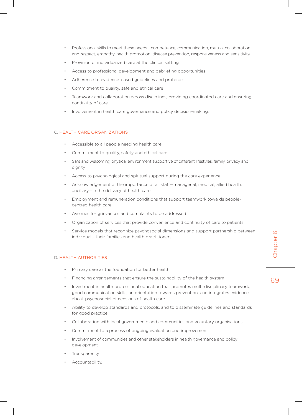- Professional skills to meet these needs—competence, communication, mutual collaboration and respect, empathy, health promotion, disease prevention, responsiveness and sensitivity
- Provision of individualized care at the clinical setting
- Access to professional development and debriefing opportunities
- Adherence to evidence-based guidelines and protocols
- Commitment to quality, safe and ethical care
- Teamwork and collaboration across disciplines, providing coordinated care and ensuring continuity of care
- Involvement in health care governance and policy decision-making.

#### C. Health care organizations

- • Accessible to all people needing health care
- Commitment to quality, safety and ethical care
- • Safe and welcoming physical environment supportive of different lifestyles, family, privacy and dignity
- Access to psychological and spiritual support during the care experience
- Acknowledgement of the importance of all staff-managerial, medical, allied health, ancillary—in the delivery of health care
- Employment and remuneration conditions that support teamwork towards peoplecentred health care
- Avenues for grievances and complaints to be addressed
- Organization of services that provide convenience and continuity of care to patients
- Service models that recognize psychosocial dimensions and support partnership between individuals, their families and health practitioners.

Chapter 6

Chapter

 $\circ$ 

69

#### D. Health Authorities

- • Primary care as the foundation for better health
- • Financing arrangements that ensure the sustainability of the health system
- Investment in health professional education that promotes multi-disciplinary teamwork, good communication skills, an orientation towards prevention, and integrates evidence about psychosocial dimensions of health care
- Ability to develop standards and protocols, and to disseminate guidelines and standards for good practice
- Collaboration with local governments and communities and voluntary organisations
- Commitment to a process of ongoing evaluation and improvement
- Involvement of communities and other stakeholders in health governance and policy development
- **Transparency**
- Accountability.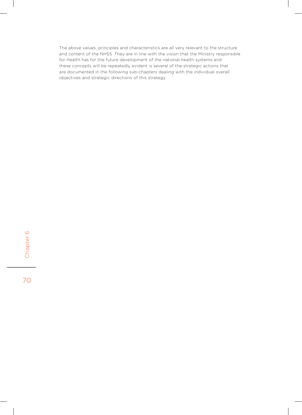The above values, principles and characteristics are all very relevant to the structure and content of the NHSS. They are in line with the vision that the Ministry responsible for Health has for the future development of the national health systems and these concepts will be repeatedly evident is several of the strategic actions that are documented in the following sub-chapters dealing with the individual overall objectives and strategic directions of this strategy.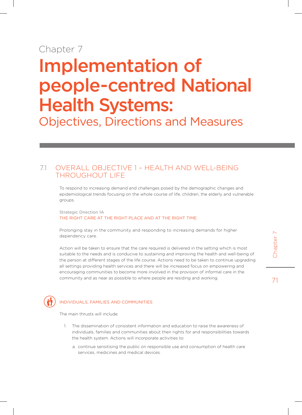## Chapter 7

# Implementation of people-centred National Health Systems:

Objectives, Directions and Measures

## 7.1 OVERALL OBJECTIVE 1 – HEALTH AND Well-being THROUGHOUT LIFE

To respond to increasing demand and challenges posed by the demographic changes and epidemiological trends focusing on the whole course of life, children, the elderly and vulnerable groups.

Strategic Direction 1A THE RIGHT CARE AT THE RIGHT PLACE AND AT THE RIGHT TIME

Prolonging stay in the community and responding to increasing demands for higher dependency care.

Action will be taken to ensure that the care required is delivered in the setting which is most suitable to the needs and is conducive to sustaining and improving the health and well-being of the person at different stages of the life course. Actions need to be taken to continue upgrading all settings providing health services and there will be increased focus on empowering and encouraging communities to become more involved in the provision of informal care in the community and as near as possible to where people are residing and working.



#### Individuals, families and communities

The main thrusts will include:

- 1. The dissemination of consistent information and education to raise the awareness of individuals, families and communities about their rights for and responsibilities towards the health system. Actions will incorporate activities to:
	- a. continue sensitising the public on responsible use and consumption of health care services, medicines and medical devices.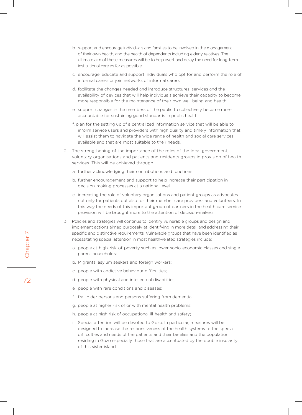- b. support and encourage individuals and families to be involved in the management of their own health, and the health of dependents including elderly relatives. The ultimate aim of these measures will be to help avert and delay the need for long-term institutional care as far as possible.
- c. encourage, educate and support individuals who opt for and perform the role of informal carers or join networks of informal carers.
- d. facilitate the changes needed and introduce structures, services and the availability of devices that will help individuals achieve their capacity to become more responsible for the maintenance of their own well-being and health.
- e. support changes in the members of the public to collectively become more accountable for sustaining good standards in public health.
- f. plan for the setting up of a centralized information service that will be able to inform service users and providers with high quality and timely information that will assist them to navigate the wide range of health and social care services available and that are most suitable to their needs.
- 2. The strengthening of the importance of the roles of the local government, voluntary organisations and patients and residents groups in provision of health services. This will be achieved through
	- a. further acknowledging their contributions and functions
	- b. further encouragement and support to help increase their participation in decision-making processes at a national level
	- c. increasing the role of voluntary organisations and patient groups as advocates not only for patients but also for their member care providers and volunteers. In this way the needs of this important group of partners in the health care service provision will be brought more to the attention of decision-makers.
- 3. Policies and strategies will continue to identify vulnerable groups and design and implement actions aimed purposely at identifying in more detail and addressing their specific and distinctive requirements. Vulnerable groups that have been identified as necessitating special attention in most health-related strategies include:
	- a. people at-high-risk-of-poverty such as lower socio-economic classes and single parent households;
	- b. Migrants, asylum seekers and foreign workers;
	- c. people with addictive behaviour difficulties;
	- d. people with physical and intellectual disabilities;
	- e. people with rare conditions and diseases;
	- f. frail older persons and persons suffering from dementia;
	- g. people at higher risk of or with mental health problems;
	- h. people at high risk of occupational ill-health and safety;
	- i. Special attention will be devoted to Gozo. In particular, measures will be designed to increase the responsiveness of the health systems to the special difficulties and needs of the patients and their families and the population residing in Gozo especially those that are accentuated by the double insularity of this sister island.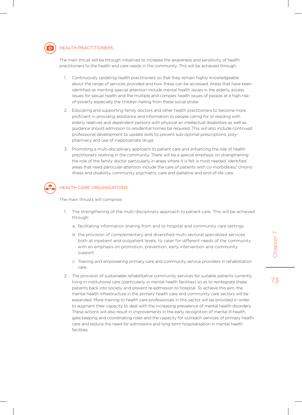

#### Health practitioners

The main thrust will be through initiatives to increase the awareness and sensitivity of health practitioners to the health and care needs in the community. This will be achieved through:

- 1. Continuously updating health practitioners so that they remain highly knowledgeable about the range of services provided and how these can be accessed. Areas that have been identified as meriting special attention include mental health issues in the elderly, access issues for sexual health and the multiple and complex health issues of people at a high riskof-poverty especially the children hailing from these social strata.
- 2. Educating and supporting family doctors and other health practitioners to become more proficient in providing assistance and information to people caring for or residing with elderly relatives and dependent persons with physical an intellectual disabilities as well as guidance should admission to residential homes be required. This will also include continued professional development to update skills to prevent sub-optimal prescriptions, polypharmacy and use of inappropriate drugs
- 3. Promoting a multi-disciplinary approach to patient care and enhancing the role of health practitioners working in the community. There will be a special emphasis on strengthening the role of the family doctor particularly in areas where it is felt is most needed. Identified areas that need particular attention include the care of patients with co-morbidities/ chronic illness and disability, community psychiatric care and palliative and end-of-life care.



#### Health care organisations

The main thrusts will comprise:

- 1. The strengthening of the multi-disciplinary approach to patient care. This will be achieved through:
	- a. facilitating information sharing from and to hospital and community care settings.
	- b. the provision of complementary and diversified multi-sectoral specialised services, both at inpatient and outpatient levels, to cater for different needs of the community with an emphasis on promotion, prevention, early intervention and community support.
	- c. Training and empowering primary care and community service providers in rehabilitation care.
- 2. The provision of sustainable rehabilitative community services for suitable patients currently living in institutional care (particularly in mental health facilities) so as to reintegrate these patients back into society and prevent re-admission to hospital. To achieve this aim, the mental health infrastructure in the primary health care and community care sectors will be expanded. More training to health care professionals in this sector will be provided in order to augment their capacity to deal with the increasing prevalence of mental health disorders. These actions will also result in improvements in the early recognition of mental ill-health, gate keeping and coordinating roles and the capacity for outreach services of primary health care and reduce the need for admissions and long-term hospitalisation in mental health facilities.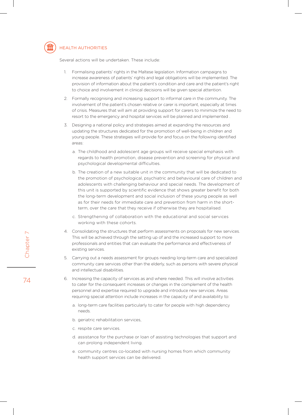

#### Health authorities

Several actions will be undertaken. These include:

- 1. Formalising patients' rights in the Maltese legislation. Information campaigns to increase awareness of patients' rights and legal obligations will be implemented. The provision of information about the patient's condition and care and the patient's right to choice and involvement in clinical decisions will be given special attention.
- 2. Formally recognising and increasing support to informal care in the community. The involvement of the patient's chosen relative or carer is important, especially at times of crisis. Measures that will aim at providing support for carers to minimize the need to resort to the emergency and hospital services will be planned and implemented .
- 3. Designing a national policy and strategies aimed at expanding the resources and updating the structures dedicated for the promotion of well-being in children and young people. These strategies will provide for and focus on the following identified areas:
	- a. The childhood and adolescent age groups will receive special emphasis with regards to health promotion, disease prevention and screening for physical and psychological developmental difficulties.
	- b. The creation of a new suitable unit in the community that will be dedicated to the promotion of psychological, psychiatric and behavioural care of children and adolescents with challenging behaviour and special needs. The development of this unit is supported by scientific evidence that shows greater benefit for both the long-term development and social inclusion of these young people as well as for their needs for immediate care and prevention from harm in the shortterm, over the care that they receive if otherwise they are hospitalised.
	- c. Strengthening of collaboration with the educational and social services working with these cohorts.
- 4. Consolidating the structures that perform assessments on proposals for new services. This will be achieved through the setting up of and the increased support to more professionals and entities that can evaluate the performance and effectiveness of existing services.
- 5. Carrying out a needs assessment for groups needing long-term care and specialized community care services other than the elderly, such as persons with severe physical and intellectual disabilities.
- 6. Increasing the capacity of services as and where needed. This will involve activities to cater for the consequent increases or changes in the complement of the health personnel and expertise required to upgrade and introduce new services. Areas requiring special attention include increases in the capacity of and availability to:
	- a. long-term care facilities particularly to cater for people with high dependency needs.
	- b. geriatric rehabilitation services,
	- c. respite care services.
	- d. assistance for the purchase or loan of assisting technologies that support and can prolong independent living.
	- e. community centres co-located with nursing homes from which community health support services can be delivered.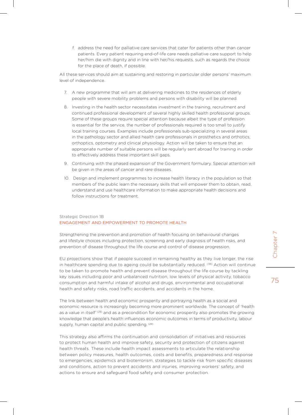f. address the need for palliative care services that cater for patients other than cancer patients. Every patient requiring end-of-life care needs palliative care support to help her/him die with dignity and in line with her/his requests, such as regards the choice for the place of death, if possible.

All these services should aim at sustaining and restoring in particular older persons' maximum level of independence.

- 7. A new programme that will aim at delivering medicines to the residences of elderly people with severe mobility problems and persons with disability will be planned.
- 8. Investing in the health sector necessitates investment in the training, recruitment and continued professional development of several highly skilled health professional groups. Some of these groups require special attention because albeit the type of profession is essential for the service, the number of professionals required is too small to justify local training courses. Examples include professionals sub-specializing in several areas in the pathology sector and allied health care professionals in prosthetics and orthotics, orthoptics, optometry and clinical physiology. Action will be taken to ensure that an appropriate number of suitable persons will be regularly sent abroad for training in order to effectively address these important skill gaps.
- 9. Continuing with the phased expansion of the Government formulary. Special attention will be given in the areas of cancer and rare diseases.
- 10. Design and implement programmes to increase health literacy in the population so that members of the public learn the necessary skills that will empower them to obtain, read, understand and use healthcare information to make appropriate health decisions and follow instructions for treatment.

#### Strategic Direction 1B ENGAGEMENT AND EMPOWERMENT TO PROMOTE HEALTH

Strengthening the prevention and promotion of health focusing on behavioural changes and lifestyle choices including protection, screening and early diagnosis of health risks, and prevention of disease throughout the life course and control of disease progression.

EU projections show that if people succeed in remaining healthy as they live longer, the rise in healthcare spending due to ageing could be substantially reduced. <sup>(38)</sup> Action will continue to be taken to promote health and prevent disease throughout the life course by tackling key issues including poor and unbalanced nutrition, low levels of physical activity, tobacco consumption and harmful intake of alcohol and drugs, environmental and occupational health and safety risks, road traffic accidents, and accidents in the home.

The link between health and economic prosperity and portraying health as a social and economic resource is increasingly becoming more prominent worldwide. The concept of 'health as a value in itself<sup>' (28)</sup> and as a precondition for economic prosperity also promotes the growing knowledge that people's health influences economic outcomes in terms of productivity, labour supply, human capital and public spending. (29)

This strategy also affirms the continuation and consolidation of initiatives and resources to protect human health and improve safety, security and protection of citizens against health threats. These include health impact assessments to articulate the relationship between policy measures, health outcomes, costs and benefits, preparedness and response to emergencies, epidemics and bioterrorism, strategies to tackle risk from specific diseases and conditions, action to prevent accidents and injuries, improving workers' safety, and actions to ensure and safeguard food safety and consumer protection.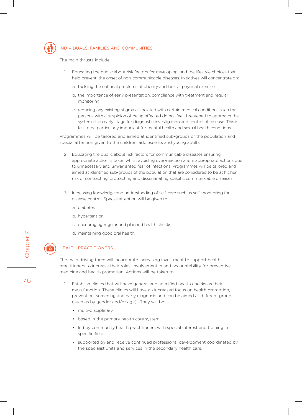

#### Individuals, families and communities

The main thrusts include:

- 1. Educating the public about risk factors for developing, and the lifestyle choices that help prevent, the onset of non-communicable diseases. Initiatives will concentrate on:
	- a. tackling the national problems of obesity and lack of physical exercise
	- b. the importance of early presentation, compliance with treatment and regular monitoring.
	- c. reducing any existing stigma associated with certain medical conditions such that persons with a suspicion of being affected do not feel threatened to approach the system at an early stage for diagnostic investigation and control of disease. This is felt to be particularly important for mental health and sexual health conditions.

Programmes will be tailored and aimed at identified sub-groups of the population and special attention given to the children, adolescents and young adults.

- 2. Educating the public about risk factors for communicable diseases ensuring appropriate action is taken whilst avoiding over-reaction and inappropriate actions due to unnecessary and unwarranted fear of infections. Programmes will be tailored and aimed at identified sub-groups of the population that are considered to be at higher risk of contracting, protracting and disseminating specific communicable diseases.
- 3. Increasing knowledge and understanding of self-care such as self-monitoring for disease control. Special attention will be given to:
	- a. diabetes
	- b. hypertension
	- c. encouraging regular and planned health checks
	- d. maintaining good oral health.

#### Health practitioners

The main driving force will incorporate increasing investment to support health practitioners to increase their roles, involvement in and accountability for preventive medicine and health promotion. Actions will be taken to:

- 1. Establish clinics that will have general and specified health checks as their main function. These clinics will have an increased focus on health promotion, prevention, screening and early diagnosis and can be aimed at different groups (such as by gender and/or age) . They will be:
	- multi-disciplinary,
	- based in the primary health care system,
	- led by community health practitioners with special interest and training in specific fields,
	- supported by and receive continued professional development coordinated by the specialist units and services in the secondary health care.

Chapter 7 Chapter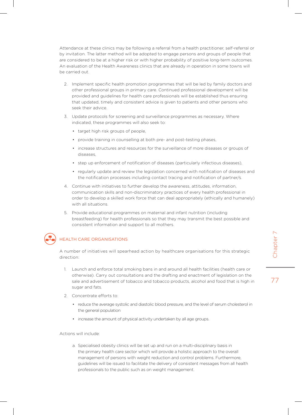Attendance at these clinics may be following a referral from a health practitioner, self-referral or by invitation. The latter method will be adopted to engage persons and groups of people that are considered to be at a higher risk or with higher probability of positive long-term outcomes. An evaluation of the Health Awareness clinics that are already in operation in some towns will be carried out.

- 2. Implement specific health promotion programmes that will be led by family doctors and other professional groups in primary care. Continued professional development will be provided and guidelines for health care professionals will be established thus ensuring that updated, timely and consistent advice is given to patients and other persons who seek their advice.
- 3. Update protocols for screening and surveillance programmes as necessary. Where indicated, these programmes will also seek to:
	- target high risk groups of people,
	- provide training in counselling at both pre- and post-testing phases,
	- • increase structures and resources for the surveillance of more diseases or groups of diseases,
	- step up enforcement of notification of diseases (particularly infectious diseases),
	- • regularly update and review the legislation concerned with notification of diseases and the notification processes including contact tracing and notification of partner/s.
- 4. Continue with initiatives to further develop the awareness, attitudes, information, communication skills and non-discriminatory practices of every health professional in order to develop a skilled work force that can deal appropriately (ethically and humanely) with all situations.
- 5. Provide educational programmes on maternal and infant nutrition (including breastfeeding) for health professionals so that they may transmit the best possible and consistent information and support to all mothers.



#### Health care organisations

A number of initiatives will spearhead action by healthcare organisations for this strategic direction:

- 1. Launch and enforce total smoking bans in and around all health facilities (health care or otherwise). Carry out consultations and the drafting and enactment of legislation on the sale and advertisement of tobacco and tobacco products, alcohol and food that is high in sugar and fats.
- 2. Concentrate efforts to:
	- reduce the average systolic and diastolic blood pressure, and the level of serum cholesterol in the general population
	- increase the amount of physical activity undertaken by all age groups.

Actions will include:

a. Specialised obesity clinics will be set up and run on a multi-disciplinary basis in the primary health care sector which will provide a holistic approach to the overall management of persons with weight reduction and control problems. Furthermore, guidelines will be issued to facilitate the delivery of consistent messages from all health professionals to the public such as on weight management.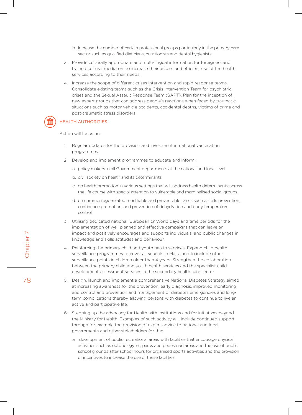- b. Increase the number of certain professional groups particularly in the primary care sector such as qualified dieticians, nutritionists and dental hygienists.
- 3. Provide culturally appropriate and multi-lingual information for foreigners and trained cultural mediators to increase their access and efficient use of the health services according to their needs.
- 4. Increase the scope of different crises intervention and rapid response teams. Consolidate existing teams such as the Crisis Intervention Team for psychiatric crises and the Sexual Assault Response Team (SART). Plan for the inception of new expert groups that can address people's reactions when faced by traumatic situations such as motor vehicle accidents, accidental deaths, victims of crime and post-traumatic stress disorders.

#### Health authorities

Action will focus on:

- 1. Regular updates for the provision and investment in national vaccination programmes.
- 2. Develop and implement programmes to educate and inform:
	- a. policy makers in all Government departments at the national and local level
	- b. civil society on health and its determinants
	- c. on health promotion in various settings that will address health determinants across the life course with special attention to vulnerable and marginalised social groups.
	- d. on common age-related modifiable and preventable crises such as falls prevention, continence promotion, and prevention of dehydration and body temperature control
- 3. Utilising dedicated national, European or World days and time periods for the implementation of well planned and effective campaigns that can leave an impact and positively encourages and supports individuals' and public changes in knowledge and skills attitudes and behaviour.
- 4. Reinforcing the primary child and youth health services. Expand child health surveillance programmes to cover all schools in Malta and to include other surveillance points in children older than 4 years. Strengthen the collaboration between the primary child and youth health services and the specialist child development assessment services in the secondary health care sector
- 5. Design, launch and implement a comprehensive National Diabetes Strategy aimed at increasing awareness for the prevention, early diagnosis, improved monitoring and control and prevention and management of diabetes emergencies and longterm complications thereby allowing persons with diabetes to continue to live an active and participative life.
- 6. Stepping up the advocacy for Health with institutions and for initiatives beyond the Ministry for Health. Examples of such activity will include continued support through for example the provision of expert advice to national and local governments and other stakeholders for the:
	- a. development of public recreational areas with facilities that encourage physical activities such as outdoor gyms, parks and pedestrian areas and the use of public school grounds after school hours for organised sports activities and the provision of incentives to increase the use of these facilities.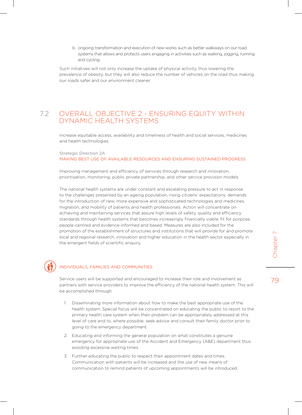b. ongoing transformation and execution of new works such as better walkways on our road systems that allows and protects users engaging in activities such as walking, jogging, running and cycling.

Such initiatives will not only increase the uptake of physical activity, thus lowering the prevalence of obesity, but they will also reduce the number of vehicles on the road thus making our roads safer and our environment cleaner.

#### 7.2 OVERALL OBJECTIVE 2 - ENSURING EQUITY WITHIN DYNAMIC HEALTH SYSTEMS

Increase equitable access, availability and timeliness of health and social services, medicines and health technologies.

#### Strategic Direction 2A MAKING BEST USE OF AVAILABLE RESOURCES AND ENSURING SUSTAINED PROGRESS

Improving management and efficiency of services through research and innovation, prioritisation, monitoring, public private partnership, and other service provision models.

The national health systems are under constant and escalating pressure to act in response to the challenges presented by an ageing population, rising citizens' expectations, demands for the introduction of new, more expensive and sophisticated technologies and medicines, migration, and mobility of patients and health professionals. Action will concentrate on achieving and maintaining services that assure high levels of safety, quality and efficiency standards through health systems that becomes increasingly financially viable, fit for purpose, people-centred and evidence-informed and based. Measures are also included for the promotion of the establishment of structures and institutions that will provide for and promote local and regional research, innovation and higher education in the health sector especially in the emergent fields of scientific enquiry.

#### Individuals, families and communities

Service users will be supported and encouraged to increase their role and involvement as partners with service providers to improve the efficiency of the national health system. This will be accomplished through:

- 1. Disseminating more information about how to make the best appropriate use of the health system. Special focus will be concentrated on educating the public to resort to the primary health care system when their problem can be appropriately addressed at this level of care and to, where possible, seek advice and consult their family doctor prior to going to the emergency department.
- 2. Educating and informing the general population on what constitutes a genuine emergency for appropriate use of the Accident and Emergency (A&E) department thus avoiding excessive waiting times.
- 3. Further educating the public to respect their appointment dates and times. Communication with patients will be increased and the use of new means of communication to remind patients of upcoming appointments will be introduced.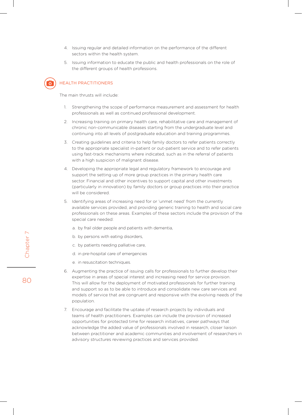- 4. Issuing regular and detailed information on the performance of the different sectors within the health system.
- 5. Issuing information to educate the public and health professionals on the role of the different groups of health professions.



#### Health practitioners

The main thrusts will include:

- 1. Strengthening the scope of performance measurement and assessment for health professionals as well as continued professional development.
- 2. Increasing training on primary health care, rehabilitative care and management of chronic non-communicable diseases starting from the undergraduate level and continuing into all levels of postgraduate education and training programmes.
- 3. Creating guidelines and criteria to help family doctors to refer patients correctly to the appropriate specialist in-patient or out-patient service and to refer patients using fast-track mechanisms where indicated, such as in the referral of patients with a high suspicion of malignant disease.
- 4. Developing the appropriate legal and regulatory framework to encourage and support the setting up of more group practices in the primary health care sector. Financial and other incentives to support capital and other investments (particularly in innovation) by family doctors or group practices into their practice will be considered.
- 5. Identifying areas of increasing need for or 'unmet need' from the currently available services provided, and providing generic training to health and social care professionals on these areas. Examples of these sectors include the provision of the special care needed:
	- a. by frail older people and patients with dementia,
	- b. by persons with eating disorders,
	- c. by patients needing palliative care,
	- d. in pre-hospital care of emergencies
	- e. in resuscitation techniques.
- 6. Augmenting the practice of issuing calls for professionals to further develop their expertise in areas of special interest and increasing need for service provision. This will allow for the deployment of motivated professionals for further training and support so as to be able to introduce and consolidate new care services and models of service that are congruent and responsive with the evolving needs of the population.
- 7. Encourage and facilitate the uptake of research projects by individuals and teams of health practitioners. Examples can include the provision of increased opportunities for protected time for research initiatives, career pathways that acknowledge the added value of professionals involved in research, closer liaison between practitioner and academic communities and involvement of researchers in advisory structures reviewing practices and services provided.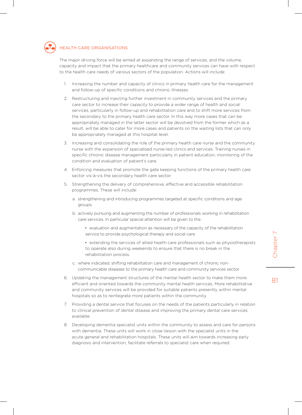

#### Health care organisations

The major driving force will be aimed at expanding the range of services, and the volume, capacity and impact that the primary healthcare and community services can have with respect to the health care needs of various sectors of the population. Actions will include:

- 1. Increasing the number and capacity of clinics in primary health care for the management and follow-up of specific conditions and chronic illnesses.
- 2. Restructuring and injecting further investment in community services and the primary care sector to increase their capacity to provide a wider range of health and social services, particularly in follow-up and rehabilitation care and to shift more services from the secondary to the primary health care sector. In this way more cases that can be appropriately managed in the latter sector will be devolved from the former which as a result, will be able to cater for more cases and patients on the waiting lists that can only be appropriately managed at this hospital level.
- 3. Increasing and consolidating the role of the primary health care nurse and the community nurse with the expansion of specialised nurse-led clinics and services. Training nurses in specific chronic disease management particularly in patient education, monitoring of the condition and evaluation of patient's care.
- 4. Enforcing measures that promote the gate keeping functions of the primary health care sector vis-à-vis the secondary health care sector.
- 5. Strengthening the delivery of comprehensive, effective and accessible rehabilitation programmes. These will include:
	- a. strengthening and introducing programmes targeted at specific conditions and age groups
	- b. actively pursuing and augmenting the number of professionals working in rehabilitation care services. In particular special attention will be given to the:
		- evaluation and augmentation as necessary of the capacity of the rehabilitation service to provide psychological therapy and social care
		- • extending the services of allied health care professionals such as physiotherapists to operate also during weekends to ensure that there is no break in the rehabilitation process.
	- c. where indicated, shifting rehabilitation care and management of chronic noncommunicable diseases to the primary health care and community services sector.
- 6. Updating the management structures of the mental health sector to make them more efficient and oriented towards the community mental health services. More rehabilitative and community services will be provided for suitable patients presently within mental hospitals so as to reintegrate more patients within the community.
- 7. Providing a dental service that focuses on the needs of the patients particularly in relation to clinical prevention of dental disease and improving the primary dental care services available.
- 8. Developing dementia specialist units within the community to assess and care for persons with dementia. These units will work in close liaison with the specialist units in the acute general and rehabilitation hospitals. These units will aim towards increasing early diagnosis and intervention, facilitate referrals to specialist care when required.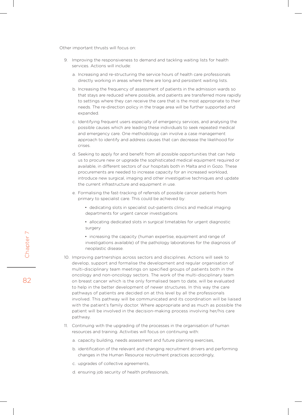Other important thrusts will focus on:

- 9. Improving the responsiveness to demand and tackling waiting lists for health services. Actions will include:
	- a. Increasing and re-structuring the service hours of health care professionals directly working in areas where there are long and persistent waiting lists.
	- b. Increasing the frequency of assessment of patients in the admission wards so that stays are reduced where possible, and patients are transferred more rapidly to settings where they can receive the care that is the most appropriate to their needs. The re-direction policy in the triage area will be further supported and expanded.
	- c. Identifying frequent users especially of emergency services, and analysing the possible causes which are leading these individuals to seek repeated medical and emergency care. One methodology can involve a case management approach to identify and address causes that can decrease the likelihood for crises.
	- d. Seeking to apply for and benefit from all possible opportunities that can help us to procure new or upgrade the sophisticated medical equipment required or available, in different sectors of our hospitals both in Malta and in Gozo. These procurements are needed to increase capacity for an increased workload, introduce new surgical, imaging and other investigative techniques and update the current infrastructure and equipment in use.
	- e. Formalising the fast-tracking of referrals of possible cancer patients from primary to specialist care. This could be achieved by:
		- dedicating slots in specialist out-patients clinics and medical imaging departments for urgent cancer investigations
		- allocating dedicated slots in surgical timetables for urgent diagnostic surgery
		- increasing the capacity (human expertise, equipment and range of investigations available) of the pathology laboratories for the diagnosis of neoplastic disease.
- 10. Improving partnerships across sectors and disciplines. Actions will seek to develop, support and formalise the development and regular organisation of multi-disciplinary team meetings on specified groups of patients both in the oncology and non-oncology sectors. The work of the multi-disciplinary team on breast cancer which is the only formalised team to date, will be evaluated to help in the better development of newer structures. In this way the care pathways of patients are decided on at this level by all the professionals involved. This pathway will be communicated and its coordination will be liaised with the patient's family doctor. Where appropriate and as much as possible the patient will be involved in the decision-making process involving her/his care pathway.
- 11. Continuing with the upgrading of the processes in the organisation of human resources and training. Activities will focus on continuing with:
	- a. capacity building, needs assessment and future planning exercises,
	- b. identification of the relevant and changing recruitment drivers and performing changes in the Human Resource recruitment practices accordingly,
	- c. upgrades of collective agreements,
	- d. ensuring job security of health professionals,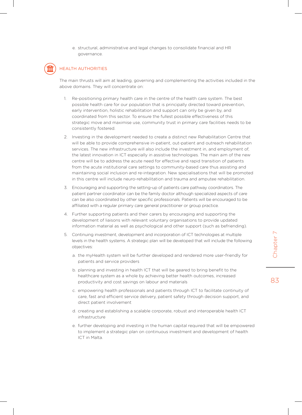e. structural, administrative and legal changes to consolidate financial and HR governance.



#### Health authorities

The main thrusts will aim at leading, governing and complementing the activities included in the above domains. They will concentrate on:

- 1. Re-positioning primary health care in the centre of the health care system. The best possible health care for our population that is principally directed toward prevention, early intervention, holistic rehabilitation and support can only be given by, and coordinated from this sector. To ensure the fullest possible effectiveness of this strategic move and maximise use, community trust in primary care facilities needs to be consistently fostered.
- 2. Investing in the development needed to create a distinct new Rehabilitation Centre that will be able to provide comprehensive in-patient, out-patient and outreach rehabilitation services. The new infrastructure will also include the investment in, and employment of, the latest innovation in ICT especially in assistive technologies. The main aim of the new centre will be to address the acute need for effective and rapid transition of patients from the acute institutional care settings to community-based care thus assisting and maintaining social inclusion and re-integration. New specialisations that will be promoted in this centre will include neuro-rehabilitation and trauma and amputee rehabilitation.
- 3. Encouraging and supporting the setting-up of patients care pathway coordinators. The patient partner coordinator can be the family doctor although specialized aspects of care can be also coordinated by other specific professionals. Patients will be encouraged to be affiliated with a regular primary care general practitioner or group practice.
- 4. Further supporting patients and their carers by encouraging and supporting the development of liaisons with relevant voluntary organisations to provide updated information material as well as psychological and other support (such as befriending).
- 5. Continuing investment, development and incorporation of ICT technologies at multiple levels in the health systems. A strategic plan will be developed that will include the following objectives:
	- a. the myHealth system will be further developed and rendered more user-friendly for patients and service providers
	- b. planning and investing in health ICT that will be geared to bring benefit to the healthcare system as a whole by achieving better health outcomes, increased productivity and cost savings on labour and materials
	- c. empowering health professionals and patients through ICT to facilitate continuity of care, fast and efficient service delivery, patient safety through decision support, and direct patient involvement
	- d. creating and establishing a scalable corporate, robust and interoperable health ICT infrastructure
	- e. further developing and investing in the human capital required that will be empowered to implement a strategic plan on continuous investment and development of health ICT in Malta.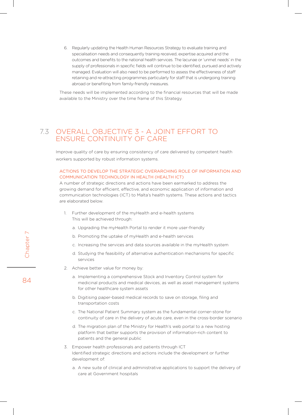6. Regularly updating the Health Human Resources Strategy to evaluate training and specialisation needs and consequently training received, expertise acquired and the outcomes and benefits to the national health services. The lacunae or 'unmet needs' in the supply of professionals in specific fields will continue to be identified, pursued and actively managed. Evaluation will also need to be performed to assess the effectiveness of staff retaining and re-attracting programmes particularly for staff that is undergoing training abroad or benefiting from family-friendly measures.

These needs will be implemented according to the financial resources that will be made available to the Ministry over the time frame of this Strategy.

## 7.3 OVERALL OBJECTIVE 3 - A JOINT EFFORT TO ENSURE CONTINUITY OF CARE

Improve quality of care by ensuring consistency of care delivered by competent health workers supported by robust information systems.

#### Actions to develop the strategic overarching role of information and communication technology in Health (Health ICT)

A number of strategic directions and actions have been earmarked to address the growing demand for efficient, effective, and economic application of information and communication technologies (ICT) to Malta's health systems. These actions and tactics are elaborated below.

- 1. Further development of the myHealth and e-health systems This will be achieved through:
	- a. Upgrading the myHealth Portal to render it more user-friendly
	- b. Promoting the uptake of myHealth and e-health services
	- c. Increasing the services and data sources available in the myHealth system
	- d. Studying the feasibility of alternative authentication mechanisms for specific services
- 2. Achieve better value for money by:
	- a. Implementing a comprehensive Stock and Inventory Control system for medicinal products and medical devices, as well as asset management systems for other healthcare system assets
	- b. Digitising paper-based medical records to save on storage, filing and transportation costs
	- c. The National Patient Summary system as the fundamental corner-stone for continuity of care in the delivery of acute care, even in the cross-border scenario
	- d. The migration plan of the Ministry for Health's web portal to a new hosting platform that better supports the provision of information-rich content to patients and the general public
- 3. Empower health professionals and patients through ICT Identified strategic directions and actions include the development or further development of:
	- a. A new suite of clinical and administrative applications to support the delivery of care at Government hospitals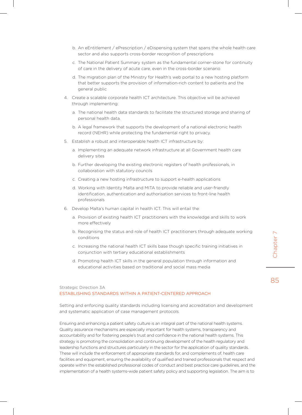- b. An eEntitlement / ePrescription / eDispensing system that spans the whole health care sector and also supports cross-border recognition of prescriptions
- c. The National Patient Summary system as the fundamental corner-stone for continuity of care in the delivery of acute care, even in the cross-border scenario
- d. The migration plan of the Ministry for Health's web portal to a new hosting platform that better supports the provision of information-rich content to patients and the general public
- 4. Create a scalable corporate health ICT architecture. This objective will be achieved through implementing:
	- a. The national health data standards to facilitate the structured storage and sharing of personal health data.
	- b. A legal framework that supports the development of a national electronic health record (NEHR) while protecting the fundamental right to privacy.
- 5. Establish a robust and interoperable health ICT infrastructure by:
	- a. Implementing an adequate network infrastructure at all Government health care delivery sites
	- b. Further developing the existing electronic registers of health professionals, in collaboration with statutory councils
	- c. Creating a new hosting infrastructure to support e-health applications
	- d. Working with Identity Malta and MITA to provide reliable and user-friendly identification, authentication and authorisation services to front-line health professionals
- 6. Develop Malta's human capital in health ICT. This will entail the:
	- a. Provision of existing health ICT practitioners with the knowledge and skills to work more effectively
	- b. Recognising the status and role of health ICT practitioners through adequate working conditions
	- c. Increasing the national health ICT skills base though specific training initiatives in conjunction with tertiary educational establishments
	- d. Promoting health ICT skills in the general population through information and educational activities based on traditional and social mass media

85

#### Strategic Direction 3A ESTABLISHING STANDARDS WITHIN A PATIENT-CENTERED APPROACH

Setting and enforcing quality standards including licensing and accreditation and development and systematic application of case management protocols.

Ensuring and enhancing a patient safety culture is an integral part of the national health systems. Quality assurance mechanisms are especially important for health systems, transparency and accountability and for fostering people's trust and confidence in the national health systems. This strategy is promoting the consolidation and continuing development of the health regulatory and leadership functions and structures particularly in the sector for the application of quality standards. These will include the enforcement of appropriate standards for, and complements of, health care facilities and equipment, ensuring the availability of qualified and trained professionals that respect and operate within the established professional codes of conduct and best practice care guidelines, and the implementation of a health systems-wide patient safety policy and supporting legislation. The aim is to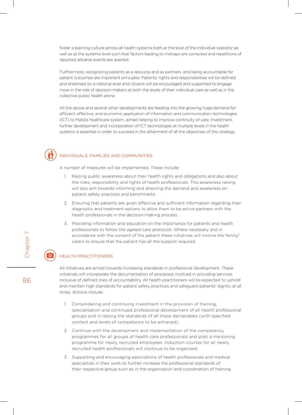foster a learning culture across all health systems both at the level of the individual operator as well as at the systems level such that factors leading to mishaps are corrected and repetitions of reported adverse events are averted.

Furthermore, recognizing patients as a resource and as partners, and being accountable for patient outcomes are important principles. Patients' rights and responsibilities will be defined and endorsed on a national level and citizens will be encouraged and supported to engage more in the role of decision-makers at both the levels of their individual care as well as in the collective public health arena.

All the above and several other developments are feeding into the growing huge demand for efficient, effective, and economic application of information and communication technologies (ICT) to Malta's healthcare system, aimed helping to improve continuity of care. Investment, further development and incorporation of ICT technologies at multiple levels in the health systems is essential in order to succeed in the attainment of all the objectives of this strategy.

#### Individuals, families and communities

A number of measures will be implemented. These include:

- 1. Raising public awareness about their health rights and obligations and also about the roles, responsibility and rights of health professionals. This awareness raising will also aim towards informing and directing the demand and awareness on patient safety practices and benchmarks.
- 2. Ensuring that patients are given effective and sufficient information regarding their diagnostic and treatment options to allow them to be active partners with the health professionals in the decision-making process.
- 3. Providing information and education on the importance for patients and health professionals to follow the agreed care protocols. Where necessary and in accordance with the consent of the patient these initiatives will involve the family/ carers to ensure that the patient has all the support required.

#### Health practitioners

All initiatives are aimed towards increasing standards in professional development. These initiatives will incorporate the documentation of processes involved in providing services inclusive of defined lines of accountability. All health practitioners will be expected to uphold and maintain high standards for patient safety practices and safeguard patients' dignity at all times. Actions include:

- 1. Consolidating and continuing investment in the provision of training, specialisation and continued professional development of all health professional groups and in raising the standards of all these deliverables (with specified content and levels of competence to be achieved).
- 2. Continue with the development and implementation of the competency programmes for all groups of health care professionals and pilot a mentoring programme for newly recruited employees. Induction courses for all newly recruited health professionals will continue to be organised.
- 3. Supporting and encouraging associations of health professionals and medical specialities in their work to further increase the professional standards of their respective group such as in the organisation and coordination of training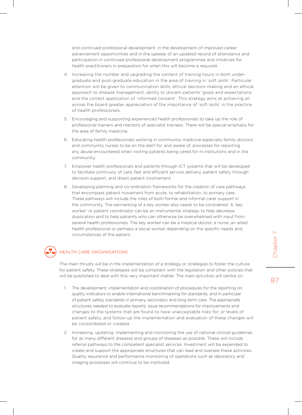and continued professional development, in the development of improved career advancement opportunities and in the upkeep of an updated record of attendance and participation in continued professional development programmes and initiatives for health practitioners in preparation for when this will become a requisite.

- 4. Increasing the number and upgrading the content of training hours in both undergraduate and post-graduate education in the area of training in 'soft skills'. Particular attention will be given to communication skills, ethical decision-making and an ethical approach to disease management, ability to discern patients' goals and expectations and the correct application of 'informed consent'. This strategy aims at achieving an across the board greater appreciation of the importance of 'soft skills' in the practice of health professionals.
- 5. Encouraging and supporting experienced health professionals to take up the role of professional trainers and mentors of specialist trainees. There will be special emphasis for the area of family medicine.
- 6. Educating health professionals working in community medicine especially family doctors and community nurses to be on the alert for, and aware of, processes for reporting any abuse encountered when visiting patients being cared for in institutions and in the community.
- 7. Empower health professionals and patients through ICT systems that will be developed to facilitate continuity of care, fast and efficient service delivery, patient safety through decision support, and direct patient involvement.
- 8. Developing planning and co-ordination frameworks for the creation of care pathways that encompass patient movement from acute, to rehabilitation, to primary care. These pathways will include the roles of both formal and informal carer support in the community. The earmarking of a key worker also needs to be considered. A 'key worker' or patient coordinator can be an instrumental strategy to help decrease duplication and to help patients who can otherwise be overwhelmed with input from several health professionals. The key worker can be a medical doctor, a nurse, an allied health professional or perhaps a social worker depending on the specific needs and circumstances of the patient.

#### Health care organisations

The main thrusts will be in the implementation of a strategy or strategies to foster the culture for patient safety. These strategies will be compliant with the legislation and other policies that will be published to deal with this very important matter. The main activities will centre on:

- 1. The development, implementation and coordination of procedures for the reporting on quality indicators to enable international benchmarking for standards, and in particular of patient safety standards in primary, secondary and long-term care. The appropriate structures needed to evaluate reports, issue recommendations for improvements and changes to the systems that are found to have unacceptable risks for, or levels of patient safety, and follow-up the implementation and evaluation of these changes will be consolidated or created.
- 2. Increasing, updating, implementing and monitoring the use of national clinical guidelines for as many different diseases and groups of diseases as possible. These will include referral pathways to the competent specialist services. Investment will be expended to create and support the appropriate structures that can lead and oversee these activities. Quality assurance and performance monitoring of operations such as laboratory and imaging processes will continue to be instituted.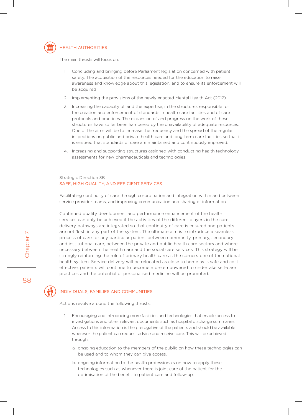

#### Health authorities

The main thrusts will focus on:

- 1. Concluding and bringing before Parliament legislation concerned with patient safety. The acquisition of the resources needed for the education to raise awareness and knowledge about this legislation, and to ensure its enforcement will be acquired
- 2. Implementing the provisions of the newly enacted Mental Health Act (2012).
- 3. Increasing the capacity of, and the expertise, in the structures responsible for the creation and enforcement of standards in health care facilities and of care protocols and practices. The expansion of and progress on the work of these structures have so far been hampered by the unavailability of adequate resources. One of the aims will be to increase the frequency and the spread of the regular inspections on public and private health care and long-term care facilities so that it is ensured that standards of care are maintained and continuously improved.
- 4. Increasing and supporting structures assigned with conducting health technology assessments for new pharmaceuticals and technologies.

#### Strategic Direction 3B SAFE, HIGH QUALITY, AND EFFICIENT SERVICES

Facilitating continuity of care through co-ordination and integration within and between service provider teams, and improving communication and sharing of information.

Continued quality development and performance enhancement of the health services can only be achieved if the activities of the different players in the care delivery pathways are integrated so that continuity of care is ensured and patients are not 'lost' in any part of the system. The ultimate aim is to introduce a seamless process of care for any particular patient between community, primary, secondary and institutional care, between the private and public health care sectors and where necessary between the health care and the social care services. This strategy will be strongly reinforcing the role of primary health care as the cornerstone of the national health system. Service delivery will be relocated as close to home as is safe and costeffective, patients will continue to become more empowered to undertake self-care practices and the potential of personalised medicine will be promoted.

88

Chapter 7

Chapter

#### Individuals, families and communities

Actions revolve around the following thrusts:

- 1. Encouraging and introducing more facilities and technologies that enable access to investigations and other relevant documents such as hospital discharge summaries. Access to this information is the prerogative of the patients and should be available wherever the patient can request advice and receive care. This will be achieved through:
	- a. ongoing education to the members of the public on how these technologies can be used and to whom they can give access.
	- b. ongoing information to the health professionals on how to apply these technologies such as whenever there is joint care of the patient for the optimisation of the benefit to patient care and follow-up.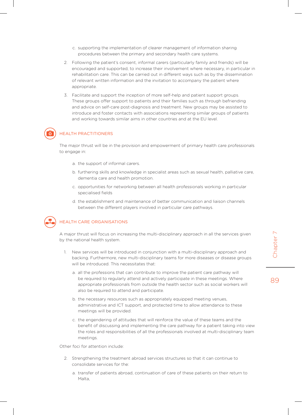- c. supporting the implementation of clearer management of information sharing procedures between the primary and secondary health care systems.
- 2. Following the patient's consent, informal carers (particularly family and friends) will be encouraged and supported, to increase their involvement where necessary, in particular in rehabilitation care. This can be carried out in different ways such as by the dissemination of relevant written information and the invitation to accompany the patient where appropriate.
- 3. Facilitate and support the inception of more self-help and patient support groups. These groups offer support to patients and their families such as through befriending and advice on self-care post-diagnosis and treatment. New groups may be assisted to introduce and foster contacts with associations representing similar groups of patients and working towards similar aims in other countries and at the EU level.

#### Health practitioners

The major thrust will be in the provision and empowerment of primary health care professionals to engage in:

- a. the support of informal carers.
- b. furthering skills and knowledge in specialist areas such as sexual health, palliative care, dementia care and health promotion.
- c. opportunities for networking between all health professionals working in particular specialised fields
- d. the establishment and maintenance of better communication and liaison channels between the different players involved in particular care pathways.



#### Health care organisations

A major thrust will focus on increasing the multi-disciplinary approach in all the services given by the national health system.

- 1. New services will be introduced in conjunction with a multi-disciplinary approach and backing. Furthermore, new multi-disciplinary teams for more diseases or disease groups will be introduced. This necessitates that:
	- a. all the professions that can contribute to improve the patient care pathway will be required to regularly attend and actively participate in these meetings. Where appropriate professionals from outside the health sector such as social workers will also be required to attend and participate.
	- b. the necessary resources such as appropriately equipped meeting venues, administrative and ICT support, and protected time to allow attendance to these meetings will be provided.
	- c. the engendering of attitudes that will reinforce the value of these teams and the benefit of discussing and implementing the care pathway for a patient taking into view the roles and responsibilities of all the professionals involved at multi-disciplinary team meetings.

Other foci for attention include:

- 2. Strengthening the treatment abroad services structures so that it can continue to consolidate services for the:
	- a. transfer of patients abroad, continuation of care of these patients on their return to Malta,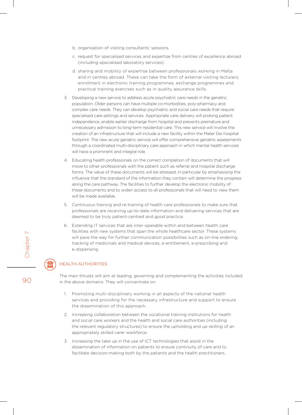- b. organisation of visiting consultants' sessions,
- c. request for specialised services and expertise from centres of excellence abroad (including specialised laboratory services),
- d. sharing and mobility of expertise between professionals working in Malta and in centres abroad. These can take the form of external visiting lecturers, enrollment in electronic training programmes, exchange programmes and practical training exercises such as in quality assurance skills.
- 3. Developing a new service to address acute psychiatric care needs in the geriatric population. Older persons can have multiple co-morbidities, poly-pharmacy and complex care needs. They can develop psychiatric and social care needs that require specialised care settings and services. Appropriate care delivery will prolong patient independence, enable earlier discharge from hospital and prevents premature and unnecessary admission to long-term residential care. This new service will involve the creation of an infrastructure that will include a new facility within the Mater Dei hospital footprint. The new acute geriatric service will offer comprehensive geriatric assessments through a coordinated multi-disciplinary care approach in which mental health services will have a prominent and integral role.
- 4. Educating health professionals on the correct completion of documents that will move to other professionals with the patient such as referral and hospital discharge forms. The value of these documents will be stressed, in particular by emphasising the influence that the standard of the information they contain will determine the progress along the care pathway. The facilities to further develop the electronic mobility of these documents and to widen access to all professionals that will need to view them will be made available.
- 5. Continuous training and re-training of health care professionals to make sure that professionals are receiving up-to-date information and delivering services that are deemed to be truly patient-centred and good practice.
- 6. Extending IT services that are inter-operable within and between health care facilities with new systems that span the whole healthcare sector. These systems will pave the way for further communication possibilities such as on-line ordering, tracking of medicinals and medical devices, e-entitlement, e-prescribing and e-dispensing.

#### Health authorities

The main thrusts will aim at leading, governing and complementing the activities included in the above domains. They will concentrate on:

- 1. Promoting multi-disciplinary working in all aspects of the national health services and providing for the necessary infrastructure and support to ensure the dissemination of this approach.
- 2. Increasing collaboration between the vocational training institutions for health and social care workers and the health and social care authorities (including the relevant regulatory structures) to ensure the upholding and up-skilling of an appropriately skilled carer workforce.
- 3. Increasing the take up in the use of ICT technologies that assist in the dissemination of information on patients to ensure continuity of care and to facilitate decision-making both by the patients and the health practitioners.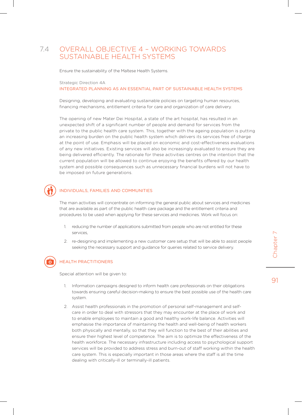# 7.4 OVERALL OBJECTIVE 4 – WORKING TOWARDS SUSTAINABLE HEALTH SYSTEMS

Ensure the sustainability of the Maltese Health Systems.

Strategic Direction 4A

INTEGRATED PLANNING AS AN ESSENTIAL PART OF SUSTAINABLE HEALTH SYSTEMS

Designing, developing and evaluating sustainable policies on targeting human resources, financing mechanisms, entitlement criteria for care and organization of care delivery.

The opening of new Mater Dei Hospital, a state of the art hospital, has resulted in an unexpected shift of a significant number of people and demand for services from the private to the public health care system. This, together with the ageing population is putting an increasing burden on the public health system which delivers its services free of charge at the point of use. Emphasis will be placed on economic and cost-effectiveness evaluations of any new initiatives. Existing services will also be increasingly evaluated to ensure they are being delivered efficiently. The rationale for these activities centres on the intention that the current population will be allowed to continue enjoying the benefits offered by our health system and possible consequences such as unnecessary financial burdens will not have to be imposed on future generations.

#### Individuals, families and communities

The main activities will concentrate on informing the general public about services and medicines that are available as part of the public health care package and the entitlement criteria and procedures to be used when applying for these services and medicines. Work will focus on:

- reducing the number of applications submitted from people who are not entitled for these services,
- 2. re-designing and implementing a new customer care setup that will be able to assist people seeking the necessary support and guidance for queries related to service delivery.

Health practitioners

Special attention will be given to:

- 1. Information campaigns designed to inform health care professionals on their obligations towards ensuring careful decision-making to ensure the best possible use of the health care system.
- 2. Assist health professionals in the promotion of personal self-management and selfcare in order to deal with stressors that they may encounter at the place of work and to enable employees to maintain a good and healthy work-life balance. Activities will emphasise the importance of maintaining the health and well-being of health workers both physically and mentally, so that they will function to the best of their abilities and ensure their highest level of competence. The aim is to optimize the effectiveness of the health workforce. The necessary infrastructure including access to psychological support services will be provided to address stress and burn-out of staff working within the health care system. This is especially important in those areas where the staff is all the time dealing with critically-ill or terminally-ill patients.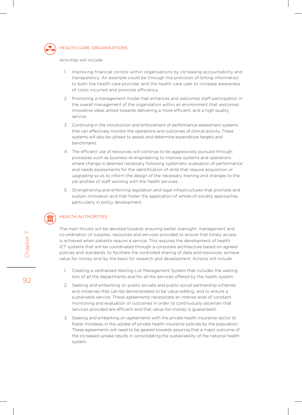

#### Health care organisations

Activities will include:

- 1. Improving financial control within organisations by increasing accountability and transparency. An example could be through the provision of billing information to both the health care provider and the health care user to increase awareness of costs incurred and promote efficiency.
- 2. Promoting a management model that enhances and welcomes staff participation in the overall management of the organisation within an environment that welcomes innovative ideas aimed towards delivering a more efficient, and a high quality service.
- 3. Continuing in the introduction and enforcement of performance assessment systems that can effectively monitor the operations and outcomes of clinical activity. These systems will also be utilised to assess and determine expenditure targets and benchmarks.
- 4. The efficient use of resources will continue to be aggressively pursued through processes such as business re-engineering to improve systems and operations where change is deemed necessary following systematic evaluation of performance and needs assessments for the identification of skills that require acquisition or upgrading so as to inform the design of the necessary training and changes to the job profiles of staff working with the health services.
- 5. Strengthening and enforcing legislation and legal infrastructures that promote and sustain innovation and that foster the application of whole-of-society approaches particularly in policy development.

#### Health authorities

The main thrusts will be devoted towards ensuring better oversight, management and co-ordination of supplies, resources and services provided to ensure that timely access is achieved when patients require a service. This requires the development of health ICT systems that will be coordinated through a corporate architecture based on agreed policies and standards, to facilitate the controlled sharing of data and resources, achieve value for money and lay the basis for research and development. Actions will include:

- 1. Creating a centralised Waiting List Management System that includes the waiting lists of all the departments and for all the services offered by the health system.
- 2. Seeking and embarking on public-private and public-social partnership schemes and initiatives that can be demonstrated to be value-adding, and to ensure a sustainable service. These agreements necessitate an intense level of constant monitoring and evaluation of outcomes in order to continuously ascertain that services provided are efficient and that value-for-money is guaranteed.
- 3. Seeking and embarking on agreements with the private health insurance sector to foster increases in the uptake of private health insurance policies by the population. These agreements will need to be geared towards assuring that a major outcome of the increased uptake results in consolidating the sustainability of the national health system.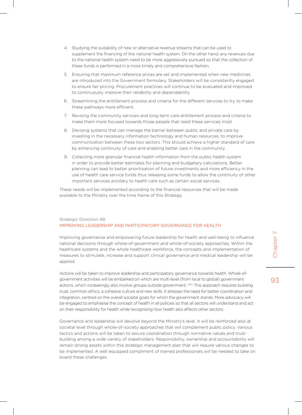- 4. Studying the suitability of new or alternative revenue streams that can be used to supplement the financing of the national health system. On the other hand, any revenues due to the national health system need to be more aggressively pursued so that the collection of these funds is performed in a more timely and comprehensive fashion.
- 5. Ensuring that maximum reference prices are set and implemented when new medicines are introduced into the Government formulary. Stakeholders will be consistently engaged to ensure fair pricing. Procurement practices will continue to be evaluated and improved to continuously improve their reliability and dependability.
- 6. Streamlining the entitlement process and criteria for the different services to try to make these pathways more efficient.
- 7. Revising the community services and long-term care entitlement process and criteria to make them more focused towards those people that need these services most.
- 8. Devising systems that can manage the barrier between public and private care by investing in the necessary information technology and human resources, to improve communication between these two sectors. This should achieve a higher standard of care by enhancing continuity of care and enabling better care in the community.
- 9. Collecting more granular financial health information from the public health system in order to provide better estimates for planning and budgetary calculations. Better planning can lead to better prioritisation of future investments and more efficiency in the use of health care service funds thus releasing some funds to allow the continuity of other important services ancillary to health care such as certain social services.

These needs will be implemented according to the financial resources that will be made available to the Ministry over the time frame of this Strategy.

#### Strategic Direction 4B improving leadership and participatory governance for health

Improving governance and empowering future leadership for health and well-being to influence national decisions through whole-of-government and whole-of-society approaches. Within the healthcare systems and the whole healthcare workforce, the concepts and implementation of measures to stimulate, increase and support clinical governance and medical leadership will be applied.

Actions will be taken to improve leadership and participatory governance towards health. Whole-ofgovernment activities will be embarked on which are multi-level (from local to global) government actions, which increasingly also involve groups outside government. <sup>(24)</sup> This approach requires building trust, common ethics, a cohesive culture and new skills. It stresses the need for better coordination and integration, centred on the overall societal goals for which the government stands. More advocacy will be engaged to emphasise the concept of health in all policies so that all sectors will understand and act on their responsibility for health while recognising how health also affects other sectors.

Governance and leadership will devolve beyond the Ministry's level. It will be reinforced also at societal level through whole-of-society approaches that will complement public policy. Various tactics and actions will be taken to secure coordination through normative values and trustbuilding among a wide variety of stakeholders. Responsibility, ownership and accountability will remain strong assets within this strategic management plan that will require various changes to be implemented. A well equipped compliment of trained professionals will be needed to take on board these challenges.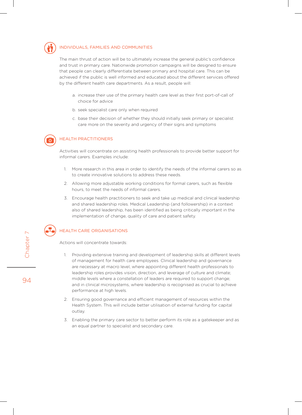

#### Individuals, families and communities

The main thrust of action will be to ultimately increase the general public's confidence and trust in primary care. Nationwide promotion campaigns will be designed to ensure that people can clearly differentiate between primary and hospital care. This can be achieved if the public is well informed and educated about the different services offered by the different health care departments. As a result, people will:

- a. increase their use of the primary health care level as their first port-of-call of choice for advice
- b. seek specialist care only when required
- c. base their decision of whether they should initially seek primary or specialist care more on the severity and urgency of their signs and symptoms



#### Health practitioners

Activities will concentrate on assisting health professionals to provide better support for informal carers. Examples include:

- 1. More research in this area in order to identify the needs of the informal carers so as to create innovative solutions to address these needs.
- 2. Allowing more adjustable working conditions for formal carers, such as flexible hours, to meet the needs of informal carers.
- 3. Encourage health practitioners to seek and take up medical and clinical leadership and shared leadership roles. Medical Leadership (and followership) in a context also of shared leadership, has been identified as being critically important in the implementation of change, quality of care and patient safety.



Actions will concentrate towards:

- 1. Providing extensive training and development of leadership skills at different levels of management for health care employees. Clinical leadership and governance are necessary at macro level, where appointing different health professionals to leadership roles provides vision, direction, and leverage of culture and climate; middle levels where a constellation of leaders are required to support change; and in clinical microsystems, where leadership is recognised as crucial to achieve performance at high levels.
- 2. Ensuring good governance and efficient management of resources within the Health System. This will include better utilisation of external funding for capital outlay.
- 3. Enabling the primary care sector to better perform its role as a gatekeeper and as an equal partner to specialist and secondary care.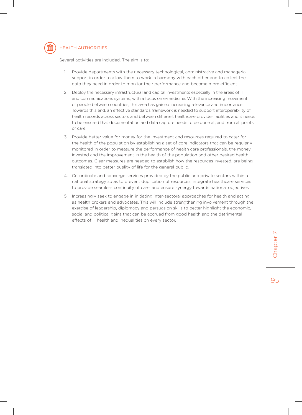

#### Health authorities

Several activities are included. The aim is to:

- 1. Provide departments with the necessary technological, administrative and managerial support in order to allow them to work in harmony with each other and to collect the data they need in order to monitor their performance and become more efficient.
- 2. Deploy the necessary infrastructural and capital investments especially in the areas of IT and communications systems, with a focus on e-medicine. With the increasing movement of people between countries, this area has gained increasing relevance and importance. Towards this end, an effective standards framework is needed to support interoperability of health records across sectors and between different healthcare provider facilities and it needs to be ensured that documentation and data capture needs to be done at, and from all points of care.
- 3. Provide better value for money for the investment and resources required to cater for the health of the population by establishing a set of core indicators that can be regularly monitored in order to measure the performance of health care professionals, the money invested and the improvement in the health of the population and other desired health outcomes. Clear measures are needed to establish how the resources invested, are being translated into better quality of life for the general public.
- 4. Co-ordinate and converge services provided by the public and private sectors within a national strategy so as to prevent duplication of resources, integrate healthcare services to provide seamless continuity of care, and ensure synergy towards national objectives.
- 5. Increasingly seek to engage in initiating inter-sectoral approaches for health and acting as health brokers and advocates. This will include strengthening involvement through the exercise of leadership, diplomacy and persuasion skills to better highlight the economic, social and political gains that can be accrued from good health and the detrimental effects of ill health and inequalities on every sector.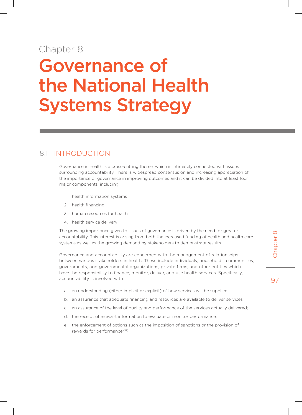# Chapter 8

# Governance of the National Health Systems Strategy

# 8.1 Introduction

Governance in health is a cross-cutting theme, which is intimately connected with issues surrounding accountability. There is widespread consensus on and increasing appreciation of the importance of governance in improving outcomes and it can be divided into at least four major components, including:

- 1. health information systems
- 2. health financing
- 3. human resources for health
- 4. health service delivery

The growing importance given to issues of governance is driven by the need for greater accountability. This interest is arising from both the increased funding of health and health care systems as well as the growing demand by stakeholders to demonstrate results.

Governance and accountability are concerned with the management of relationships between various stakeholders in health. These include individuals, households, communities, governments, non-governmental organizations, private firms, and other entities which have the responsibility to finance, monitor, deliver, and use health services. Specifically, accountability is involved with:

- a. an understanding (either implicit or explicit) of how services will be supplied;
- b. an assurance that adequate financing and resources are available to deliver services;
- c. an assurance of the level of quality and performance of the services actually delivered;
- d. the receipt of relevant information to evaluate or monitor performance;
- e. the enforcement of actions such as the imposition of sanctions or the provision of rewards for performance (59)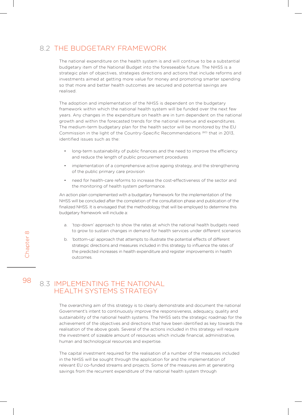# 8.2 The budgetary framework

The national expenditure on the health system is and will continue to be a substantial budgetary item of the National Budget into the foreseeable future. The NHSS is a strategic plan of objectives, strategies directions and actions that include reforms and investments aimed at getting more value for money and promoting smarter spending so that more and better health outcomes are secured and potential savings are realised.

The adoption and implementation of the NHSS is dependent on the budgetary framework within which the national health system will be funded over the next few years. Any changes in the expenditure on health are in turn dependent on the national growth and within the forecasted trends for the national revenue and expenditures. The medium-term budgetary plan for the health sector will be monitored by the EU Commission in the light of the Country-Specific Recommendations (60) that in 2013, identified issues such as the:

- long-term sustainability of public finances and the need to improve the efficiency and reduce the length of public procurement procedures
- implementation of a comprehensive active ageing strategy, and the strengthening of the public primary care provision
- need for health-care reforms to increase the cost-effectiveness of the sector and the monitoring of health system performance.

An action plan complemented with a budgetary framework for the implementation of the NHSS will be concluded after the completion of the consultation phase and publication of the finalized NHSS. It is envisaged that the methodology that will be employed to determine this budgetary framework will include a:

- a. 'top-down' approach to show the rates at which the national health budgets need to grow to sustain changes in demand for health services under different scenarios
- b. 'bottom-up' approach that attempts to illustrate the potential effects of different strategic directions and measures included in this strategy to influence the rates of the predicted increases in health expenditure and register improvements in health outcomes.

#### 98 8.3 Implementing the National Health Systems Strategy

The overarching aim of this strategy is to clearly demonstrate and document the national Government's intent to continuously improve the responsiveness, adequacy, quality and sustainability of the national health systems. The NHSS sets the strategic roadmap for the achievement of the objectives and directions that have been identified as key towards the realisation of the above goals. Several of the actions included in this strategy will require the investment of sizeable amount of resources which include financial, administrative, human and technological resources and expertise.

The capital investment required for the realisation of a number of the measures included in the NHSS will be sought through the application for and the implementation of relevant EU co-funded streams and projects. Some of the measures aim at generating savings from the recurrent expenditure of the national health system through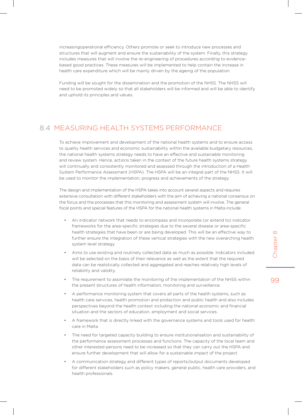increasingoperational efficiency. Others promote or seek to introduce new processes and structures that will augment and ensure the sustainability of the system. Finally, this strategy includes measures that will involve the re-engineering of procedures according to evidencebased good practices. These measures will be implemented to help contain the increase in health care expenditure which will be mainly driven by the ageing of the population.

Funding will be sought for the dissemination and the promotion of the NHSS. The NHSS will need to be promoted widely so that all stakeholders will be informed and will be able to identify and uphold its principles and values.

#### 8.4 Measuring health systems performance

To achieve improvement and development of the national health systems and to ensure access to quality health services and economic sustainability within the available budgetary resources, the national health systems strategy needs to have an effective and sustainable monitoring and review system. Hence, actions taken in the context of the future health systems strategy will continually and consistently monitored and assessed through the introduction of a Health System Performance Assessment (HSPA). The HSPA will be an integral part of the NHSS. It will be used to monitor the implementation, progress and achievements of the strategy.

The design and implementation of the HSPA takes into account several aspects and requires extensive consultation with different stakeholders with the aim of achieving a national consensus on the focus and the processes that this monitoring and assessment system will involve. The general focal points and special features of the HSPA for the national health systems in Malta include:

- An indicator network that needs to encompass and incorporate (or extend to) indicator frameworks for the area-specific strategies due to the several disease or area-specific health strategies that have been or are being developed. This will be an effective way to further ensure the integration of these vertical strategies with the new overarching health system level strategy.
- Aims to use existing and routinely collected data as much as possible. Indicators included will be selected on the basis of their relevance as well as the extent that the required data can be realistically collected and aggregated and reaches relatively high levels of reliability and validity.
- The requirement to assimilate the monitoring of the implementation of the NHSS within the present structures of health information, monitoring and surveillance.
- A performance monitoring system that covers all parts of the health systems, such as health care services, health promotion and protection and public health and also includes perspectives beyond the health context including the national economic and financial situation and the sectors of education, employment and social services.
- A framework that is directly linked with the governance systems and tools used for health care in Malta.
- The need for targeted capacity building to ensure institutionalisation and sustainability of the performance assessment processes and functions. The capacity of the local team and other interested persons need to be increased so that they can carry out the HSPA and ensure further development that will allow for a sustainable impact of the project.
- A communication strategy and different types of reports/output documents developed for different stakeholders such as policy makers, general public, health care providers, and health professionals.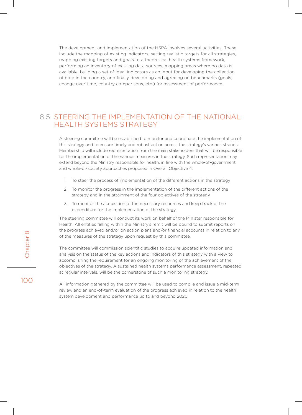The development and implementation of the HSPA involves several activities. These include the mapping of existing indicators, setting realistic targets for all strategies, mapping existing targets and goals to a theoretical health systems framework, performing an inventory of existing data sources, mapping areas where no data is available, building a set of ideal indicators as an input for developing the collection of data in the country, and finally developing and agreeing on benchmarks (goals, change over time, country comparisons, etc.) for assessment of performance.

#### 8.5 STEERING THE IMPI EMENTATION OF THE NATIONAL HEAITH SYSTEMS STRATEGY

A steering committee will be established to monitor and coordinate the implementation of this strategy and to ensure timely and robust action across the strategy's various strands. Membership will include representation from the main stakeholders that will be responsible for the implementation of the various measures in the strategy. Such representation may extend beyond the Ministry responsible for health, in line with the whole-of-government and whole-of-society approaches proposed in Overall Objective 4.

- 1. To steer the process of implementation of the different actions in the strategy
- 2. To monitor the progress in the implementation of the different actions of the strategy and in the attainment of the four objectives of the strategy
- 3. To monitor the acquisition of the necessary resources and keep track of the expenditure for the implementation of the strategy.

The steering committee will conduct its work on behalf of the Minister responsible for Health. All entities falling within the Ministry's remit will be bound to submit reports on the progress achieved and/or on action plans and/or financial accounts in relation to any of the measures of the strategy upon request by this committee.

The committee will commission scientific studies to acquire updated information and analysis on the status of the key actions and indicators of this strategy with a view to accomplishing the requirement for an ongoing monitoring of the achievement of the objectives of the strategy. A sustained health systems performance assessment, repeated at regular intervals, will be the cornerstone of such a monitoring strategy.

All information gathered by the committee will be used to compile and issue a mid-term review and an end-of-term evaluation of the progress achieved in relation to the health system development and performance up to and beyond 2020.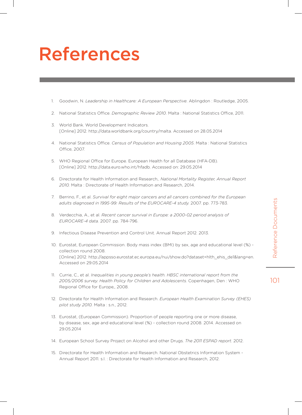# Reference Documents 101012010118

# References

- 1. Goodwin, N. *Leadership in Healthcare: A European Perspective*. Ablingdon : Routledge, 2005.
- 2. National Statistics Office. *Demographic Review 2010*. Malta : National Statistics Office, 2011.
- 3. World Bank. World Development Indicators. [Online] 2012. http://data.worldbank.org/country/malta. Accessed on 28.05.2014
- 4. National Statistics Office. *Census of Population and Housing 2005*. Malta : National Statistics Office, 2007.
- 5. WHO Regional Office for Europe. European Health for all Database (HFA-DB). [Online] 2012. http://data.euro.who.int/hfadb. Accessed on: 29.05.2014
- 6. Directorate for Health Information and Research,. *National Mortality Register, Annual Report 2010.* Malta : Directorate of Health Information and Research, 2014.
- 7. Berrino, F., et al. *Survival for eight major cancers and all cancers combined for the European adults diagnosed in 1995-99: Results of the EUROCARE-4 study.* 2007. pp. 773-783.
- 8. Verdecchia, A., et al. *Recent cancer survival in Europe: a 2000-02 period analysis of EUROCARE-4 data.* 2007. pp. 784-796.
- 9. Infectious Disease Prevention and Control Unit. Annual Report 2012. 2013.
- 10. Eurostat, European Commission. Body mass index (BMI) by sex, age and educational level (%) collection round 2008. [Online] 2012. http://appsso.eurostat.ec.europa.eu/nui/show.do?dataset=hlth\_ehis\_de1&lang=en. Accessed on 29.05.2014
- 11. Currie, C., et al. *Inequalities in young people's health. HBSC international report from the 2005/2006 survey. Health Policy for Children and Adolescents.* Copenhagen, Den : WHO Regional Office for Europe,, 2008.
- 12. Directorate for Health Information and Research. *European Health Examination Survey (EHES) pilot study 2010.* Malta : s.n., 2012.
- 13. Eurostat, (European Commission). Proportion of people reporting one or more disease, by disease, sex, age and educational level (%) - collection round 2008. 2014. Accessed on 29.05.2014
- 14. European School Survey Project on Alcohol and other Drugs. *The 2011 ESPAD report.* 2012.
- 15. Directorate for Health Information and Research. National Obstetrics Information System Annual Report 2011. s.l. : Directorate for Health Information and Research, 2012.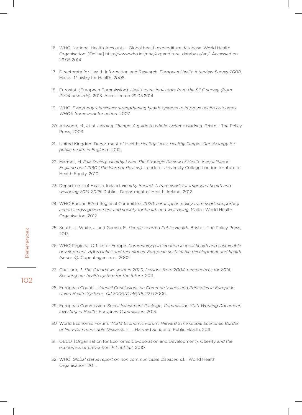- 16. WHO. National Health Accounts Global health expenditure database. World Health Organisation. [Online] http://www.who.int/nha/expenditure\_database/en/. Accessed on 29.05.2014
- 17. Directorate for Health Information and Research. *European Health Interview Survey 2008.*  Malta : Ministry for Health, 2008.
- 18. Eurostat, (European Commission). *Health care: indicators from the SILC survey (from 2004 onwards).* 2013. Accessed on 29.05.2014
- 19. WHO. *Everybody's business: strengthening health systems to improve health outcomes: WHO's framework for action.* 2007.
- 20. Attwood, M., et al. *Leading Change: A guide to whole systems working.* Bristol : The Policy Press, 2003.
- 21. United Kingdom Department of Health. *Healthy Lives, Healthy People: Our strategy for public health in England'.* 2012.
- 22. Marmot, M. *Fair Society, Healthy Lives. The Strategic Review of Health Inequalities in England post 2010 (The Marmot Review).* London : University College London Institute of Health Equity, 2010.
- 23. Department of Health, Ireland. *Healthy Ireland: A framework for improved health and wellbeing 2013-2025.* Dublin : Department of Health, Ireland, 2012.
- 24. WHO Europe 62nd Regional Committee. *2020: a European policy framework supporting action across government and society for health and well-being.* Malta : World Health Organisation, 2012.
- 25. South, J., White, J. and Gamsu, M. *People-centred Public Health.* Bristol : The Policy Press, 2013.
- 26. WHO Regional Office for Europe. *Community participation in local health and sustainable development. Approaches and techniques. European sustainable development and health. (series 4).* Copenhagen : s.n., 2002.
- 27. Couillard, P. *The Canada we want in 2020, Lessons from 2004, perspectives for 2014; Securing our health system for the future.* 2011.
- 28. European Council. *Council Conclusions on Common Values and Principles in European Union Health Systems, OJ 2006/C 146/01.* 22.6.2006.
- 29. European Commission. *Social Investment Package, Commission Staff Working Document, Investing in Health, European Commission.* 2013.
- 30. World Economic Forum. *World Economic Forum, Harvard SThe Global Economic Burden of Non-Communicable Diseases.* s.l. : Harvard School of Public Health, 2011.
- 31. OECD, (Organisation for Economic Co-operation and Development). *Obesity and the economics of prevention: Fit not fat'.* 2010.
- 32. WHO. *Global status report on non communicable diseases.* s.l. : World Health Organisation, 2011.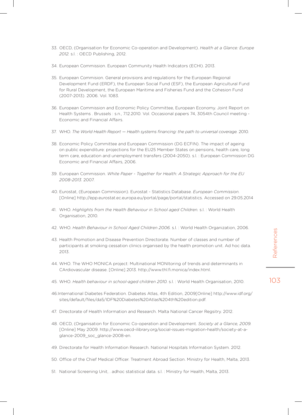- 33. OECD, (Organisation for Economic Co-operation and Development). *Health at a Glance: Europe 2012.* s.l. : OECD Publishing, 2012.
- 34. European Commission. European Community Health Indicators (ECHI). 2013.
- 35. European Commision. General provisions and regulations for the European Regional Development Fund (ERDF), the European Social Fund (ESF), the European Agricultural Fund for Rural Development, the European Maritime and Fisheries Fund and the Cohesion Fund (2007-2013). 2006. Vol. 1083.
- 36. European Commission and Economic Policy Committee, European Economy. Joint Report on Health Systems . Brussels : s.n., 7.12.2010. Vol. Occasional papers 74, 3054th Council meeting - Economic and Financial Affairs.
- 37. WHO. *The World Health Report Health systems financing: the path to universal coverage.* 2010.
- 38. Economic Policy Committee and European Commission (DG ECFIN). The impact of ageing on public expenditure: projections for the EU25 Member States on pensions, health care, long term care, education and unemployment transfers (2004-2050). s.l. : European Commission DG Economic and Financial Affairs, 2006.
- 39. European Commission. *White Paper Together for Health: A Strategic Approach for the EU 2008-2013.* 2007.
- 40. Eurostat, (European Commission). Eurostat Statistics Database. *European Commission.* [Online] http://epp.eurostat.ec.europa.eu/portal/page/portal/statistics. Accessed on 29.05.2014
- 41. WHO. *Highlights from the Health Behaviour in School aged Children.* s.l. : World Health Organisation, 2010.
- 42. WHO. *Health Behaviour in School Aged Children 2006.* s.l. : World Health Organization, 2006.
- 43. Health Promotion and Disease Prevention Directorate. Number of classes and number of participants at smoking cessation clinics organised by the health promotion unit. Ad hoc data. 2013.
- 44. WHO. The WHO MONICA project: Multinational MONItoring of trends and determinants in CArdiovascular disease. [Online] 2013. http://www.thl.fi.monica/index.html.
- 45. WHO. *Health behaviour in school-aged children 2010.* s.l. : World Health Organisation, 2010.
- 46.International Diabetes Federation. Diabetes Atlas, 4th Edition, 2009[Online] http://www.idf.org/ sites/default/files/da5/IDF%20Diabetes%20Atlas%204th%20edition.pdf.
- 47. Directorate of Health Information and Research. Malta National Cancer Regsitry. 2012.
- 48. OECD, (Organisation for Economic Co-operation and Development. *Society at a Glance, 2009.* [Online] May 2009. http://www.oecd-ilibrary.org/social-issues-migration-health/society-at-aglance-2009\_soc\_glance-2008-en.
- 49. Directorate for Health Information Research. National Hospitals Information System. 2012.
- 50. Office of the Chief Medical Officer. Treatment Abroad Section. Ministry for Health, Malta, 2013.
- 51. National Screening Unit, . adhoc statistical data. s.l. : Ministry for Health, Malta, 2013.